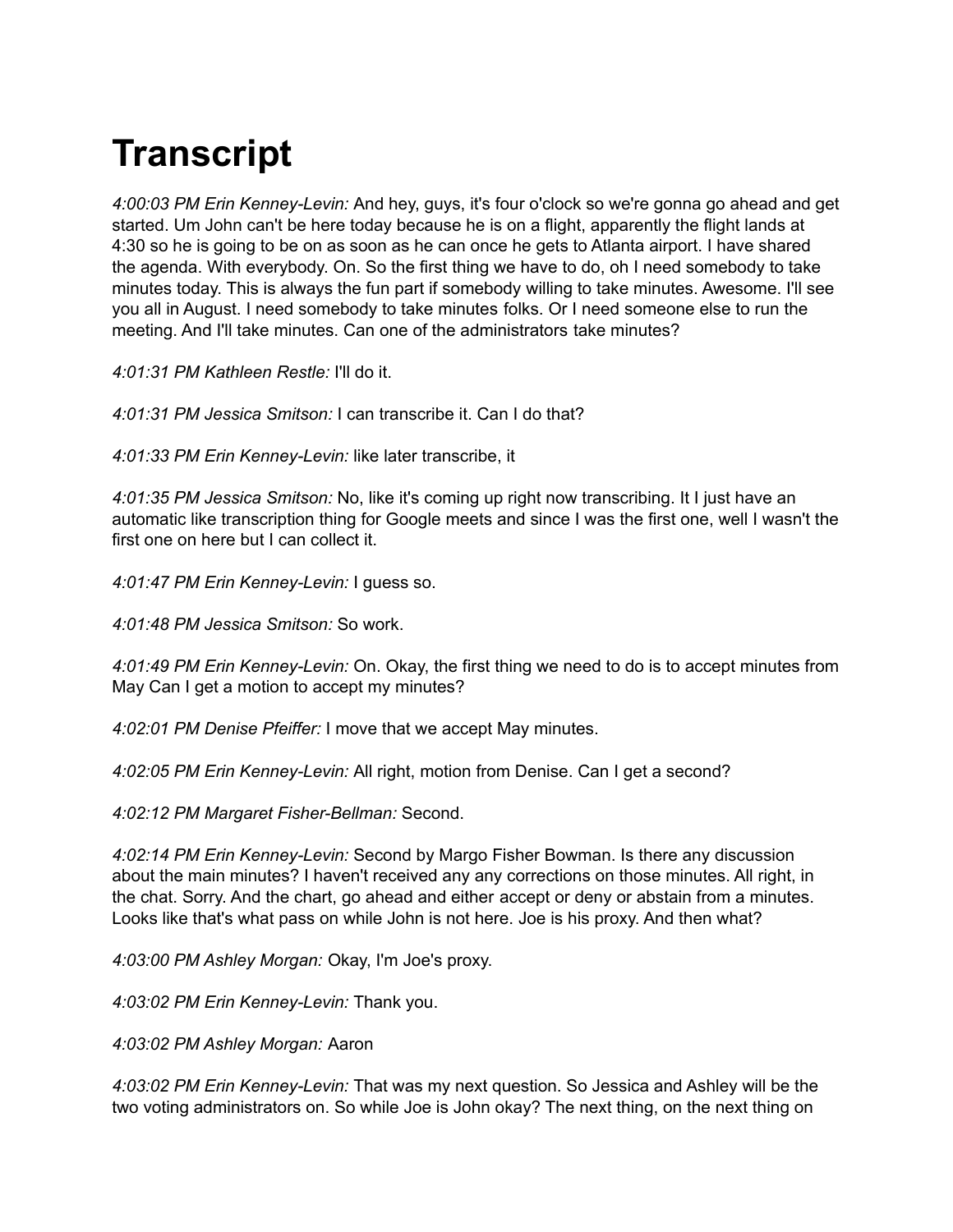# **Transcript**

*4:00:03 PM Erin Kenney-Levin:* And hey, guys, it's four o'clock so we're gonna go ahead and get started. Um John can't be here today because he is on a flight, apparently the flight lands at 4:30 so he is going to be on as soon as he can once he gets to Atlanta airport. I have shared the agenda. With everybody. On. So the first thing we have to do, oh I need somebody to take minutes today. This is always the fun part if somebody willing to take minutes. Awesome. I'll see you all in August. I need somebody to take minutes folks. Or I need someone else to run the meeting. And I'll take minutes. Can one of the administrators take minutes?

*4:01:31 PM Kathleen Restle:* I'll do it.

*4:01:31 PM Jessica Smitson:* I can transcribe it. Can I do that?

*4:01:33 PM Erin Kenney-Levin:* like later transcribe, it

*4:01:35 PM Jessica Smitson:* No, like it's coming up right now transcribing. It I just have an automatic like transcription thing for Google meets and since I was the first one, well I wasn't the first one on here but I can collect it.

*4:01:47 PM Erin Kenney-Levin:* I guess so.

*4:01:48 PM Jessica Smitson:* So work.

*4:01:49 PM Erin Kenney-Levin:* On. Okay, the first thing we need to do is to accept minutes from May Can I get a motion to accept my minutes?

*4:02:01 PM Denise Pfeiffer:* I move that we accept May minutes.

*4:02:05 PM Erin Kenney-Levin:* All right, motion from Denise. Can I get a second?

*4:02:12 PM Margaret Fisher-Bellman:* Second.

*4:02:14 PM Erin Kenney-Levin:* Second by Margo Fisher Bowman. Is there any discussion about the main minutes? I haven't received any any corrections on those minutes. All right, in the chat. Sorry. And the chart, go ahead and either accept or deny or abstain from a minutes. Looks like that's what pass on while John is not here. Joe is his proxy. And then what?

*4:03:00 PM Ashley Morgan:* Okay, I'm Joe's proxy.

*4:03:02 PM Erin Kenney-Levin:* Thank you.

*4:03:02 PM Ashley Morgan:* Aaron

*4:03:02 PM Erin Kenney-Levin:* That was my next question. So Jessica and Ashley will be the two voting administrators on. So while Joe is John okay? The next thing, on the next thing on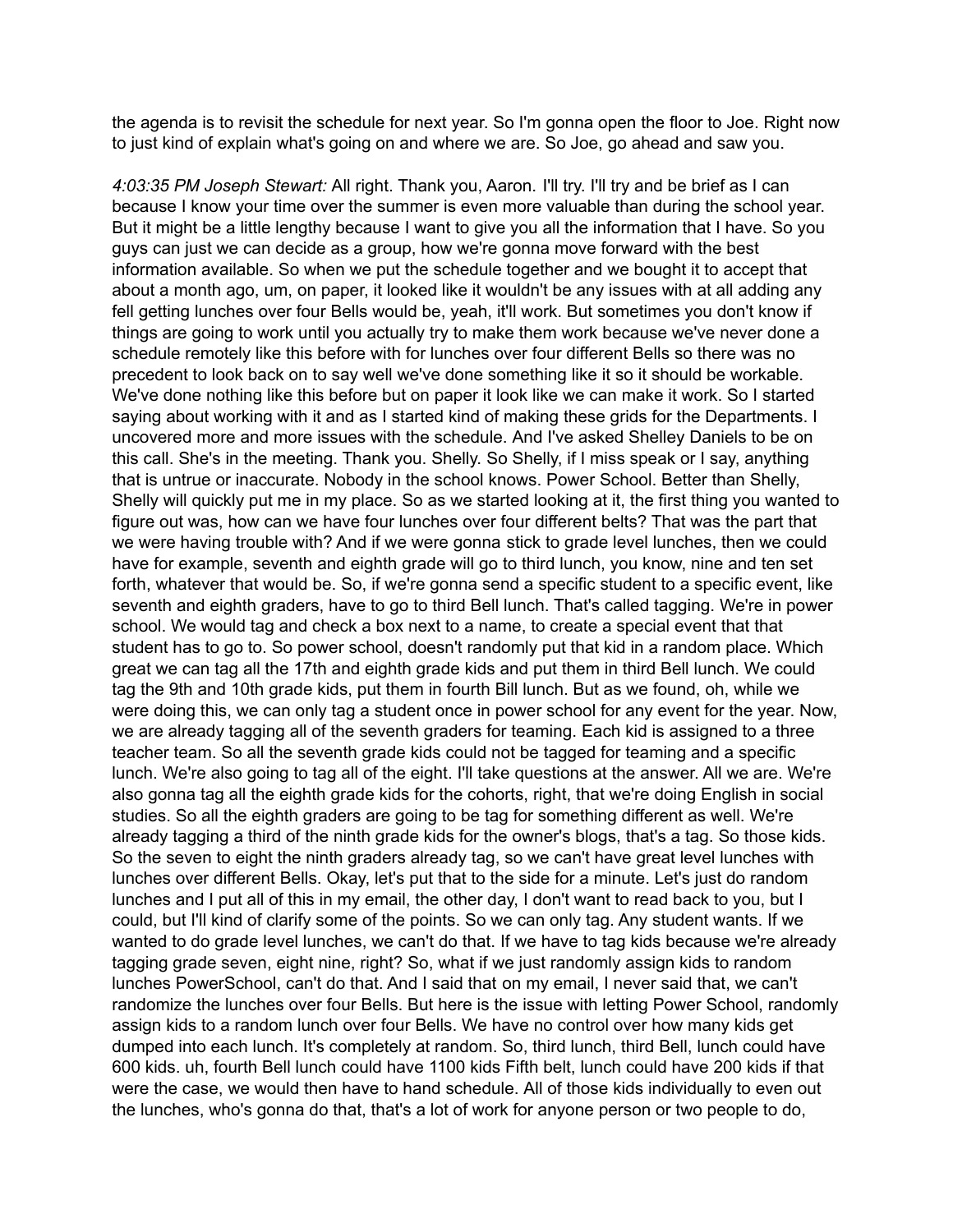the agenda is to revisit the schedule for next year. So I'm gonna open the floor to Joe. Right now to just kind of explain what's going on and where we are. So Joe, go ahead and saw you.

*4:03:35 PM Joseph Stewart:* All right. Thank you, Aaron. I'll try. I'll try and be brief as I can because I know your time over the summer is even more valuable than during the school year. But it might be a little lengthy because I want to give you all the information that I have. So you guys can just we can decide as a group, how we're gonna move forward with the best information available. So when we put the schedule together and we bought it to accept that about a month ago, um, on paper, it looked like it wouldn't be any issues with at all adding any fell getting lunches over four Bells would be, yeah, it'll work. But sometimes you don't know if things are going to work until you actually try to make them work because we've never done a schedule remotely like this before with for lunches over four different Bells so there was no precedent to look back on to say well we've done something like it so it should be workable. We've done nothing like this before but on paper it look like we can make it work. So I started saying about working with it and as I started kind of making these grids for the Departments. I uncovered more and more issues with the schedule. And I've asked Shelley Daniels to be on this call. She's in the meeting. Thank you. Shelly. So Shelly, if I miss speak or I say, anything that is untrue or inaccurate. Nobody in the school knows. Power School. Better than Shelly, Shelly will quickly put me in my place. So as we started looking at it, the first thing you wanted to figure out was, how can we have four lunches over four different belts? That was the part that we were having trouble with? And if we were gonna stick to grade level lunches, then we could have for example, seventh and eighth grade will go to third lunch, you know, nine and ten set forth, whatever that would be. So, if we're gonna send a specific student to a specific event, like seventh and eighth graders, have to go to third Bell lunch. That's called tagging. We're in power school. We would tag and check a box next to a name, to create a special event that that student has to go to. So power school, doesn't randomly put that kid in a random place. Which great we can tag all the 17th and eighth grade kids and put them in third Bell lunch. We could tag the 9th and 10th grade kids, put them in fourth Bill lunch. But as we found, oh, while we were doing this, we can only tag a student once in power school for any event for the year. Now, we are already tagging all of the seventh graders for teaming. Each kid is assigned to a three teacher team. So all the seventh grade kids could not be tagged for teaming and a specific lunch. We're also going to tag all of the eight. I'll take questions at the answer. All we are. We're also gonna tag all the eighth grade kids for the cohorts, right, that we're doing English in social studies. So all the eighth graders are going to be tag for something different as well. We're already tagging a third of the ninth grade kids for the owner's blogs, that's a tag. So those kids. So the seven to eight the ninth graders already tag, so we can't have great level lunches with lunches over different Bells. Okay, let's put that to the side for a minute. Let's just do random lunches and I put all of this in my email, the other day, I don't want to read back to you, but I could, but I'll kind of clarify some of the points. So we can only tag. Any student wants. If we wanted to do grade level lunches, we can't do that. If we have to tag kids because we're already tagging grade seven, eight nine, right? So, what if we just randomly assign kids to random lunches PowerSchool, can't do that. And I said that on my email, I never said that, we can't randomize the lunches over four Bells. But here is the issue with letting Power School, randomly assign kids to a random lunch over four Bells. We have no control over how many kids get dumped into each lunch. It's completely at random. So, third lunch, third Bell, lunch could have 600 kids. uh, fourth Bell lunch could have 1100 kids Fifth belt, lunch could have 200 kids if that were the case, we would then have to hand schedule. All of those kids individually to even out the lunches, who's gonna do that, that's a lot of work for anyone person or two people to do,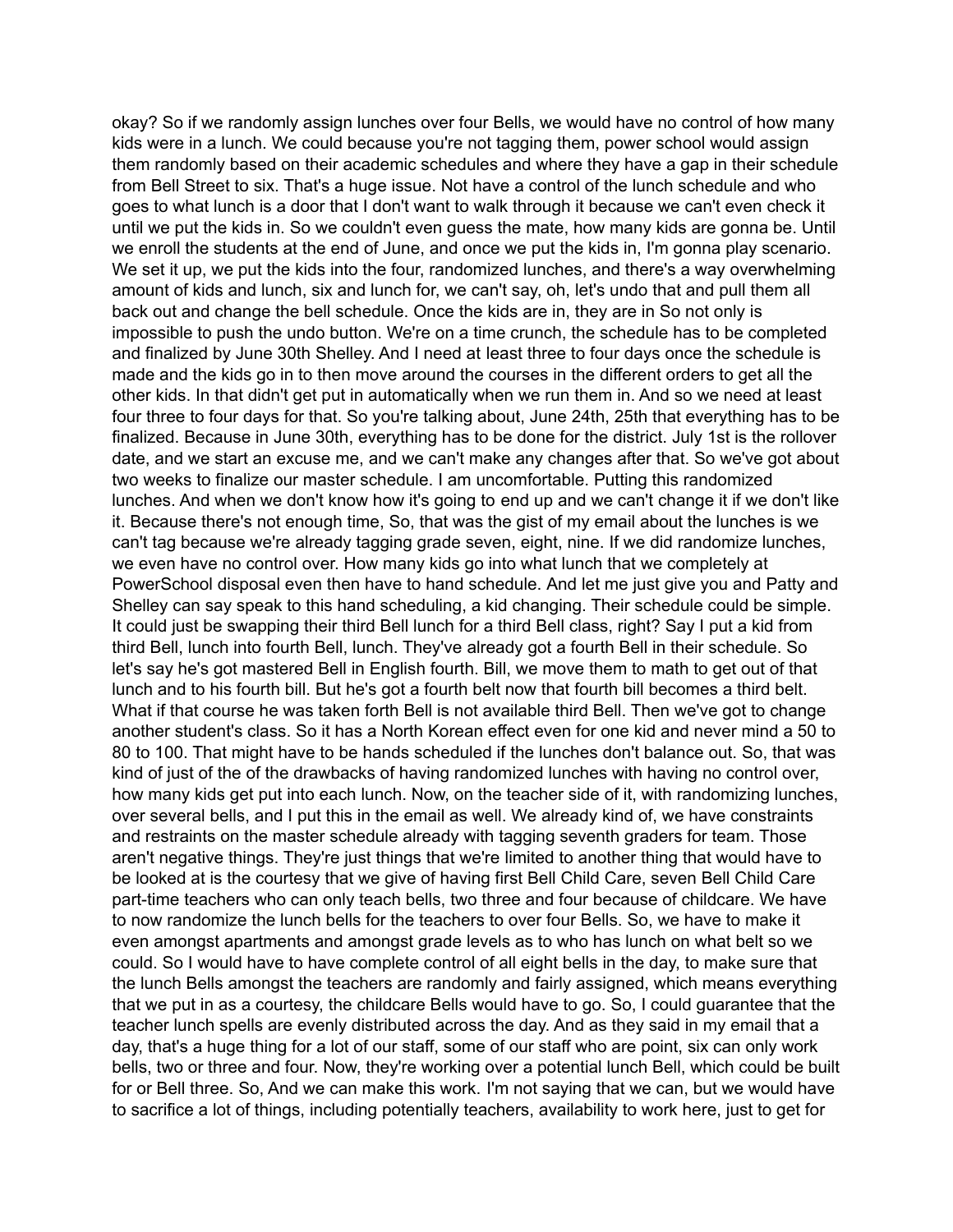okay? So if we randomly assign lunches over four Bells, we would have no control of how many kids were in a lunch. We could because you're not tagging them, power school would assign them randomly based on their academic schedules and where they have a gap in their schedule from Bell Street to six. That's a huge issue. Not have a control of the lunch schedule and who goes to what lunch is a door that I don't want to walk through it because we can't even check it until we put the kids in. So we couldn't even guess the mate, how many kids are gonna be. Until we enroll the students at the end of June, and once we put the kids in, I'm gonna play scenario. We set it up, we put the kids into the four, randomized lunches, and there's a way overwhelming amount of kids and lunch, six and lunch for, we can't say, oh, let's undo that and pull them all back out and change the bell schedule. Once the kids are in, they are in So not only is impossible to push the undo button. We're on a time crunch, the schedule has to be completed and finalized by June 30th Shelley. And I need at least three to four days once the schedule is made and the kids go in to then move around the courses in the different orders to get all the other kids. In that didn't get put in automatically when we run them in. And so we need at least four three to four days for that. So you're talking about, June 24th, 25th that everything has to be finalized. Because in June 30th, everything has to be done for the district. July 1st is the rollover date, and we start an excuse me, and we can't make any changes after that. So we've got about two weeks to finalize our master schedule. I am uncomfortable. Putting this randomized lunches. And when we don't know how it's going to end up and we can't change it if we don't like it. Because there's not enough time, So, that was the gist of my email about the lunches is we can't tag because we're already tagging grade seven, eight, nine. If we did randomize lunches, we even have no control over. How many kids go into what lunch that we completely at PowerSchool disposal even then have to hand schedule. And let me just give you and Patty and Shelley can say speak to this hand scheduling, a kid changing. Their schedule could be simple. It could just be swapping their third Bell lunch for a third Bell class, right? Say I put a kid from third Bell, lunch into fourth Bell, lunch. They've already got a fourth Bell in their schedule. So let's say he's got mastered Bell in English fourth. Bill, we move them to math to get out of that lunch and to his fourth bill. But he's got a fourth belt now that fourth bill becomes a third belt. What if that course he was taken forth Bell is not available third Bell. Then we've got to change another student's class. So it has a North Korean effect even for one kid and never mind a 50 to 80 to 100. That might have to be hands scheduled if the lunches don't balance out. So, that was kind of just of the of the drawbacks of having randomized lunches with having no control over, how many kids get put into each lunch. Now, on the teacher side of it, with randomizing lunches, over several bells, and I put this in the email as well. We already kind of, we have constraints and restraints on the master schedule already with tagging seventh graders for team. Those aren't negative things. They're just things that we're limited to another thing that would have to be looked at is the courtesy that we give of having first Bell Child Care, seven Bell Child Care part-time teachers who can only teach bells, two three and four because of childcare. We have to now randomize the lunch bells for the teachers to over four Bells. So, we have to make it even amongst apartments and amongst grade levels as to who has lunch on what belt so we could. So I would have to have complete control of all eight bells in the day, to make sure that the lunch Bells amongst the teachers are randomly and fairly assigned, which means everything that we put in as a courtesy, the childcare Bells would have to go. So, I could guarantee that the teacher lunch spells are evenly distributed across the day. And as they said in my email that a day, that's a huge thing for a lot of our staff, some of our staff who are point, six can only work bells, two or three and four. Now, they're working over a potential lunch Bell, which could be built for or Bell three. So, And we can make this work. I'm not saying that we can, but we would have to sacrifice a lot of things, including potentially teachers, availability to work here, just to get for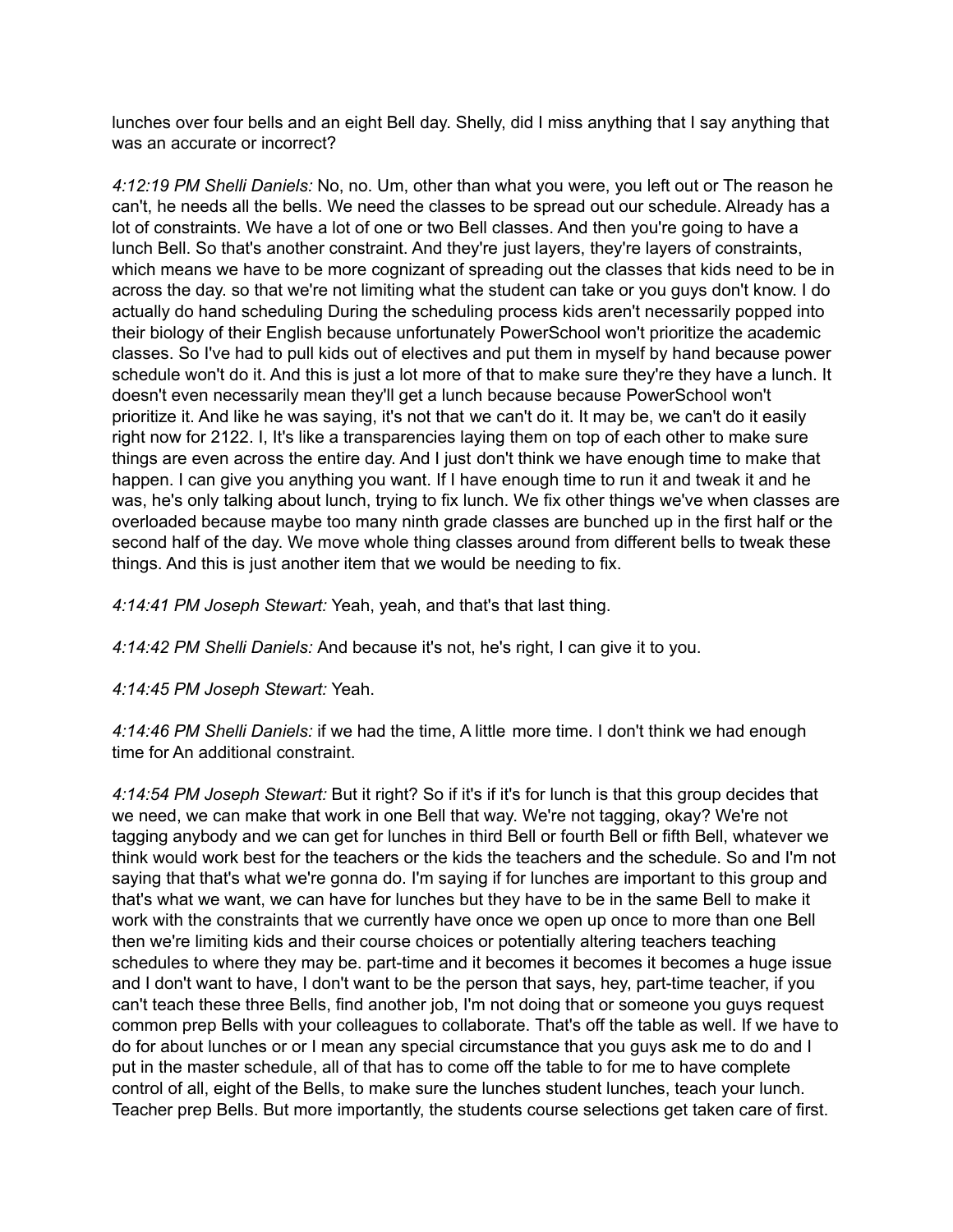lunches over four bells and an eight Bell day. Shelly, did I miss anything that I say anything that was an accurate or incorrect?

*4:12:19 PM Shelli Daniels:* No, no. Um, other than what you were, you left out or The reason he can't, he needs all the bells. We need the classes to be spread out our schedule. Already has a lot of constraints. We have a lot of one or two Bell classes. And then you're going to have a lunch Bell. So that's another constraint. And they're just layers, they're layers of constraints, which means we have to be more cognizant of spreading out the classes that kids need to be in across the day. so that we're not limiting what the student can take or you guys don't know. I do actually do hand scheduling During the scheduling process kids aren't necessarily popped into their biology of their English because unfortunately PowerSchool won't prioritize the academic classes. So I've had to pull kids out of electives and put them in myself by hand because power schedule won't do it. And this is just a lot more of that to make sure they're they have a lunch. It doesn't even necessarily mean they'll get a lunch because because PowerSchool won't prioritize it. And like he was saying, it's not that we can't do it. It may be, we can't do it easily right now for 2122. I, It's like a transparencies laying them on top of each other to make sure things are even across the entire day. And I just don't think we have enough time to make that happen. I can give you anything you want. If I have enough time to run it and tweak it and he was, he's only talking about lunch, trying to fix lunch. We fix other things we've when classes are overloaded because maybe too many ninth grade classes are bunched up in the first half or the second half of the day. We move whole thing classes around from different bells to tweak these things. And this is just another item that we would be needing to fix.

*4:14:41 PM Joseph Stewart:* Yeah, yeah, and that's that last thing.

*4:14:42 PM Shelli Daniels:* And because it's not, he's right, I can give it to you.

*4:14:45 PM Joseph Stewart:* Yeah.

*4:14:46 PM Shelli Daniels:* if we had the time, A little more time. I don't think we had enough time for An additional constraint.

*4:14:54 PM Joseph Stewart:* But it right? So if it's if it's for lunch is that this group decides that we need, we can make that work in one Bell that way. We're not tagging, okay? We're not tagging anybody and we can get for lunches in third Bell or fourth Bell or fifth Bell, whatever we think would work best for the teachers or the kids the teachers and the schedule. So and I'm not saying that that's what we're gonna do. I'm saying if for lunches are important to this group and that's what we want, we can have for lunches but they have to be in the same Bell to make it work with the constraints that we currently have once we open up once to more than one Bell then we're limiting kids and their course choices or potentially altering teachers teaching schedules to where they may be. part-time and it becomes it becomes it becomes a huge issue and I don't want to have, I don't want to be the person that says, hey, part-time teacher, if you can't teach these three Bells, find another job, I'm not doing that or someone you guys request common prep Bells with your colleagues to collaborate. That's off the table as well. If we have to do for about lunches or or I mean any special circumstance that you guys ask me to do and I put in the master schedule, all of that has to come off the table to for me to have complete control of all, eight of the Bells, to make sure the lunches student lunches, teach your lunch. Teacher prep Bells. But more importantly, the students course selections get taken care of first.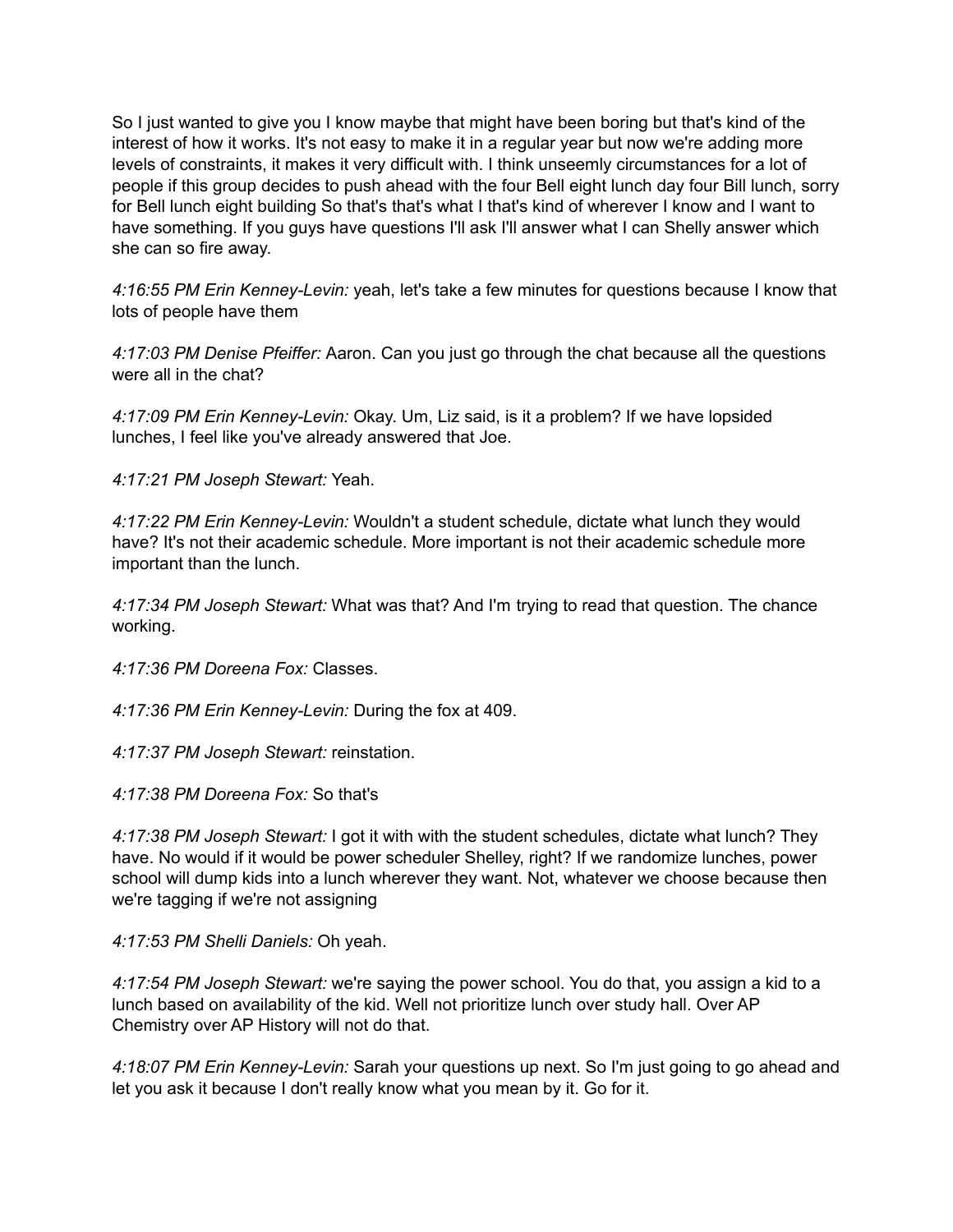So I just wanted to give you I know maybe that might have been boring but that's kind of the interest of how it works. It's not easy to make it in a regular year but now we're adding more levels of constraints, it makes it very difficult with. I think unseemly circumstances for a lot of people if this group decides to push ahead with the four Bell eight lunch day four Bill lunch, sorry for Bell lunch eight building So that's that's what I that's kind of wherever I know and I want to have something. If you guys have questions I'll ask I'll answer what I can Shelly answer which she can so fire away.

*4:16:55 PM Erin Kenney-Levin:* yeah, let's take a few minutes for questions because I know that lots of people have them

*4:17:03 PM Denise Pfeiffer:* Aaron. Can you just go through the chat because all the questions were all in the chat?

*4:17:09 PM Erin Kenney-Levin:* Okay. Um, Liz said, is it a problem? If we have lopsided lunches, I feel like you've already answered that Joe.

*4:17:21 PM Joseph Stewart:* Yeah.

*4:17:22 PM Erin Kenney-Levin:* Wouldn't a student schedule, dictate what lunch they would have? It's not their academic schedule. More important is not their academic schedule more important than the lunch.

*4:17:34 PM Joseph Stewart:* What was that? And I'm trying to read that question. The chance working.

*4:17:36 PM Doreena Fox:* Classes.

*4:17:36 PM Erin Kenney-Levin:* During the fox at 409.

*4:17:37 PM Joseph Stewart:* reinstation.

*4:17:38 PM Doreena Fox:* So that's

*4:17:38 PM Joseph Stewart:* I got it with with the student schedules, dictate what lunch? They have. No would if it would be power scheduler Shelley, right? If we randomize lunches, power school will dump kids into a lunch wherever they want. Not, whatever we choose because then we're tagging if we're not assigning

*4:17:53 PM Shelli Daniels:* Oh yeah.

*4:17:54 PM Joseph Stewart:* we're saying the power school. You do that, you assign a kid to a lunch based on availability of the kid. Well not prioritize lunch over study hall. Over AP Chemistry over AP History will not do that.

*4:18:07 PM Erin Kenney-Levin:* Sarah your questions up next. So I'm just going to go ahead and let you ask it because I don't really know what you mean by it. Go for it.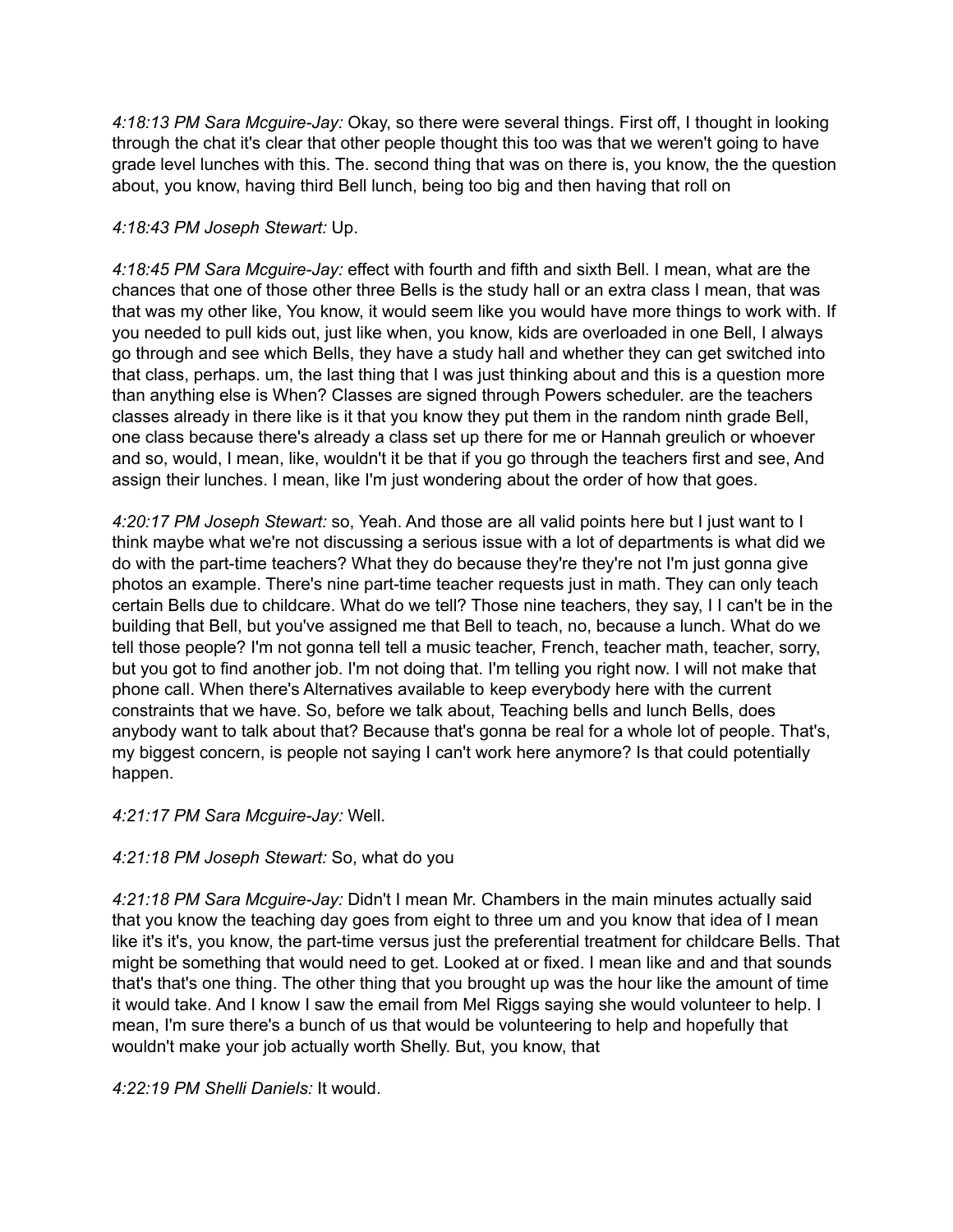*4:18:13 PM Sara Mcguire-Jay:* Okay, so there were several things. First off, I thought in looking through the chat it's clear that other people thought this too was that we weren't going to have grade level lunches with this. The. second thing that was on there is, you know, the the question about, you know, having third Bell lunch, being too big and then having that roll on

## *4:18:43 PM Joseph Stewart:* Up.

*4:18:45 PM Sara Mcguire-Jay:* effect with fourth and fifth and sixth Bell. I mean, what are the chances that one of those other three Bells is the study hall or an extra class I mean, that was that was my other like, You know, it would seem like you would have more things to work with. If you needed to pull kids out, just like when, you know, kids are overloaded in one Bell, I always go through and see which Bells, they have a study hall and whether they can get switched into that class, perhaps. um, the last thing that I was just thinking about and this is a question more than anything else is When? Classes are signed through Powers scheduler. are the teachers classes already in there like is it that you know they put them in the random ninth grade Bell, one class because there's already a class set up there for me or Hannah greulich or whoever and so, would, I mean, like, wouldn't it be that if you go through the teachers first and see, And assign their lunches. I mean, like I'm just wondering about the order of how that goes.

*4:20:17 PM Joseph Stewart:* so, Yeah. And those are all valid points here but I just want to I think maybe what we're not discussing a serious issue with a lot of departments is what did we do with the part-time teachers? What they do because they're they're not I'm just gonna give photos an example. There's nine part-time teacher requests just in math. They can only teach certain Bells due to childcare. What do we tell? Those nine teachers, they say, I I can't be in the building that Bell, but you've assigned me that Bell to teach, no, because a lunch. What do we tell those people? I'm not gonna tell tell a music teacher, French, teacher math, teacher, sorry, but you got to find another job. I'm not doing that. I'm telling you right now. I will not make that phone call. When there's Alternatives available to keep everybody here with the current constraints that we have. So, before we talk about, Teaching bells and lunch Bells, does anybody want to talk about that? Because that's gonna be real for a whole lot of people. That's, my biggest concern, is people not saying I can't work here anymore? Is that could potentially happen.

## *4:21:17 PM Sara Mcguire-Jay:* Well.

# *4:21:18 PM Joseph Stewart:* So, what do you

*4:21:18 PM Sara Mcguire-Jay:* Didn't I mean Mr. Chambers in the main minutes actually said that you know the teaching day goes from eight to three um and you know that idea of I mean like it's it's, you know, the part-time versus just the preferential treatment for childcare Bells. That might be something that would need to get. Looked at or fixed. I mean like and and that sounds that's that's one thing. The other thing that you brought up was the hour like the amount of time it would take. And I know I saw the email from Mel Riggs saying she would volunteer to help. I mean, I'm sure there's a bunch of us that would be volunteering to help and hopefully that wouldn't make your job actually worth Shelly. But, you know, that

*4:22:19 PM Shelli Daniels:* It would.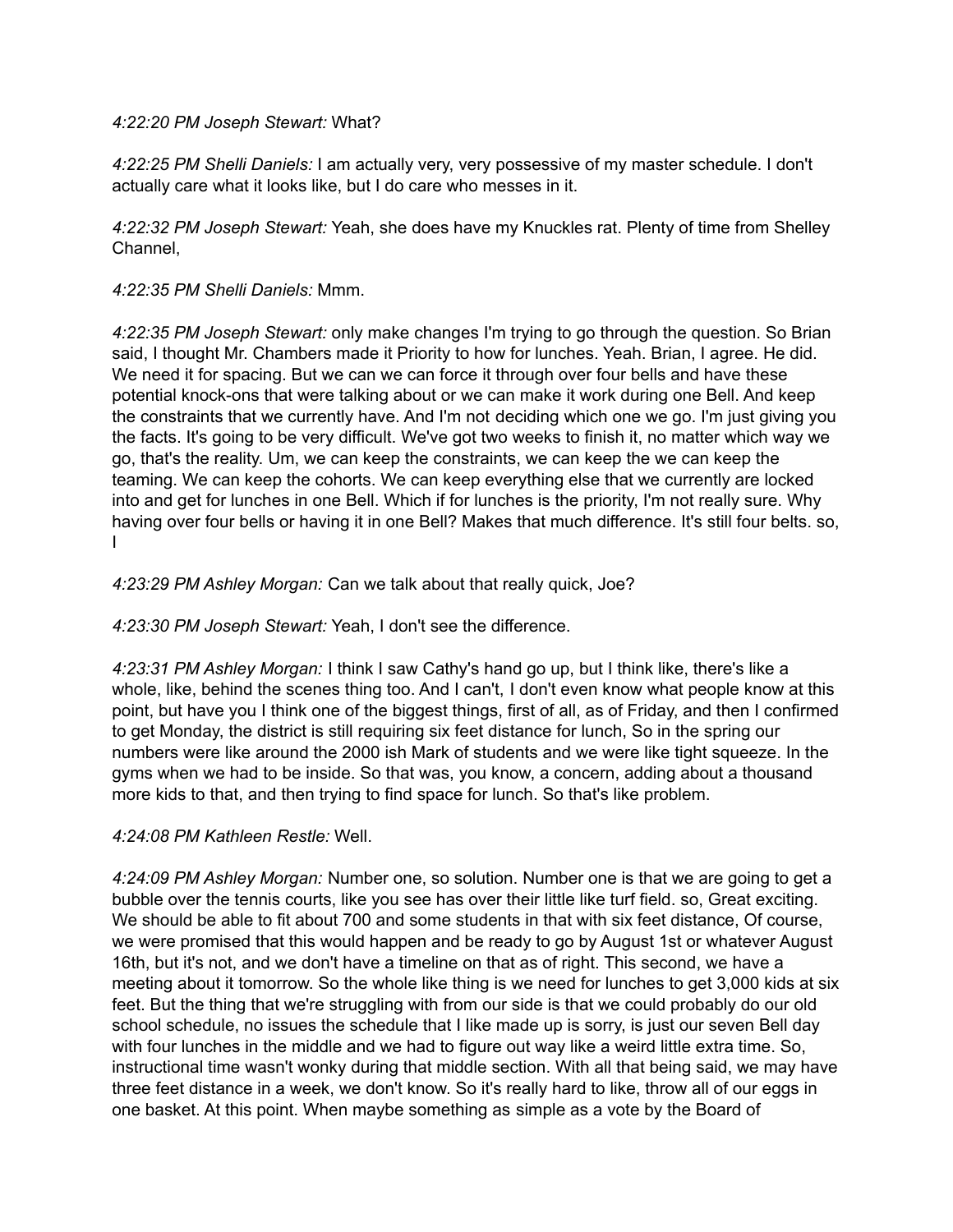#### *4:22:20 PM Joseph Stewart:* What?

*4:22:25 PM Shelli Daniels:* I am actually very, very possessive of my master schedule. I don't actually care what it looks like, but I do care who messes in it.

*4:22:32 PM Joseph Stewart:* Yeah, she does have my Knuckles rat. Plenty of time from Shelley Channel,

#### *4:22:35 PM Shelli Daniels:* Mmm.

*4:22:35 PM Joseph Stewart:* only make changes I'm trying to go through the question. So Brian said, I thought Mr. Chambers made it Priority to how for lunches. Yeah. Brian, I agree. He did. We need it for spacing. But we can we can force it through over four bells and have these potential knock-ons that were talking about or we can make it work during one Bell. And keep the constraints that we currently have. And I'm not deciding which one we go. I'm just giving you the facts. It's going to be very difficult. We've got two weeks to finish it, no matter which way we go, that's the reality. Um, we can keep the constraints, we can keep the we can keep the teaming. We can keep the cohorts. We can keep everything else that we currently are locked into and get for lunches in one Bell. Which if for lunches is the priority, I'm not really sure. Why having over four bells or having it in one Bell? Makes that much difference. It's still four belts. so, I

*4:23:29 PM Ashley Morgan:* Can we talk about that really quick, Joe?

*4:23:30 PM Joseph Stewart:* Yeah, I don't see the difference.

*4:23:31 PM Ashley Morgan:* I think I saw Cathy's hand go up, but I think like, there's like a whole, like, behind the scenes thing too. And I can't, I don't even know what people know at this point, but have you I think one of the biggest things, first of all, as of Friday, and then I confirmed to get Monday, the district is still requiring six feet distance for lunch, So in the spring our numbers were like around the 2000 ish Mark of students and we were like tight squeeze. In the gyms when we had to be inside. So that was, you know, a concern, adding about a thousand more kids to that, and then trying to find space for lunch. So that's like problem.

## *4:24:08 PM Kathleen Restle:* Well.

*4:24:09 PM Ashley Morgan:* Number one, so solution. Number one is that we are going to get a bubble over the tennis courts, like you see has over their little like turf field. so, Great exciting. We should be able to fit about 700 and some students in that with six feet distance, Of course, we were promised that this would happen and be ready to go by August 1st or whatever August 16th, but it's not, and we don't have a timeline on that as of right. This second, we have a meeting about it tomorrow. So the whole like thing is we need for lunches to get 3,000 kids at six feet. But the thing that we're struggling with from our side is that we could probably do our old school schedule, no issues the schedule that I like made up is sorry, is just our seven Bell day with four lunches in the middle and we had to figure out way like a weird little extra time. So, instructional time wasn't wonky during that middle section. With all that being said, we may have three feet distance in a week, we don't know. So it's really hard to like, throw all of our eggs in one basket. At this point. When maybe something as simple as a vote by the Board of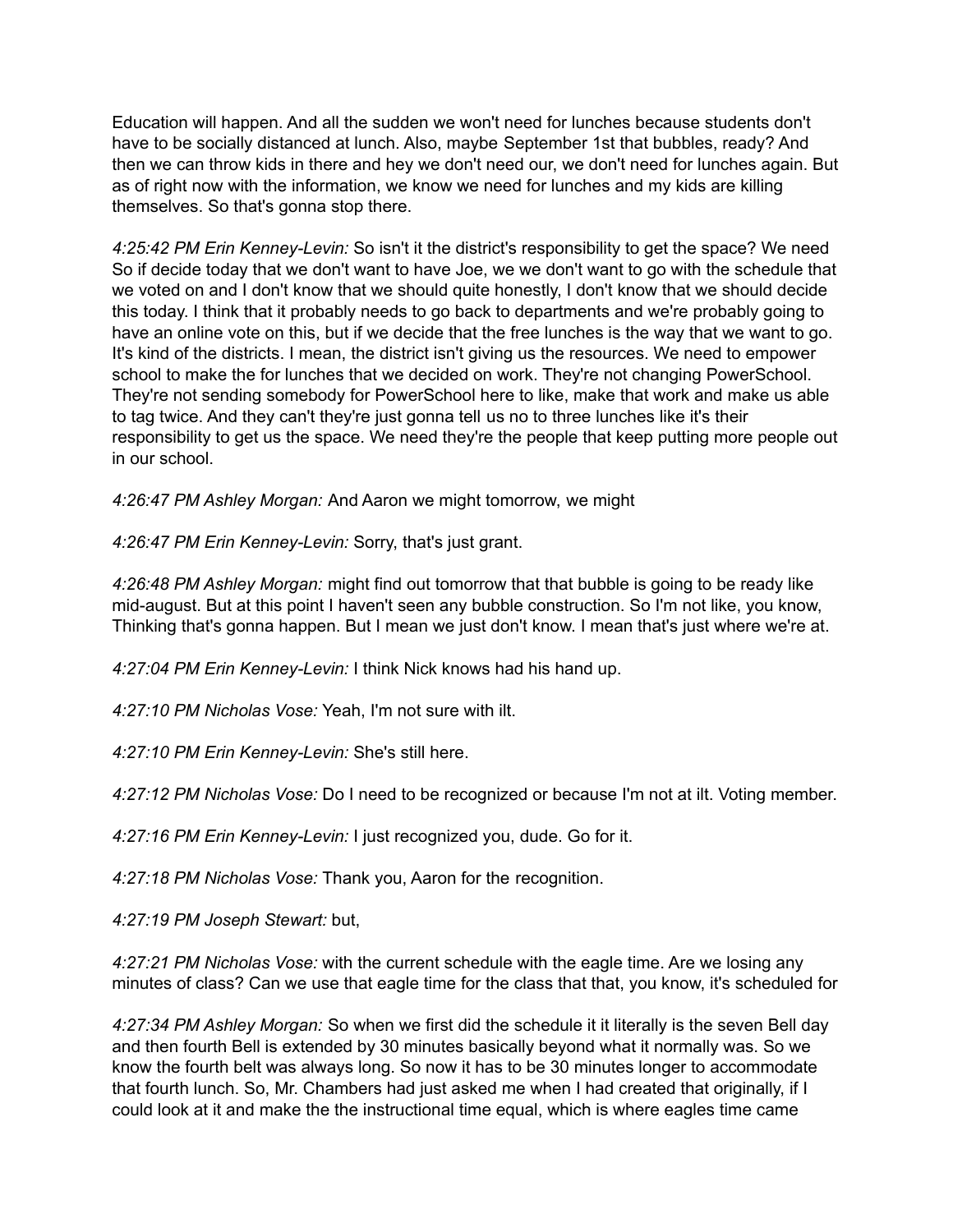Education will happen. And all the sudden we won't need for lunches because students don't have to be socially distanced at lunch. Also, maybe September 1st that bubbles, ready? And then we can throw kids in there and hey we don't need our, we don't need for lunches again. But as of right now with the information, we know we need for lunches and my kids are killing themselves. So that's gonna stop there.

*4:25:42 PM Erin Kenney-Levin:* So isn't it the district's responsibility to get the space? We need So if decide today that we don't want to have Joe, we we don't want to go with the schedule that we voted on and I don't know that we should quite honestly, I don't know that we should decide this today. I think that it probably needs to go back to departments and we're probably going to have an online vote on this, but if we decide that the free lunches is the way that we want to go. It's kind of the districts. I mean, the district isn't giving us the resources. We need to empower school to make the for lunches that we decided on work. They're not changing PowerSchool. They're not sending somebody for PowerSchool here to like, make that work and make us able to tag twice. And they can't they're just gonna tell us no to three lunches like it's their responsibility to get us the space. We need they're the people that keep putting more people out in our school.

*4:26:47 PM Ashley Morgan:* And Aaron we might tomorrow, we might

*4:26:47 PM Erin Kenney-Levin:* Sorry, that's just grant.

*4:26:48 PM Ashley Morgan:* might find out tomorrow that that bubble is going to be ready like mid-august. But at this point I haven't seen any bubble construction. So I'm not like, you know, Thinking that's gonna happen. But I mean we just don't know. I mean that's just where we're at.

*4:27:04 PM Erin Kenney-Levin:* I think Nick knows had his hand up.

*4:27:10 PM Nicholas Vose:* Yeah, I'm not sure with ilt.

*4:27:10 PM Erin Kenney-Levin:* She's still here.

*4:27:12 PM Nicholas Vose:* Do I need to be recognized or because I'm not at ilt. Voting member.

*4:27:16 PM Erin Kenney-Levin:* I just recognized you, dude. Go for it.

*4:27:18 PM Nicholas Vose:* Thank you, Aaron for the recognition.

*4:27:19 PM Joseph Stewart:* but,

*4:27:21 PM Nicholas Vose:* with the current schedule with the eagle time. Are we losing any minutes of class? Can we use that eagle time for the class that that, you know, it's scheduled for

*4:27:34 PM Ashley Morgan:* So when we first did the schedule it it literally is the seven Bell day and then fourth Bell is extended by 30 minutes basically beyond what it normally was. So we know the fourth belt was always long. So now it has to be 30 minutes longer to accommodate that fourth lunch. So, Mr. Chambers had just asked me when I had created that originally, if I could look at it and make the the instructional time equal, which is where eagles time came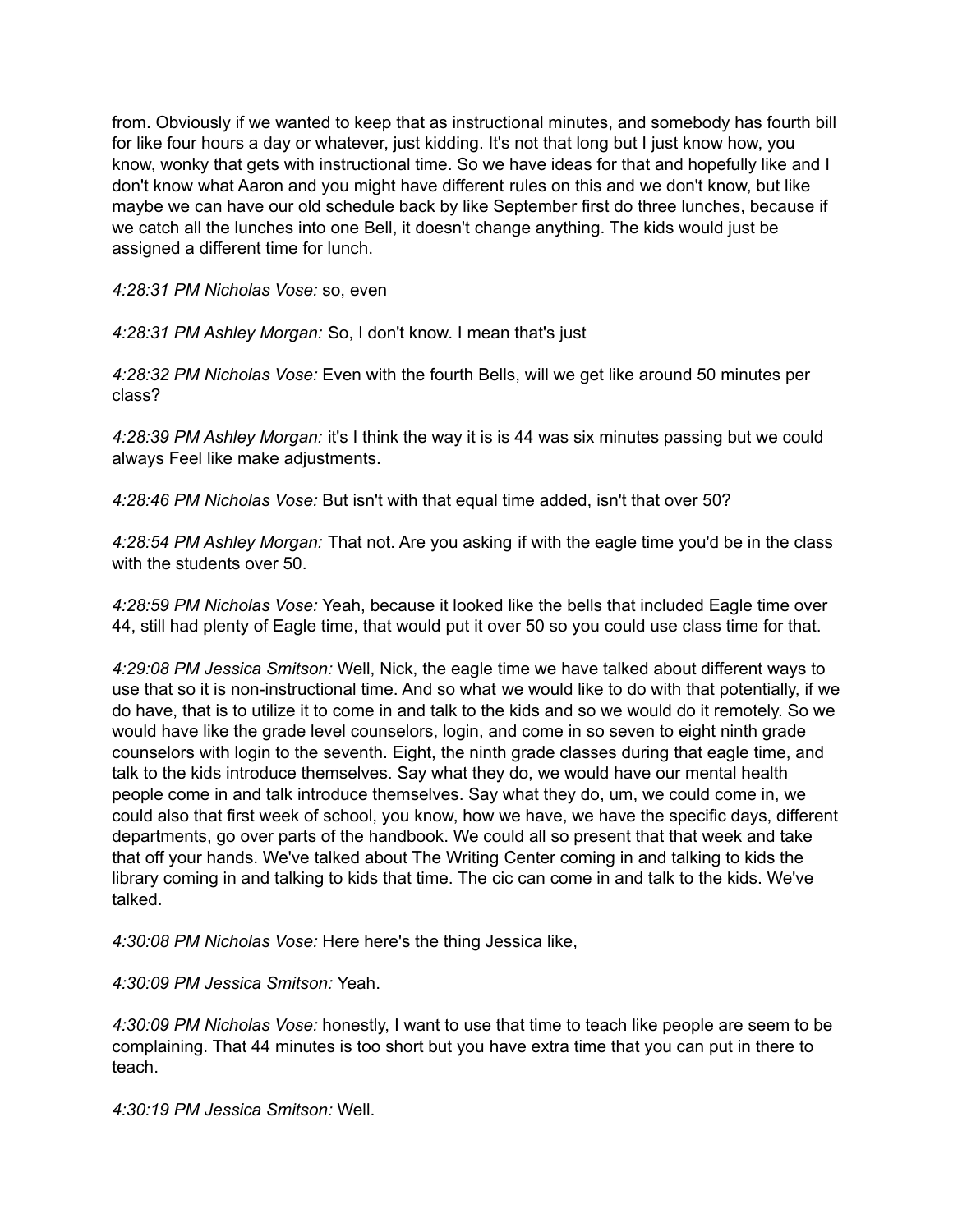from. Obviously if we wanted to keep that as instructional minutes, and somebody has fourth bill for like four hours a day or whatever, just kidding. It's not that long but I just know how, you know, wonky that gets with instructional time. So we have ideas for that and hopefully like and I don't know what Aaron and you might have different rules on this and we don't know, but like maybe we can have our old schedule back by like September first do three lunches, because if we catch all the lunches into one Bell, it doesn't change anything. The kids would just be assigned a different time for lunch.

*4:28:31 PM Nicholas Vose:* so, even

*4:28:31 PM Ashley Morgan:* So, I don't know. I mean that's just

*4:28:32 PM Nicholas Vose:* Even with the fourth Bells, will we get like around 50 minutes per class?

*4:28:39 PM Ashley Morgan:* it's I think the way it is is 44 was six minutes passing but we could always Feel like make adjustments.

*4:28:46 PM Nicholas Vose:* But isn't with that equal time added, isn't that over 50?

*4:28:54 PM Ashley Morgan:* That not. Are you asking if with the eagle time you'd be in the class with the students over 50.

*4:28:59 PM Nicholas Vose:* Yeah, because it looked like the bells that included Eagle time over 44, still had plenty of Eagle time, that would put it over 50 so you could use class time for that.

*4:29:08 PM Jessica Smitson:* Well, Nick, the eagle time we have talked about different ways to use that so it is non-instructional time. And so what we would like to do with that potentially, if we do have, that is to utilize it to come in and talk to the kids and so we would do it remotely. So we would have like the grade level counselors, login, and come in so seven to eight ninth grade counselors with login to the seventh. Eight, the ninth grade classes during that eagle time, and talk to the kids introduce themselves. Say what they do, we would have our mental health people come in and talk introduce themselves. Say what they do, um, we could come in, we could also that first week of school, you know, how we have, we have the specific days, different departments, go over parts of the handbook. We could all so present that that week and take that off your hands. We've talked about The Writing Center coming in and talking to kids the library coming in and talking to kids that time. The cic can come in and talk to the kids. We've talked.

*4:30:08 PM Nicholas Vose:* Here here's the thing Jessica like,

*4:30:09 PM Jessica Smitson:* Yeah.

*4:30:09 PM Nicholas Vose:* honestly, I want to use that time to teach like people are seem to be complaining. That 44 minutes is too short but you have extra time that you can put in there to teach.

*4:30:19 PM Jessica Smitson:* Well.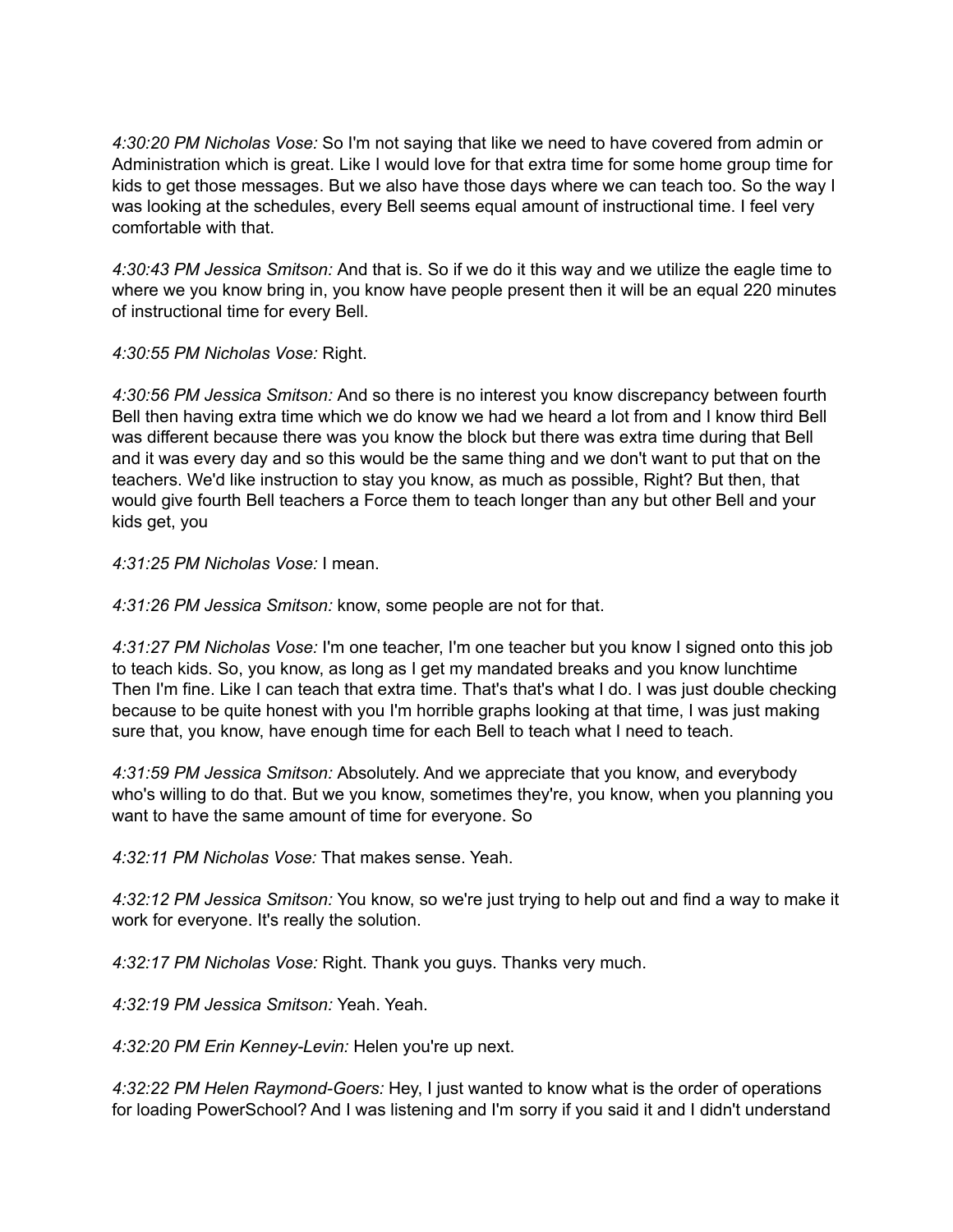*4:30:20 PM Nicholas Vose:* So I'm not saying that like we need to have covered from admin or Administration which is great. Like I would love for that extra time for some home group time for kids to get those messages. But we also have those days where we can teach too. So the way I was looking at the schedules, every Bell seems equal amount of instructional time. I feel very comfortable with that.

*4:30:43 PM Jessica Smitson:* And that is. So if we do it this way and we utilize the eagle time to where we you know bring in, you know have people present then it will be an equal 220 minutes of instructional time for every Bell.

*4:30:55 PM Nicholas Vose:* Right.

*4:30:56 PM Jessica Smitson:* And so there is no interest you know discrepancy between fourth Bell then having extra time which we do know we had we heard a lot from and I know third Bell was different because there was you know the block but there was extra time during that Bell and it was every day and so this would be the same thing and we don't want to put that on the teachers. We'd like instruction to stay you know, as much as possible, Right? But then, that would give fourth Bell teachers a Force them to teach longer than any but other Bell and your kids get, you

*4:31:25 PM Nicholas Vose:* I mean.

*4:31:26 PM Jessica Smitson:* know, some people are not for that.

*4:31:27 PM Nicholas Vose:* I'm one teacher, I'm one teacher but you know I signed onto this job to teach kids. So, you know, as long as I get my mandated breaks and you know lunchtime Then I'm fine. Like I can teach that extra time. That's that's what I do. I was just double checking because to be quite honest with you I'm horrible graphs looking at that time, I was just making sure that, you know, have enough time for each Bell to teach what I need to teach.

*4:31:59 PM Jessica Smitson:* Absolutely. And we appreciate that you know, and everybody who's willing to do that. But we you know, sometimes they're, you know, when you planning you want to have the same amount of time for everyone. So

*4:32:11 PM Nicholas Vose:* That makes sense. Yeah.

*4:32:12 PM Jessica Smitson:* You know, so we're just trying to help out and find a way to make it work for everyone. It's really the solution.

*4:32:17 PM Nicholas Vose:* Right. Thank you guys. Thanks very much.

*4:32:19 PM Jessica Smitson:* Yeah. Yeah.

*4:32:20 PM Erin Kenney-Levin:* Helen you're up next.

*4:32:22 PM Helen Raymond-Goers:* Hey, I just wanted to know what is the order of operations for loading PowerSchool? And I was listening and I'm sorry if you said it and I didn't understand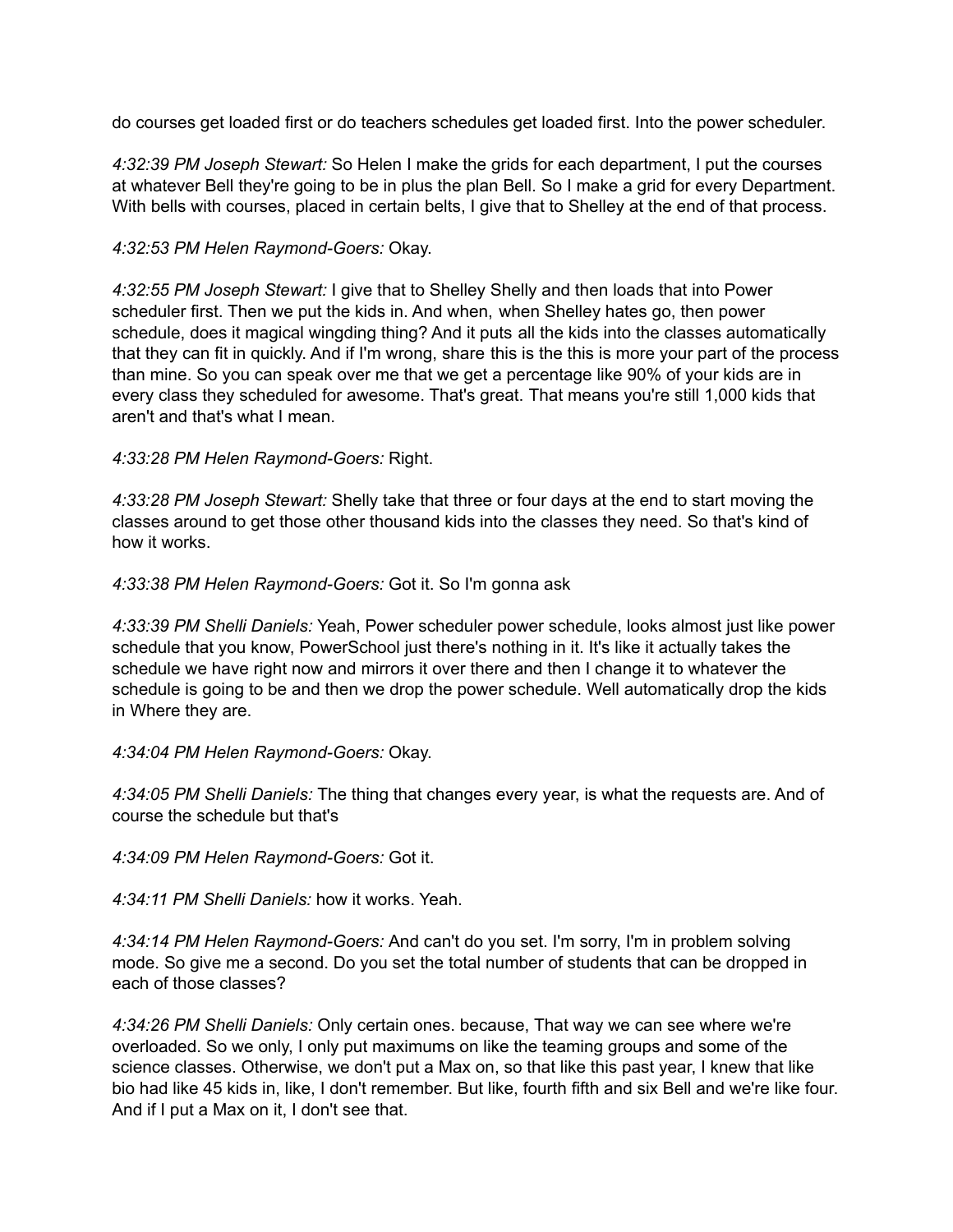do courses get loaded first or do teachers schedules get loaded first. Into the power scheduler.

*4:32:39 PM Joseph Stewart:* So Helen I make the grids for each department, I put the courses at whatever Bell they're going to be in plus the plan Bell. So I make a grid for every Department. With bells with courses, placed in certain belts, I give that to Shelley at the end of that process.

## *4:32:53 PM Helen Raymond-Goers:* Okay.

*4:32:55 PM Joseph Stewart:* I give that to Shelley Shelly and then loads that into Power scheduler first. Then we put the kids in. And when, when Shelley hates go, then power schedule, does it magical wingding thing? And it puts all the kids into the classes automatically that they can fit in quickly. And if I'm wrong, share this is the this is more your part of the process than mine. So you can speak over me that we get a percentage like 90% of your kids are in every class they scheduled for awesome. That's great. That means you're still 1,000 kids that aren't and that's what I mean.

## *4:33:28 PM Helen Raymond-Goers:* Right.

*4:33:28 PM Joseph Stewart:* Shelly take that three or four days at the end to start moving the classes around to get those other thousand kids into the classes they need. So that's kind of how it works.

*4:33:38 PM Helen Raymond-Goers:* Got it. So I'm gonna ask

*4:33:39 PM Shelli Daniels:* Yeah, Power scheduler power schedule, looks almost just like power schedule that you know, PowerSchool just there's nothing in it. It's like it actually takes the schedule we have right now and mirrors it over there and then I change it to whatever the schedule is going to be and then we drop the power schedule. Well automatically drop the kids in Where they are.

## *4:34:04 PM Helen Raymond-Goers:* Okay.

*4:34:05 PM Shelli Daniels:* The thing that changes every year, is what the requests are. And of course the schedule but that's

*4:34:09 PM Helen Raymond-Goers:* Got it.

*4:34:11 PM Shelli Daniels:* how it works. Yeah.

*4:34:14 PM Helen Raymond-Goers:* And can't do you set. I'm sorry, I'm in problem solving mode. So give me a second. Do you set the total number of students that can be dropped in each of those classes?

*4:34:26 PM Shelli Daniels:* Only certain ones. because, That way we can see where we're overloaded. So we only, I only put maximums on like the teaming groups and some of the science classes. Otherwise, we don't put a Max on, so that like this past year, I knew that like bio had like 45 kids in, like, I don't remember. But like, fourth fifth and six Bell and we're like four. And if I put a Max on it, I don't see that.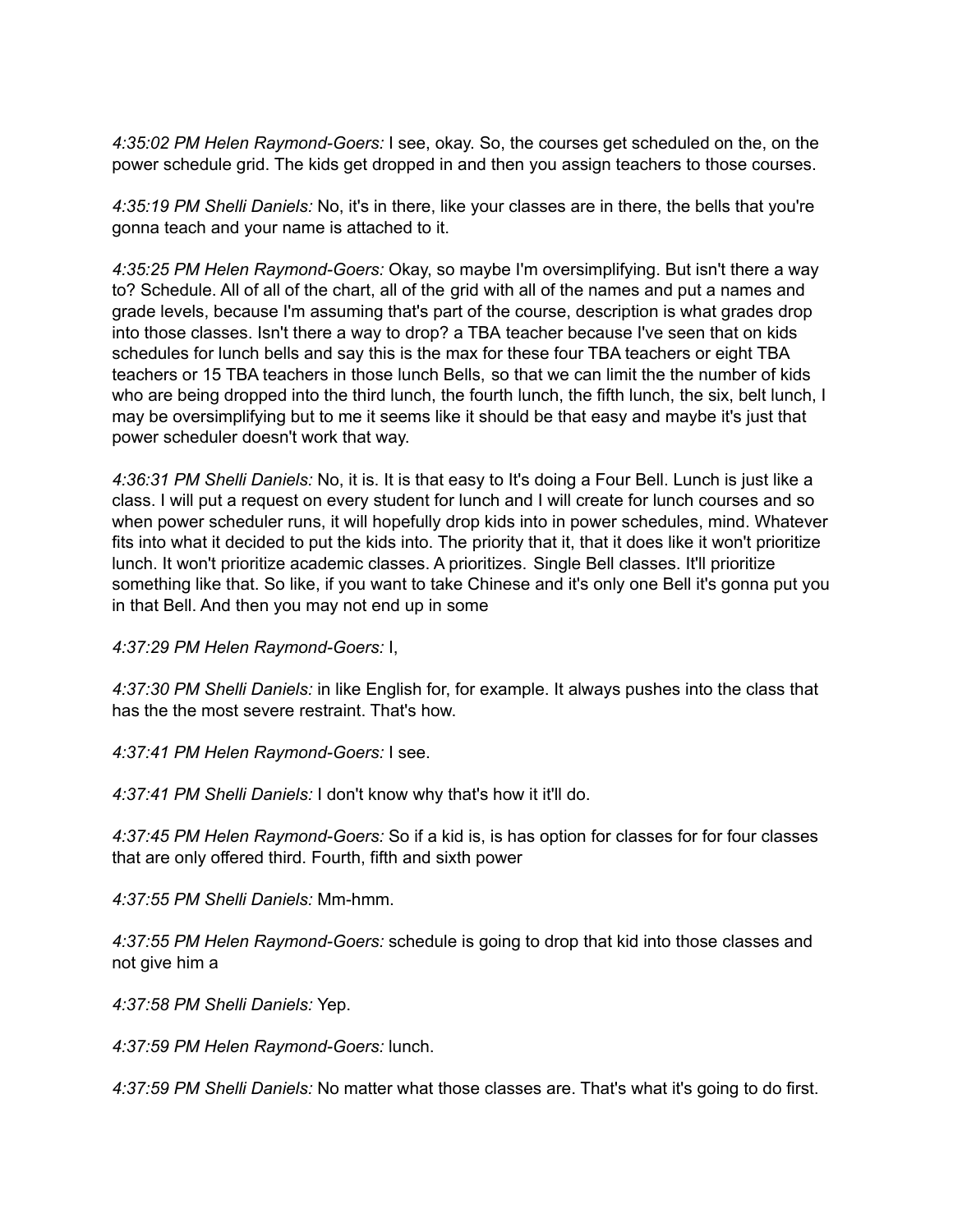*4:35:02 PM Helen Raymond-Goers:* I see, okay. So, the courses get scheduled on the, on the power schedule grid. The kids get dropped in and then you assign teachers to those courses.

*4:35:19 PM Shelli Daniels:* No, it's in there, like your classes are in there, the bells that you're gonna teach and your name is attached to it.

*4:35:25 PM Helen Raymond-Goers:* Okay, so maybe I'm oversimplifying. But isn't there a way to? Schedule. All of all of the chart, all of the grid with all of the names and put a names and grade levels, because I'm assuming that's part of the course, description is what grades drop into those classes. Isn't there a way to drop? a TBA teacher because I've seen that on kids schedules for lunch bells and say this is the max for these four TBA teachers or eight TBA teachers or 15 TBA teachers in those lunch Bells, so that we can limit the the number of kids who are being dropped into the third lunch, the fourth lunch, the fifth lunch, the six, belt lunch, I may be oversimplifying but to me it seems like it should be that easy and maybe it's just that power scheduler doesn't work that way.

*4:36:31 PM Shelli Daniels:* No, it is. It is that easy to It's doing a Four Bell. Lunch is just like a class. I will put a request on every student for lunch and I will create for lunch courses and so when power scheduler runs, it will hopefully drop kids into in power schedules, mind. Whatever fits into what it decided to put the kids into. The priority that it, that it does like it won't prioritize lunch. It won't prioritize academic classes. A prioritizes. Single Bell classes. It'll prioritize something like that. So like, if you want to take Chinese and it's only one Bell it's gonna put you in that Bell. And then you may not end up in some

*4:37:29 PM Helen Raymond-Goers:* I,

*4:37:30 PM Shelli Daniels:* in like English for, for example. It always pushes into the class that has the the most severe restraint. That's how.

*4:37:41 PM Helen Raymond-Goers:* I see.

*4:37:41 PM Shelli Daniels:* I don't know why that's how it it'll do.

*4:37:45 PM Helen Raymond-Goers:* So if a kid is, is has option for classes for for four classes that are only offered third. Fourth, fifth and sixth power

*4:37:55 PM Shelli Daniels:* Mm-hmm.

*4:37:55 PM Helen Raymond-Goers:* schedule is going to drop that kid into those classes and not give him a

*4:37:58 PM Shelli Daniels:* Yep.

*4:37:59 PM Helen Raymond-Goers:* lunch.

*4:37:59 PM Shelli Daniels:* No matter what those classes are. That's what it's going to do first.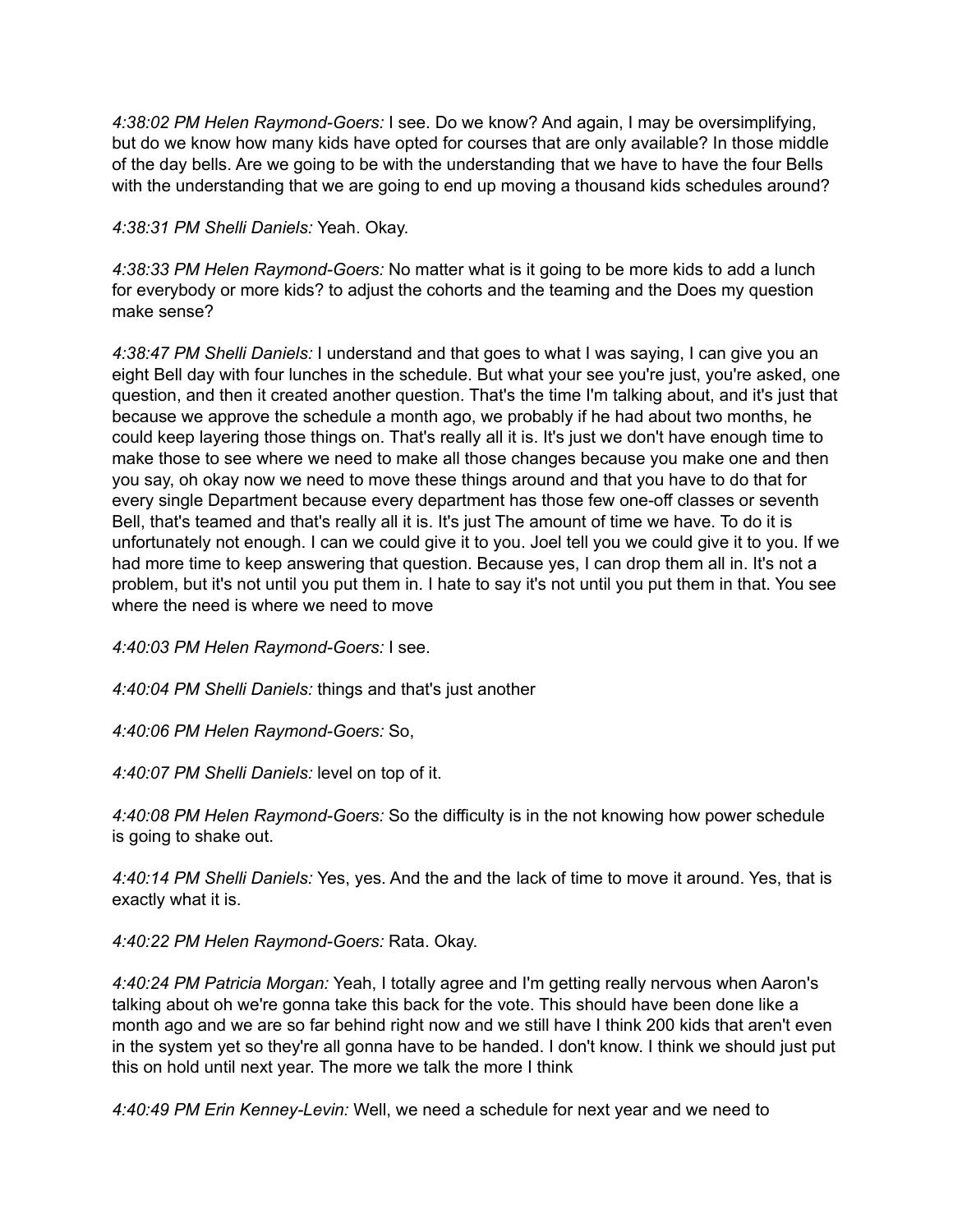*4:38:02 PM Helen Raymond-Goers:* I see. Do we know? And again, I may be oversimplifying, but do we know how many kids have opted for courses that are only available? In those middle of the day bells. Are we going to be with the understanding that we have to have the four Bells with the understanding that we are going to end up moving a thousand kids schedules around?

*4:38:31 PM Shelli Daniels:* Yeah. Okay.

*4:38:33 PM Helen Raymond-Goers:* No matter what is it going to be more kids to add a lunch for everybody or more kids? to adjust the cohorts and the teaming and the Does my question make sense?

*4:38:47 PM Shelli Daniels:* I understand and that goes to what I was saying, I can give you an eight Bell day with four lunches in the schedule. But what your see you're just, you're asked, one question, and then it created another question. That's the time I'm talking about, and it's just that because we approve the schedule a month ago, we probably if he had about two months, he could keep layering those things on. That's really all it is. It's just we don't have enough time to make those to see where we need to make all those changes because you make one and then you say, oh okay now we need to move these things around and that you have to do that for every single Department because every department has those few one-off classes or seventh Bell, that's teamed and that's really all it is. It's just The amount of time we have. To do it is unfortunately not enough. I can we could give it to you. Joel tell you we could give it to you. If we had more time to keep answering that question. Because yes, I can drop them all in. It's not a problem, but it's not until you put them in. I hate to say it's not until you put them in that. You see where the need is where we need to move

*4:40:03 PM Helen Raymond-Goers:* I see.

*4:40:04 PM Shelli Daniels:* things and that's just another

*4:40:06 PM Helen Raymond-Goers:* So,

*4:40:07 PM Shelli Daniels:* level on top of it.

*4:40:08 PM Helen Raymond-Goers:* So the difficulty is in the not knowing how power schedule is going to shake out.

*4:40:14 PM Shelli Daniels:* Yes, yes. And the and the lack of time to move it around. Yes, that is exactly what it is.

*4:40:22 PM Helen Raymond-Goers:* Rata. Okay.

*4:40:24 PM Patricia Morgan:* Yeah, I totally agree and I'm getting really nervous when Aaron's talking about oh we're gonna take this back for the vote. This should have been done like a month ago and we are so far behind right now and we still have I think 200 kids that aren't even in the system yet so they're all gonna have to be handed. I don't know. I think we should just put this on hold until next year. The more we talk the more I think

*4:40:49 PM Erin Kenney-Levin:* Well, we need a schedule for next year and we need to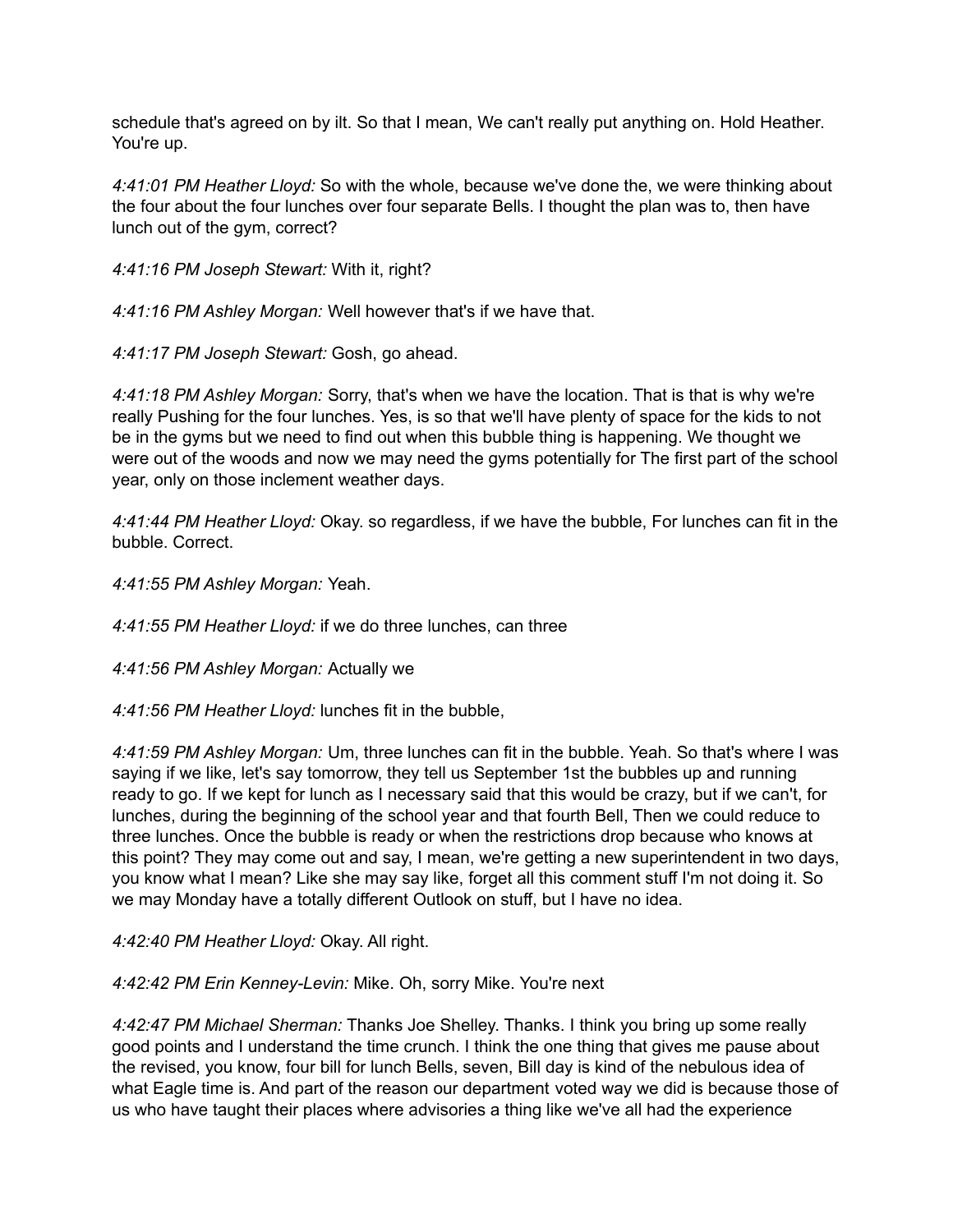schedule that's agreed on by ilt. So that I mean, We can't really put anything on. Hold Heather. You're up.

*4:41:01 PM Heather Lloyd:* So with the whole, because we've done the, we were thinking about the four about the four lunches over four separate Bells. I thought the plan was to, then have lunch out of the gym, correct?

*4:41:16 PM Joseph Stewart:* With it, right?

*4:41:16 PM Ashley Morgan:* Well however that's if we have that.

*4:41:17 PM Joseph Stewart:* Gosh, go ahead.

*4:41:18 PM Ashley Morgan:* Sorry, that's when we have the location. That is that is why we're really Pushing for the four lunches. Yes, is so that we'll have plenty of space for the kids to not be in the gyms but we need to find out when this bubble thing is happening. We thought we were out of the woods and now we may need the gyms potentially for The first part of the school year, only on those inclement weather days.

*4:41:44 PM Heather Lloyd:* Okay. so regardless, if we have the bubble, For lunches can fit in the bubble. Correct.

*4:41:55 PM Ashley Morgan:* Yeah.

*4:41:55 PM Heather Lloyd:* if we do three lunches, can three

*4:41:56 PM Ashley Morgan:* Actually we

*4:41:56 PM Heather Lloyd:* lunches fit in the bubble,

*4:41:59 PM Ashley Morgan:* Um, three lunches can fit in the bubble. Yeah. So that's where I was saying if we like, let's say tomorrow, they tell us September 1st the bubbles up and running ready to go. If we kept for lunch as I necessary said that this would be crazy, but if we can't, for lunches, during the beginning of the school year and that fourth Bell, Then we could reduce to three lunches. Once the bubble is ready or when the restrictions drop because who knows at this point? They may come out and say, I mean, we're getting a new superintendent in two days, you know what I mean? Like she may say like, forget all this comment stuff I'm not doing it. So we may Monday have a totally different Outlook on stuff, but I have no idea.

*4:42:40 PM Heather Lloyd:* Okay. All right.

*4:42:42 PM Erin Kenney-Levin:* Mike. Oh, sorry Mike. You're next

*4:42:47 PM Michael Sherman:* Thanks Joe Shelley. Thanks. I think you bring up some really good points and I understand the time crunch. I think the one thing that gives me pause about the revised, you know, four bill for lunch Bells, seven, Bill day is kind of the nebulous idea of what Eagle time is. And part of the reason our department voted way we did is because those of us who have taught their places where advisories a thing like we've all had the experience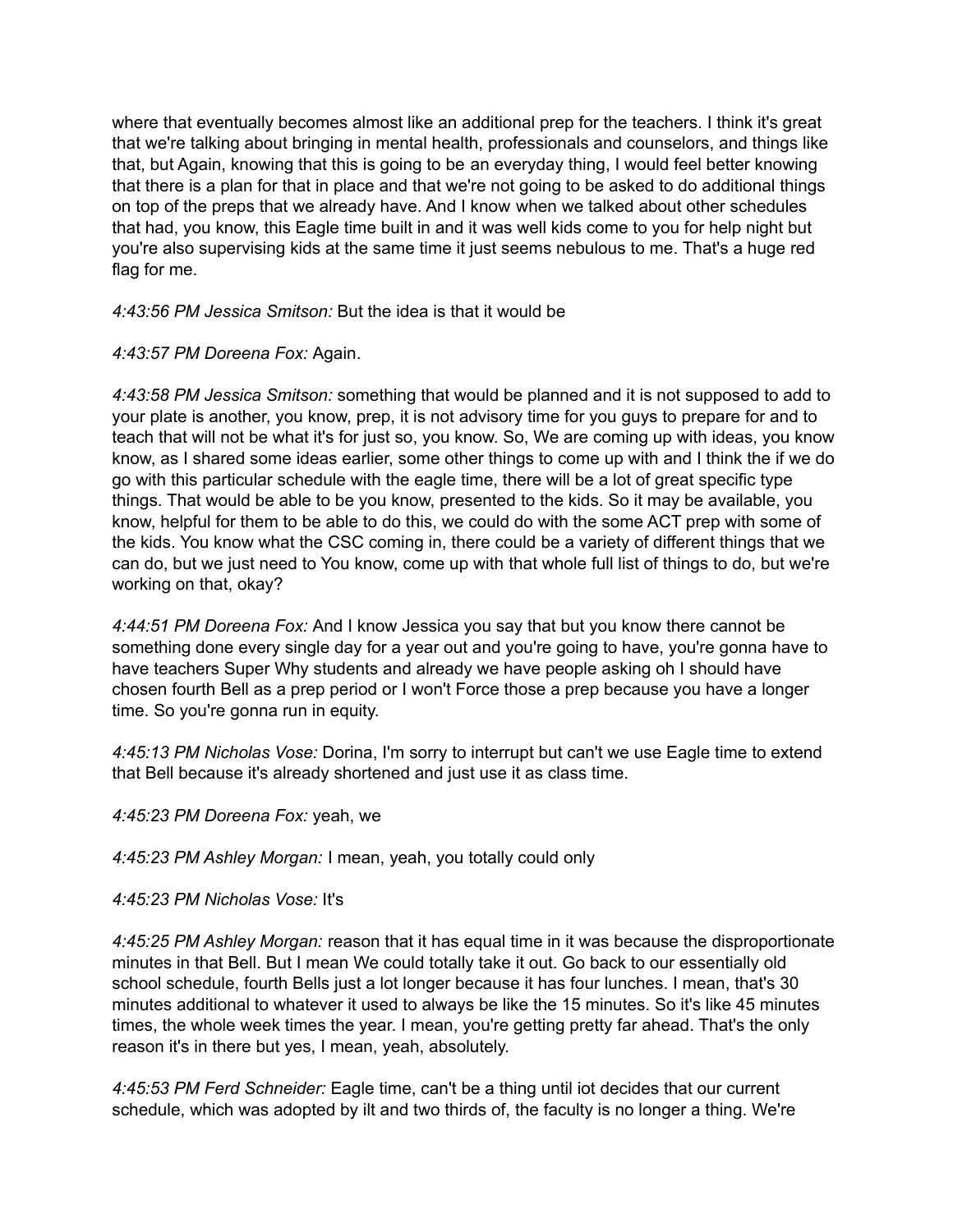where that eventually becomes almost like an additional prep for the teachers. I think it's great that we're talking about bringing in mental health, professionals and counselors, and things like that, but Again, knowing that this is going to be an everyday thing, I would feel better knowing that there is a plan for that in place and that we're not going to be asked to do additional things on top of the preps that we already have. And I know when we talked about other schedules that had, you know, this Eagle time built in and it was well kids come to you for help night but you're also supervising kids at the same time it just seems nebulous to me. That's a huge red flag for me.

*4:43:56 PM Jessica Smitson:* But the idea is that it would be

## *4:43:57 PM Doreena Fox:* Again.

*4:43:58 PM Jessica Smitson:* something that would be planned and it is not supposed to add to your plate is another, you know, prep, it is not advisory time for you guys to prepare for and to teach that will not be what it's for just so, you know. So, We are coming up with ideas, you know know, as I shared some ideas earlier, some other things to come up with and I think the if we do go with this particular schedule with the eagle time, there will be a lot of great specific type things. That would be able to be you know, presented to the kids. So it may be available, you know, helpful for them to be able to do this, we could do with the some ACT prep with some of the kids. You know what the CSC coming in, there could be a variety of different things that we can do, but we just need to You know, come up with that whole full list of things to do, but we're working on that, okay?

*4:44:51 PM Doreena Fox:* And I know Jessica you say that but you know there cannot be something done every single day for a year out and you're going to have, you're gonna have to have teachers Super Why students and already we have people asking oh I should have chosen fourth Bell as a prep period or I won't Force those a prep because you have a longer time. So you're gonna run in equity.

*4:45:13 PM Nicholas Vose:* Dorina, I'm sorry to interrupt but can't we use Eagle time to extend that Bell because it's already shortened and just use it as class time.

*4:45:23 PM Doreena Fox:* yeah, we

*4:45:23 PM Ashley Morgan:* I mean, yeah, you totally could only

*4:45:23 PM Nicholas Vose:* It's

*4:45:25 PM Ashley Morgan:* reason that it has equal time in it was because the disproportionate minutes in that Bell. But I mean We could totally take it out. Go back to our essentially old school schedule, fourth Bells just a lot longer because it has four lunches. I mean, that's 30 minutes additional to whatever it used to always be like the 15 minutes. So it's like 45 minutes times, the whole week times the year. I mean, you're getting pretty far ahead. That's the only reason it's in there but yes, I mean, yeah, absolutely.

*4:45:53 PM Ferd Schneider:* Eagle time, can't be a thing until iot decides that our current schedule, which was adopted by ilt and two thirds of, the faculty is no longer a thing. We're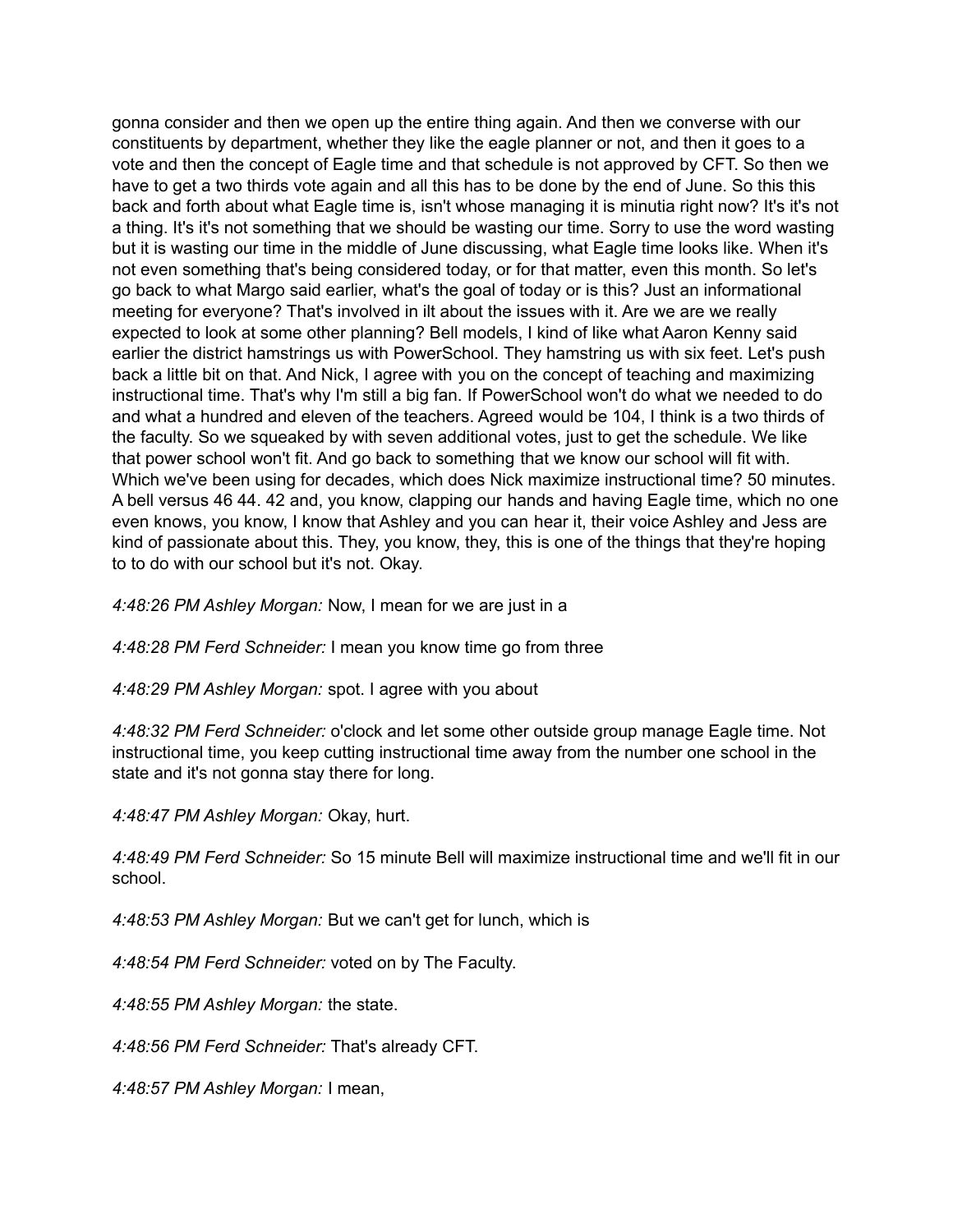gonna consider and then we open up the entire thing again. And then we converse with our constituents by department, whether they like the eagle planner or not, and then it goes to a vote and then the concept of Eagle time and that schedule is not approved by CFT. So then we have to get a two thirds vote again and all this has to be done by the end of June. So this this back and forth about what Eagle time is, isn't whose managing it is minutia right now? It's it's not a thing. It's it's not something that we should be wasting our time. Sorry to use the word wasting but it is wasting our time in the middle of June discussing, what Eagle time looks like. When it's not even something that's being considered today, or for that matter, even this month. So let's go back to what Margo said earlier, what's the goal of today or is this? Just an informational meeting for everyone? That's involved in ilt about the issues with it. Are we are we really expected to look at some other planning? Bell models, I kind of like what Aaron Kenny said earlier the district hamstrings us with PowerSchool. They hamstring us with six feet. Let's push back a little bit on that. And Nick, I agree with you on the concept of teaching and maximizing instructional time. That's why I'm still a big fan. If PowerSchool won't do what we needed to do and what a hundred and eleven of the teachers. Agreed would be 104, I think is a two thirds of the faculty. So we squeaked by with seven additional votes, just to get the schedule. We like that power school won't fit. And go back to something that we know our school will fit with. Which we've been using for decades, which does Nick maximize instructional time? 50 minutes. A bell versus 46 44. 42 and, you know, clapping our hands and having Eagle time, which no one even knows, you know, I know that Ashley and you can hear it, their voice Ashley and Jess are kind of passionate about this. They, you know, they, this is one of the things that they're hoping to to do with our school but it's not. Okay.

*4:48:26 PM Ashley Morgan:* Now, I mean for we are just in a

*4:48:28 PM Ferd Schneider:* I mean you know time go from three

*4:48:29 PM Ashley Morgan:* spot. I agree with you about

*4:48:32 PM Ferd Schneider:* o'clock and let some other outside group manage Eagle time. Not instructional time, you keep cutting instructional time away from the number one school in the state and it's not gonna stay there for long.

*4:48:47 PM Ashley Morgan:* Okay, hurt.

*4:48:49 PM Ferd Schneider:* So 15 minute Bell will maximize instructional time and we'll fit in our school.

*4:48:53 PM Ashley Morgan:* But we can't get for lunch, which is

*4:48:54 PM Ferd Schneider:* voted on by The Faculty.

*4:48:55 PM Ashley Morgan:* the state.

*4:48:56 PM Ferd Schneider:* That's already CFT.

*4:48:57 PM Ashley Morgan:* I mean,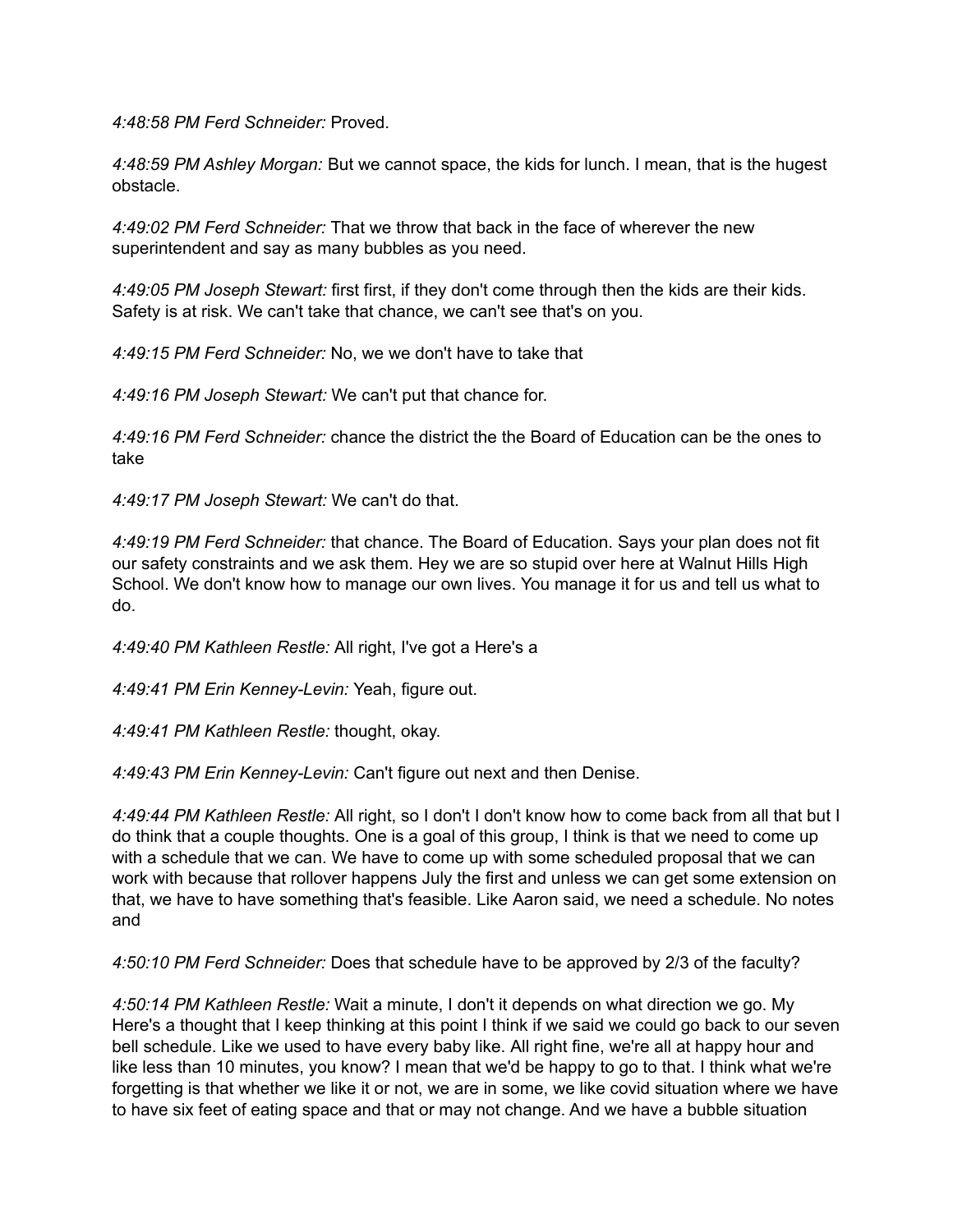*4:48:58 PM Ferd Schneider:* Proved.

*4:48:59 PM Ashley Morgan:* But we cannot space, the kids for lunch. I mean, that is the hugest obstacle.

*4:49:02 PM Ferd Schneider:* That we throw that back in the face of wherever the new superintendent and say as many bubbles as you need.

*4:49:05 PM Joseph Stewart:* first first, if they don't come through then the kids are their kids. Safety is at risk. We can't take that chance, we can't see that's on you.

*4:49:15 PM Ferd Schneider:* No, we we don't have to take that

*4:49:16 PM Joseph Stewart:* We can't put that chance for.

*4:49:16 PM Ferd Schneider:* chance the district the the Board of Education can be the ones to take

*4:49:17 PM Joseph Stewart:* We can't do that.

*4:49:19 PM Ferd Schneider:* that chance. The Board of Education. Says your plan does not fit our safety constraints and we ask them. Hey we are so stupid over here at Walnut Hills High School. We don't know how to manage our own lives. You manage it for us and tell us what to do.

*4:49:40 PM Kathleen Restle:* All right, I've got a Here's a

*4:49:41 PM Erin Kenney-Levin:* Yeah, figure out.

*4:49:41 PM Kathleen Restle:* thought, okay.

*4:49:43 PM Erin Kenney-Levin:* Can't figure out next and then Denise.

*4:49:44 PM Kathleen Restle:* All right, so I don't I don't know how to come back from all that but I do think that a couple thoughts. One is a goal of this group, I think is that we need to come up with a schedule that we can. We have to come up with some scheduled proposal that we can work with because that rollover happens July the first and unless we can get some extension on that, we have to have something that's feasible. Like Aaron said, we need a schedule. No notes and

*4:50:10 PM Ferd Schneider:* Does that schedule have to be approved by 2/3 of the faculty?

*4:50:14 PM Kathleen Restle:* Wait a minute, I don't it depends on what direction we go. My Here's a thought that I keep thinking at this point I think if we said we could go back to our seven bell schedule. Like we used to have every baby like. All right fine, we're all at happy hour and like less than 10 minutes, you know? I mean that we'd be happy to go to that. I think what we're forgetting is that whether we like it or not, we are in some, we like covid situation where we have to have six feet of eating space and that or may not change. And we have a bubble situation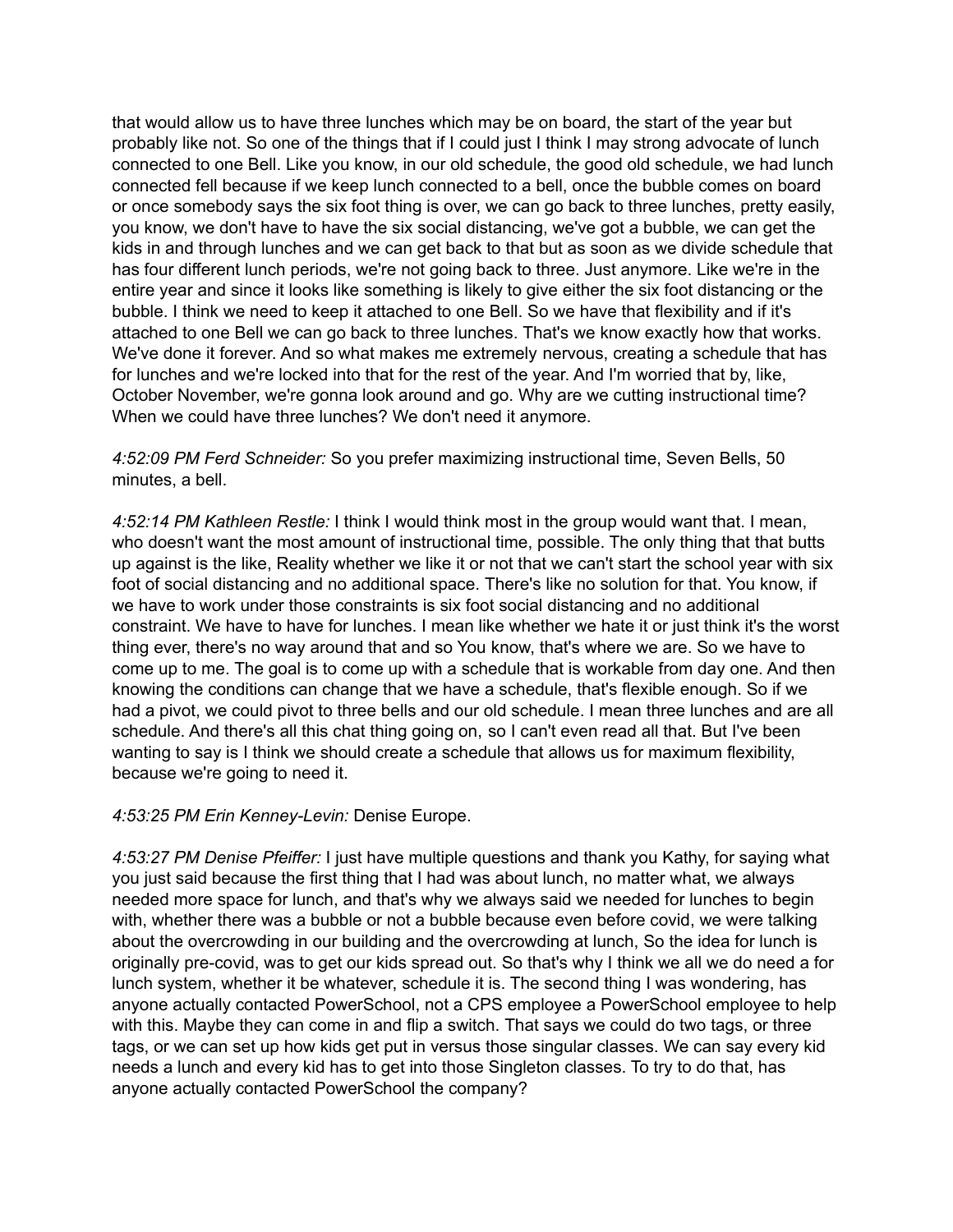that would allow us to have three lunches which may be on board, the start of the year but probably like not. So one of the things that if I could just I think I may strong advocate of lunch connected to one Bell. Like you know, in our old schedule, the good old schedule, we had lunch connected fell because if we keep lunch connected to a bell, once the bubble comes on board or once somebody says the six foot thing is over, we can go back to three lunches, pretty easily, you know, we don't have to have the six social distancing, we've got a bubble, we can get the kids in and through lunches and we can get back to that but as soon as we divide schedule that has four different lunch periods, we're not going back to three. Just anymore. Like we're in the entire year and since it looks like something is likely to give either the six foot distancing or the bubble. I think we need to keep it attached to one Bell. So we have that flexibility and if it's attached to one Bell we can go back to three lunches. That's we know exactly how that works. We've done it forever. And so what makes me extremely nervous, creating a schedule that has for lunches and we're locked into that for the rest of the year. And I'm worried that by, like, October November, we're gonna look around and go. Why are we cutting instructional time? When we could have three lunches? We don't need it anymore.

*4:52:09 PM Ferd Schneider:* So you prefer maximizing instructional time, Seven Bells, 50 minutes, a bell.

*4:52:14 PM Kathleen Restle:* I think I would think most in the group would want that. I mean, who doesn't want the most amount of instructional time, possible. The only thing that that butts up against is the like, Reality whether we like it or not that we can't start the school year with six foot of social distancing and no additional space. There's like no solution for that. You know, if we have to work under those constraints is six foot social distancing and no additional constraint. We have to have for lunches. I mean like whether we hate it or just think it's the worst thing ever, there's no way around that and so You know, that's where we are. So we have to come up to me. The goal is to come up with a schedule that is workable from day one. And then knowing the conditions can change that we have a schedule, that's flexible enough. So if we had a pivot, we could pivot to three bells and our old schedule. I mean three lunches and are all schedule. And there's all this chat thing going on, so I can't even read all that. But I've been wanting to say is I think we should create a schedule that allows us for maximum flexibility, because we're going to need it.

*4:53:25 PM Erin Kenney-Levin:* Denise Europe.

*4:53:27 PM Denise Pfeiffer:* I just have multiple questions and thank you Kathy, for saying what you just said because the first thing that I had was about lunch, no matter what, we always needed more space for lunch, and that's why we always said we needed for lunches to begin with, whether there was a bubble or not a bubble because even before covid, we were talking about the overcrowding in our building and the overcrowding at lunch, So the idea for lunch is originally pre-covid, was to get our kids spread out. So that's why I think we all we do need a for lunch system, whether it be whatever, schedule it is. The second thing I was wondering, has anyone actually contacted PowerSchool, not a CPS employee a PowerSchool employee to help with this. Maybe they can come in and flip a switch. That says we could do two tags, or three tags, or we can set up how kids get put in versus those singular classes. We can say every kid needs a lunch and every kid has to get into those Singleton classes. To try to do that, has anyone actually contacted PowerSchool the company?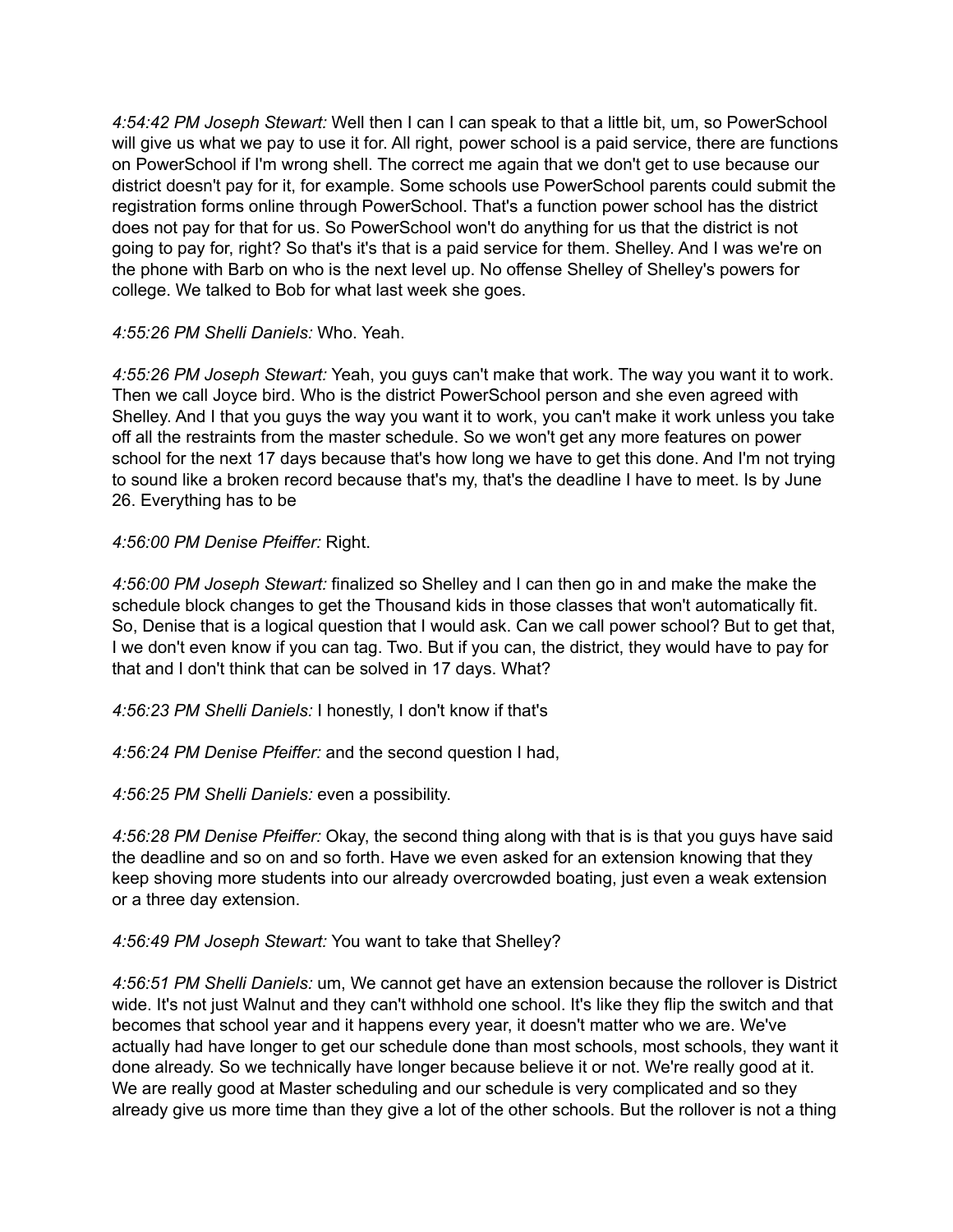*4:54:42 PM Joseph Stewart:* Well then I can I can speak to that a little bit, um, so PowerSchool will give us what we pay to use it for. All right, power school is a paid service, there are functions on PowerSchool if I'm wrong shell. The correct me again that we don't get to use because our district doesn't pay for it, for example. Some schools use PowerSchool parents could submit the registration forms online through PowerSchool. That's a function power school has the district does not pay for that for us. So PowerSchool won't do anything for us that the district is not going to pay for, right? So that's it's that is a paid service for them. Shelley. And I was we're on the phone with Barb on who is the next level up. No offense Shelley of Shelley's powers for college. We talked to Bob for what last week she goes.

*4:55:26 PM Shelli Daniels:* Who. Yeah.

*4:55:26 PM Joseph Stewart:* Yeah, you guys can't make that work. The way you want it to work. Then we call Joyce bird. Who is the district PowerSchool person and she even agreed with Shelley. And I that you guys the way you want it to work, you can't make it work unless you take off all the restraints from the master schedule. So we won't get any more features on power school for the next 17 days because that's how long we have to get this done. And I'm not trying to sound like a broken record because that's my, that's the deadline I have to meet. Is by June 26. Everything has to be

*4:56:00 PM Denise Pfeiffer:* Right.

*4:56:00 PM Joseph Stewart:* finalized so Shelley and I can then go in and make the make the schedule block changes to get the Thousand kids in those classes that won't automatically fit. So, Denise that is a logical question that I would ask. Can we call power school? But to get that, I we don't even know if you can tag. Two. But if you can, the district, they would have to pay for that and I don't think that can be solved in 17 days. What?

*4:56:23 PM Shelli Daniels:* I honestly, I don't know if that's

*4:56:24 PM Denise Pfeiffer:* and the second question I had,

*4:56:25 PM Shelli Daniels:* even a possibility.

*4:56:28 PM Denise Pfeiffer:* Okay, the second thing along with that is is that you guys have said the deadline and so on and so forth. Have we even asked for an extension knowing that they keep shoving more students into our already overcrowded boating, just even a weak extension or a three day extension.

## *4:56:49 PM Joseph Stewart:* You want to take that Shelley?

*4:56:51 PM Shelli Daniels:* um, We cannot get have an extension because the rollover is District wide. It's not just Walnut and they can't withhold one school. It's like they flip the switch and that becomes that school year and it happens every year, it doesn't matter who we are. We've actually had have longer to get our schedule done than most schools, most schools, they want it done already. So we technically have longer because believe it or not. We're really good at it. We are really good at Master scheduling and our schedule is very complicated and so they already give us more time than they give a lot of the other schools. But the rollover is not a thing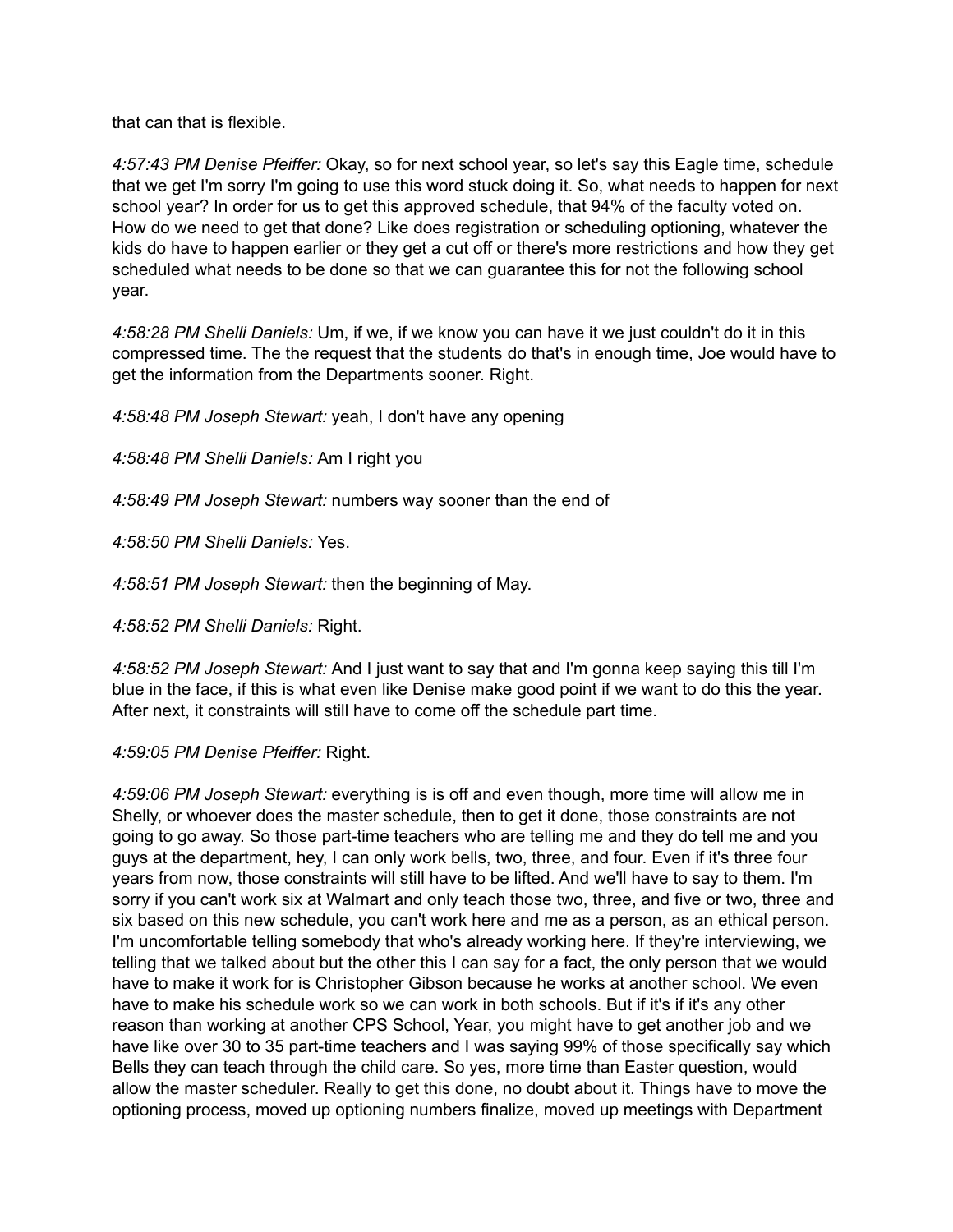that can that is flexible.

*4:57:43 PM Denise Pfeiffer:* Okay, so for next school year, so let's say this Eagle time, schedule that we get I'm sorry I'm going to use this word stuck doing it. So, what needs to happen for next school year? In order for us to get this approved schedule, that 94% of the faculty voted on. How do we need to get that done? Like does registration or scheduling optioning, whatever the kids do have to happen earlier or they get a cut off or there's more restrictions and how they get scheduled what needs to be done so that we can guarantee this for not the following school year.

*4:58:28 PM Shelli Daniels:* Um, if we, if we know you can have it we just couldn't do it in this compressed time. The the request that the students do that's in enough time, Joe would have to get the information from the Departments sooner. Right.

*4:58:48 PM Joseph Stewart:* yeah, I don't have any opening

*4:58:48 PM Shelli Daniels:* Am I right you

*4:58:49 PM Joseph Stewart:* numbers way sooner than the end of

*4:58:50 PM Shelli Daniels:* Yes.

*4:58:51 PM Joseph Stewart:* then the beginning of May.

*4:58:52 PM Shelli Daniels:* Right.

*4:58:52 PM Joseph Stewart:* And I just want to say that and I'm gonna keep saying this till I'm blue in the face, if this is what even like Denise make good point if we want to do this the year. After next, it constraints will still have to come off the schedule part time.

*4:59:05 PM Denise Pfeiffer:* Right.

*4:59:06 PM Joseph Stewart:* everything is is off and even though, more time will allow me in Shelly, or whoever does the master schedule, then to get it done, those constraints are not going to go away. So those part-time teachers who are telling me and they do tell me and you guys at the department, hey, I can only work bells, two, three, and four. Even if it's three four years from now, those constraints will still have to be lifted. And we'll have to say to them. I'm sorry if you can't work six at Walmart and only teach those two, three, and five or two, three and six based on this new schedule, you can't work here and me as a person, as an ethical person. I'm uncomfortable telling somebody that who's already working here. If they're interviewing, we telling that we talked about but the other this I can say for a fact, the only person that we would have to make it work for is Christopher Gibson because he works at another school. We even have to make his schedule work so we can work in both schools. But if it's if it's any other reason than working at another CPS School, Year, you might have to get another job and we have like over 30 to 35 part-time teachers and I was saying 99% of those specifically say which Bells they can teach through the child care. So yes, more time than Easter question, would allow the master scheduler. Really to get this done, no doubt about it. Things have to move the optioning process, moved up optioning numbers finalize, moved up meetings with Department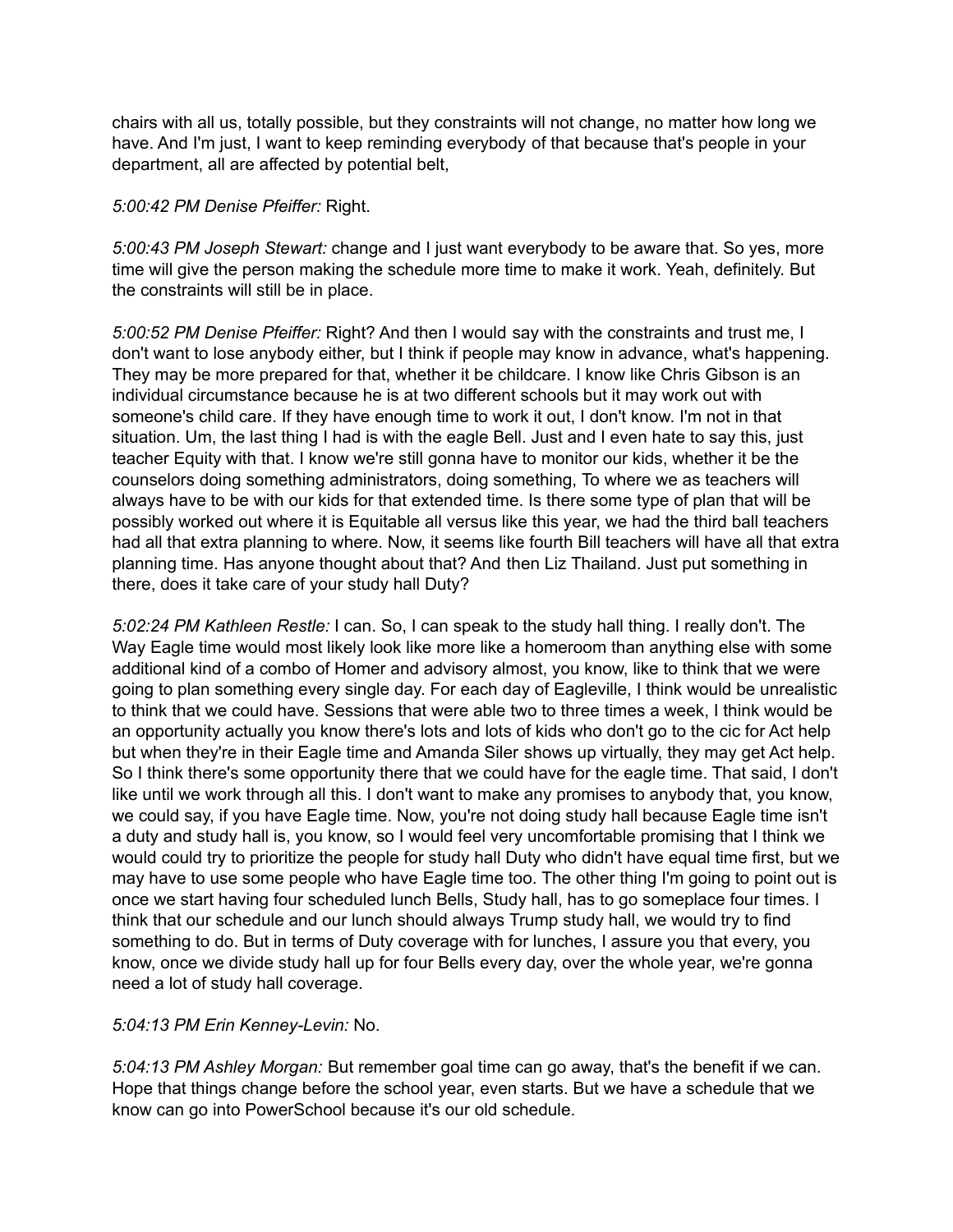chairs with all us, totally possible, but they constraints will not change, no matter how long we have. And I'm just, I want to keep reminding everybody of that because that's people in your department, all are affected by potential belt,

## *5:00:42 PM Denise Pfeiffer:* Right.

*5:00:43 PM Joseph Stewart:* change and I just want everybody to be aware that. So yes, more time will give the person making the schedule more time to make it work. Yeah, definitely. But the constraints will still be in place.

*5:00:52 PM Denise Pfeiffer:* Right? And then I would say with the constraints and trust me, I don't want to lose anybody either, but I think if people may know in advance, what's happening. They may be more prepared for that, whether it be childcare. I know like Chris Gibson is an individual circumstance because he is at two different schools but it may work out with someone's child care. If they have enough time to work it out, I don't know. I'm not in that situation. Um, the last thing I had is with the eagle Bell. Just and I even hate to say this, just teacher Equity with that. I know we're still gonna have to monitor our kids, whether it be the counselors doing something administrators, doing something, To where we as teachers will always have to be with our kids for that extended time. Is there some type of plan that will be possibly worked out where it is Equitable all versus like this year, we had the third ball teachers had all that extra planning to where. Now, it seems like fourth Bill teachers will have all that extra planning time. Has anyone thought about that? And then Liz Thailand. Just put something in there, does it take care of your study hall Duty?

*5:02:24 PM Kathleen Restle:* I can. So, I can speak to the study hall thing. I really don't. The Way Eagle time would most likely look like more like a homeroom than anything else with some additional kind of a combo of Homer and advisory almost, you know, like to think that we were going to plan something every single day. For each day of Eagleville, I think would be unrealistic to think that we could have. Sessions that were able two to three times a week, I think would be an opportunity actually you know there's lots and lots of kids who don't go to the cic for Act help but when they're in their Eagle time and Amanda Siler shows up virtually, they may get Act help. So I think there's some opportunity there that we could have for the eagle time. That said, I don't like until we work through all this. I don't want to make any promises to anybody that, you know, we could say, if you have Eagle time. Now, you're not doing study hall because Eagle time isn't a duty and study hall is, you know, so I would feel very uncomfortable promising that I think we would could try to prioritize the people for study hall Duty who didn't have equal time first, but we may have to use some people who have Eagle time too. The other thing I'm going to point out is once we start having four scheduled lunch Bells, Study hall, has to go someplace four times. I think that our schedule and our lunch should always Trump study hall, we would try to find something to do. But in terms of Duty coverage with for lunches, I assure you that every, you know, once we divide study hall up for four Bells every day, over the whole year, we're gonna need a lot of study hall coverage.

# *5:04:13 PM Erin Kenney-Levin:* No.

*5:04:13 PM Ashley Morgan:* But remember goal time can go away, that's the benefit if we can. Hope that things change before the school year, even starts. But we have a schedule that we know can go into PowerSchool because it's our old schedule.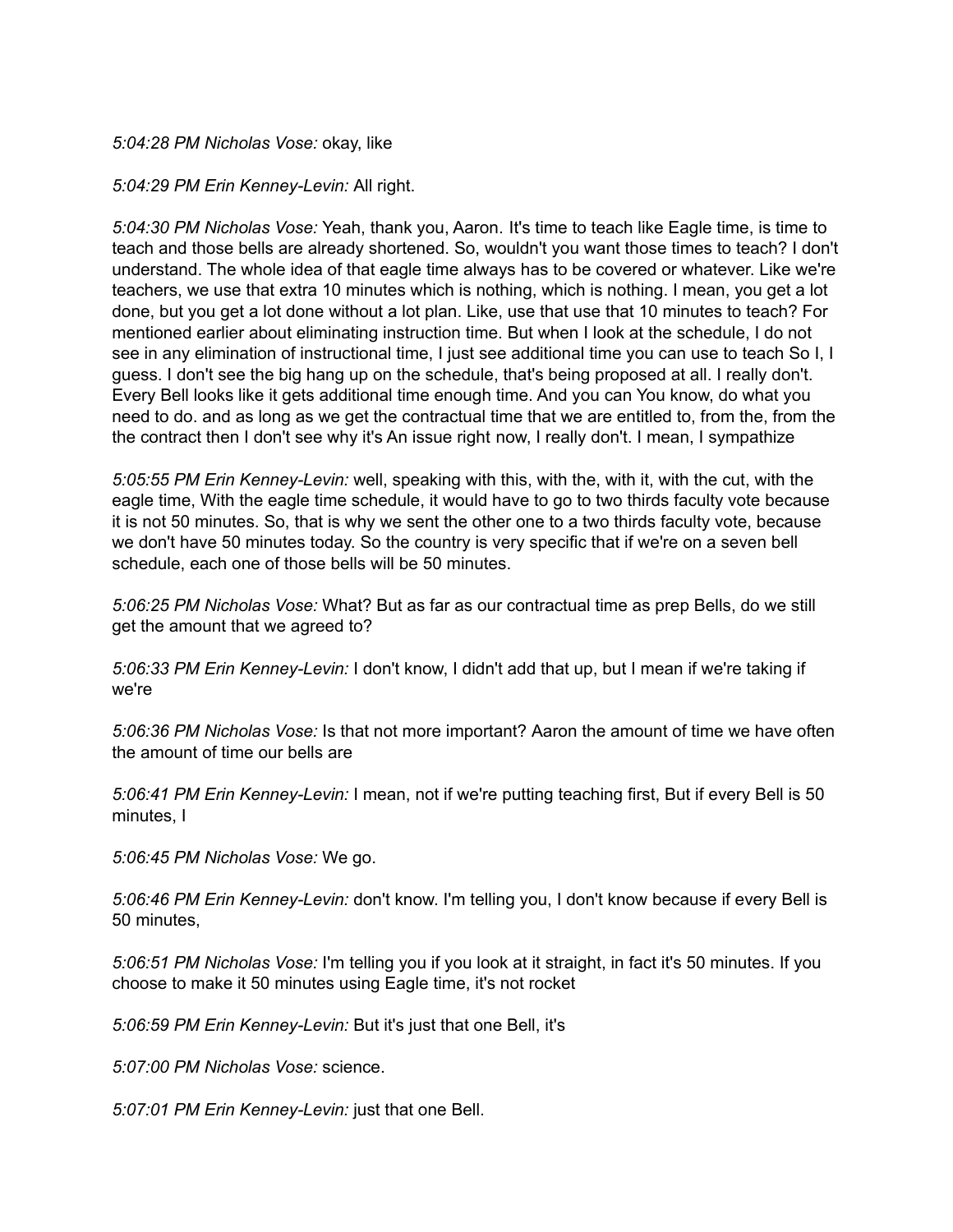#### *5:04:28 PM Nicholas Vose:* okay, like

#### *5:04:29 PM Erin Kenney-Levin:* All right.

*5:04:30 PM Nicholas Vose:* Yeah, thank you, Aaron. It's time to teach like Eagle time, is time to teach and those bells are already shortened. So, wouldn't you want those times to teach? I don't understand. The whole idea of that eagle time always has to be covered or whatever. Like we're teachers, we use that extra 10 minutes which is nothing, which is nothing. I mean, you get a lot done, but you get a lot done without a lot plan. Like, use that use that 10 minutes to teach? For mentioned earlier about eliminating instruction time. But when I look at the schedule, I do not see in any elimination of instructional time, I just see additional time you can use to teach So I, I guess. I don't see the big hang up on the schedule, that's being proposed at all. I really don't. Every Bell looks like it gets additional time enough time. And you can You know, do what you need to do. and as long as we get the contractual time that we are entitled to, from the, from the the contract then I don't see why it's An issue right now, I really don't. I mean, I sympathize

*5:05:55 PM Erin Kenney-Levin:* well, speaking with this, with the, with it, with the cut, with the eagle time, With the eagle time schedule, it would have to go to two thirds faculty vote because it is not 50 minutes. So, that is why we sent the other one to a two thirds faculty vote, because we don't have 50 minutes today. So the country is very specific that if we're on a seven bell schedule, each one of those bells will be 50 minutes.

*5:06:25 PM Nicholas Vose:* What? But as far as our contractual time as prep Bells, do we still get the amount that we agreed to?

*5:06:33 PM Erin Kenney-Levin:* I don't know, I didn't add that up, but I mean if we're taking if we're

*5:06:36 PM Nicholas Vose:* Is that not more important? Aaron the amount of time we have often the amount of time our bells are

*5:06:41 PM Erin Kenney-Levin:* I mean, not if we're putting teaching first, But if every Bell is 50 minutes, I

*5:06:45 PM Nicholas Vose:* We go.

*5:06:46 PM Erin Kenney-Levin:* don't know. I'm telling you, I don't know because if every Bell is 50 minutes,

*5:06:51 PM Nicholas Vose:* I'm telling you if you look at it straight, in fact it's 50 minutes. If you choose to make it 50 minutes using Eagle time, it's not rocket

*5:06:59 PM Erin Kenney-Levin:* But it's just that one Bell, it's

*5:07:00 PM Nicholas Vose:* science.

*5:07:01 PM Erin Kenney-Levin:* just that one Bell.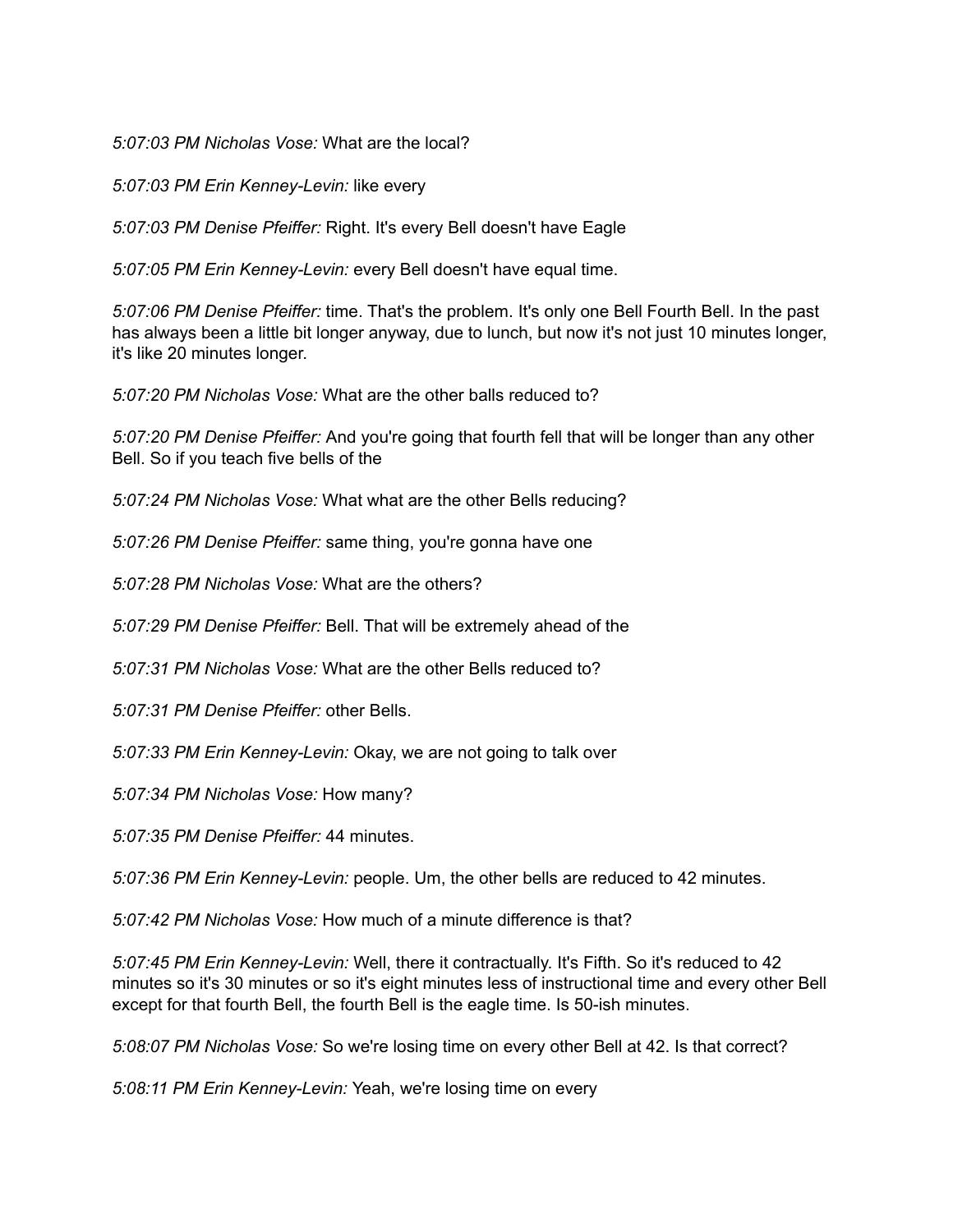#### *5:07:03 PM Nicholas Vose:* What are the local?

*5:07:03 PM Erin Kenney-Levin:* like every

*5:07:03 PM Denise Pfeiffer:* Right. It's every Bell doesn't have Eagle

*5:07:05 PM Erin Kenney-Levin:* every Bell doesn't have equal time.

*5:07:06 PM Denise Pfeiffer:* time. That's the problem. It's only one Bell Fourth Bell. In the past has always been a little bit longer anyway, due to lunch, but now it's not just 10 minutes longer, it's like 20 minutes longer.

*5:07:20 PM Nicholas Vose:* What are the other balls reduced to?

*5:07:20 PM Denise Pfeiffer:* And you're going that fourth fell that will be longer than any other Bell. So if you teach five bells of the

*5:07:24 PM Nicholas Vose:* What what are the other Bells reducing?

*5:07:26 PM Denise Pfeiffer:* same thing, you're gonna have one

*5:07:28 PM Nicholas Vose:* What are the others?

*5:07:29 PM Denise Pfeiffer:* Bell. That will be extremely ahead of the

*5:07:31 PM Nicholas Vose:* What are the other Bells reduced to?

*5:07:31 PM Denise Pfeiffer:* other Bells.

*5:07:33 PM Erin Kenney-Levin:* Okay, we are not going to talk over

*5:07:34 PM Nicholas Vose:* How many?

*5:07:35 PM Denise Pfeiffer:* 44 minutes.

*5:07:36 PM Erin Kenney-Levin:* people. Um, the other bells are reduced to 42 minutes.

*5:07:42 PM Nicholas Vose:* How much of a minute difference is that?

*5:07:45 PM Erin Kenney-Levin:* Well, there it contractually. It's Fifth. So it's reduced to 42 minutes so it's 30 minutes or so it's eight minutes less of instructional time and every other Bell except for that fourth Bell, the fourth Bell is the eagle time. Is 50-ish minutes.

*5:08:07 PM Nicholas Vose:* So we're losing time on every other Bell at 42. Is that correct?

*5:08:11 PM Erin Kenney-Levin:* Yeah, we're losing time on every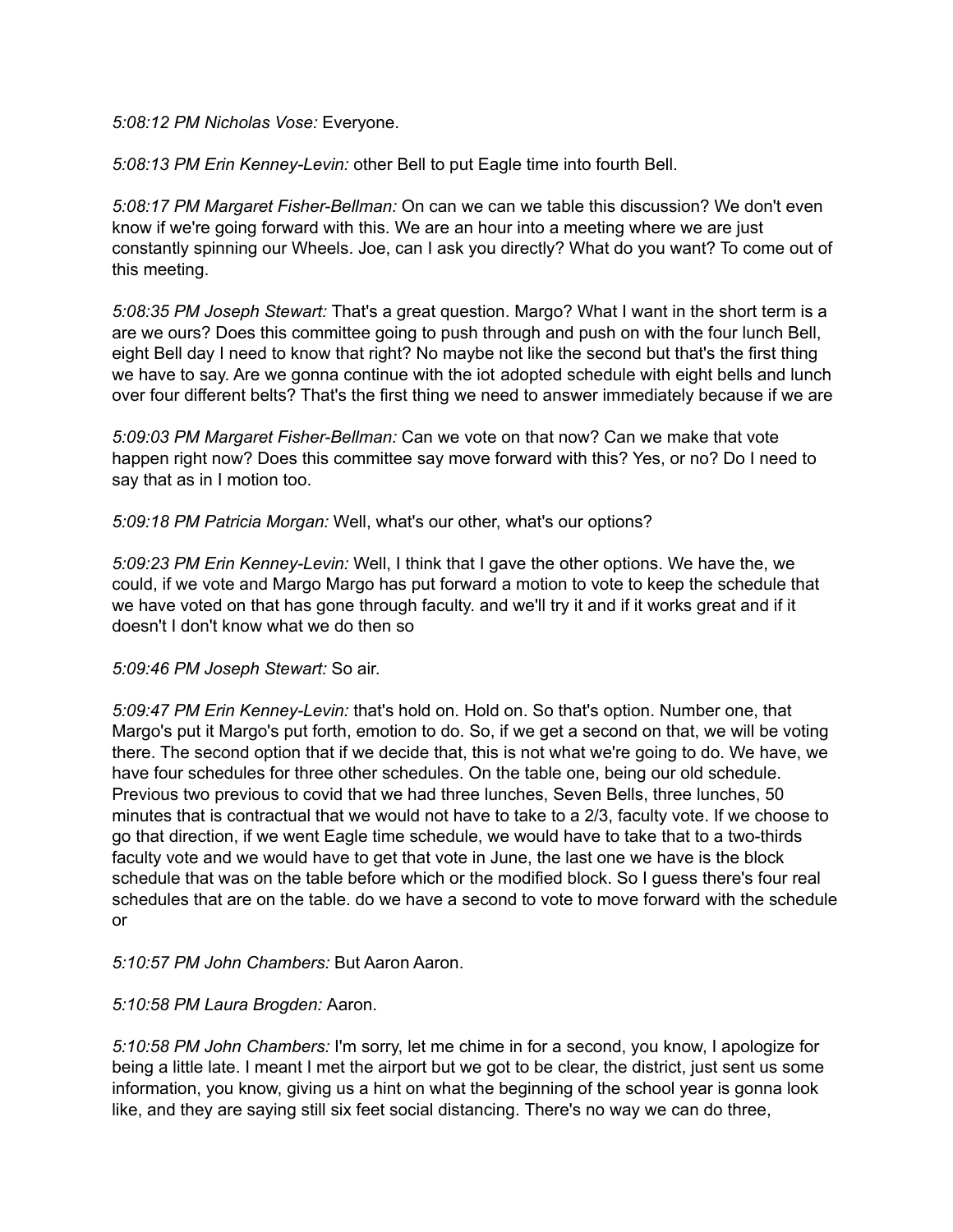*5:08:12 PM Nicholas Vose:* Everyone.

*5:08:13 PM Erin Kenney-Levin:* other Bell to put Eagle time into fourth Bell.

*5:08:17 PM Margaret Fisher-Bellman:* On can we can we table this discussion? We don't even know if we're going forward with this. We are an hour into a meeting where we are just constantly spinning our Wheels. Joe, can I ask you directly? What do you want? To come out of this meeting.

*5:08:35 PM Joseph Stewart:* That's a great question. Margo? What I want in the short term is a are we ours? Does this committee going to push through and push on with the four lunch Bell, eight Bell day I need to know that right? No maybe not like the second but that's the first thing we have to say. Are we gonna continue with the iot adopted schedule with eight bells and lunch over four different belts? That's the first thing we need to answer immediately because if we are

*5:09:03 PM Margaret Fisher-Bellman:* Can we vote on that now? Can we make that vote happen right now? Does this committee say move forward with this? Yes, or no? Do I need to say that as in I motion too.

*5:09:18 PM Patricia Morgan:* Well, what's our other, what's our options?

*5:09:23 PM Erin Kenney-Levin:* Well, I think that I gave the other options. We have the, we could, if we vote and Margo Margo has put forward a motion to vote to keep the schedule that we have voted on that has gone through faculty. and we'll try it and if it works great and if it doesn't I don't know what we do then so

*5:09:46 PM Joseph Stewart:* So air.

*5:09:47 PM Erin Kenney-Levin:* that's hold on. Hold on. So that's option. Number one, that Margo's put it Margo's put forth, emotion to do. So, if we get a second on that, we will be voting there. The second option that if we decide that, this is not what we're going to do. We have, we have four schedules for three other schedules. On the table one, being our old schedule. Previous two previous to covid that we had three lunches, Seven Bells, three lunches, 50 minutes that is contractual that we would not have to take to a 2/3, faculty vote. If we choose to go that direction, if we went Eagle time schedule, we would have to take that to a two-thirds faculty vote and we would have to get that vote in June, the last one we have is the block schedule that was on the table before which or the modified block. So I guess there's four real schedules that are on the table. do we have a second to vote to move forward with the schedule or

## *5:10:57 PM John Chambers:* But Aaron Aaron.

## *5:10:58 PM Laura Brogden:* Aaron.

*5:10:58 PM John Chambers:* I'm sorry, let me chime in for a second, you know, I apologize for being a little late. I meant I met the airport but we got to be clear, the district, just sent us some information, you know, giving us a hint on what the beginning of the school year is gonna look like, and they are saying still six feet social distancing. There's no way we can do three,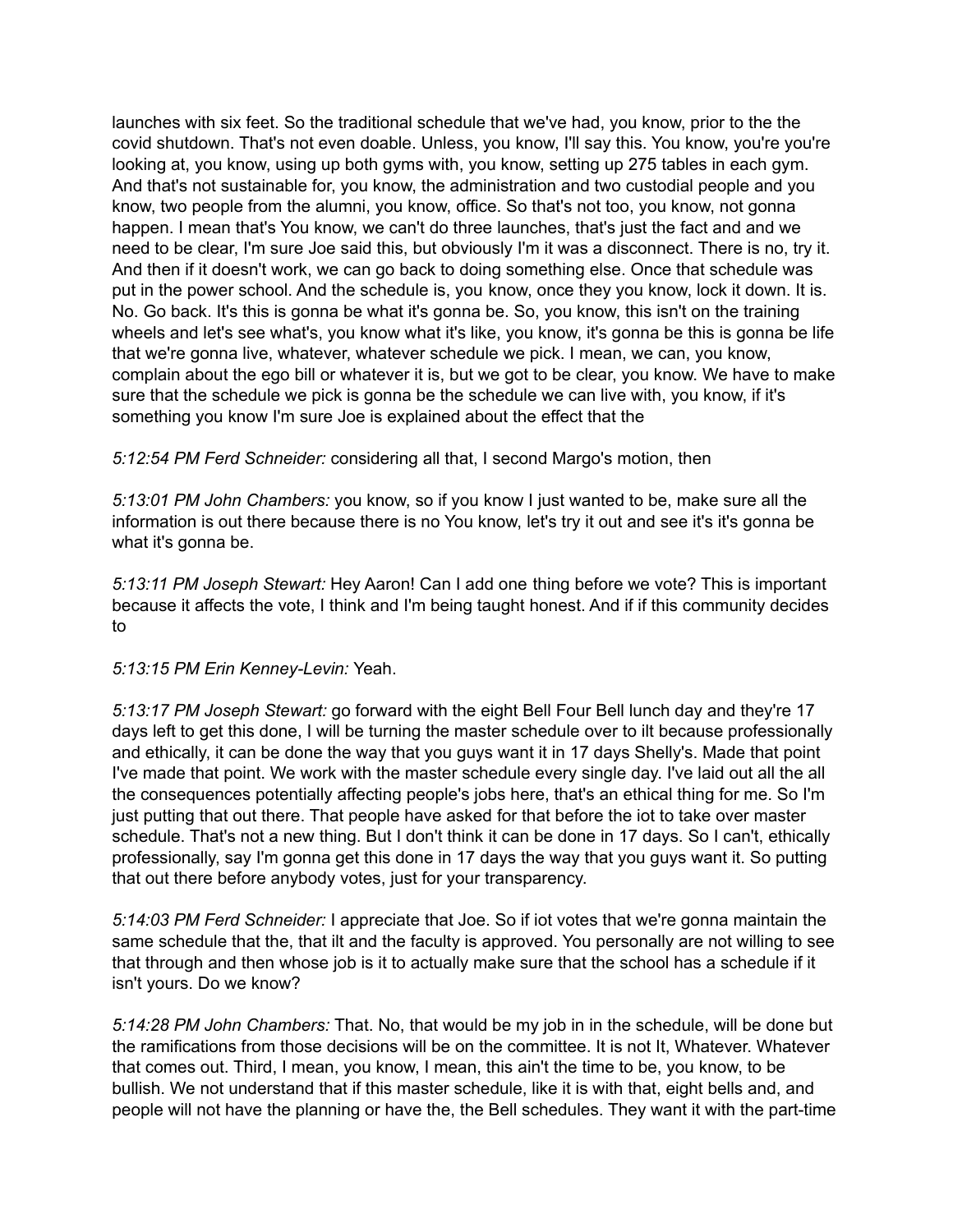launches with six feet. So the traditional schedule that we've had, you know, prior to the the covid shutdown. That's not even doable. Unless, you know, I'll say this. You know, you're you're looking at, you know, using up both gyms with, you know, setting up 275 tables in each gym. And that's not sustainable for, you know, the administration and two custodial people and you know, two people from the alumni, you know, office. So that's not too, you know, not gonna happen. I mean that's You know, we can't do three launches, that's just the fact and and we need to be clear, I'm sure Joe said this, but obviously I'm it was a disconnect. There is no, try it. And then if it doesn't work, we can go back to doing something else. Once that schedule was put in the power school. And the schedule is, you know, once they you know, lock it down. It is. No. Go back. It's this is gonna be what it's gonna be. So, you know, this isn't on the training wheels and let's see what's, you know what it's like, you know, it's gonna be this is gonna be life that we're gonna live, whatever, whatever schedule we pick. I mean, we can, you know, complain about the ego bill or whatever it is, but we got to be clear, you know. We have to make sure that the schedule we pick is gonna be the schedule we can live with, you know, if it's something you know I'm sure Joe is explained about the effect that the

*5:12:54 PM Ferd Schneider:* considering all that, I second Margo's motion, then

*5:13:01 PM John Chambers:* you know, so if you know I just wanted to be, make sure all the information is out there because there is no You know, let's try it out and see it's it's gonna be what it's gonna be.

*5:13:11 PM Joseph Stewart:* Hey Aaron! Can I add one thing before we vote? This is important because it affects the vote, I think and I'm being taught honest. And if if this community decides to

*5:13:15 PM Erin Kenney-Levin:* Yeah.

*5:13:17 PM Joseph Stewart:* go forward with the eight Bell Four Bell lunch day and they're 17 days left to get this done, I will be turning the master schedule over to ilt because professionally and ethically, it can be done the way that you guys want it in 17 days Shelly's. Made that point I've made that point. We work with the master schedule every single day. I've laid out all the all the consequences potentially affecting people's jobs here, that's an ethical thing for me. So I'm just putting that out there. That people have asked for that before the iot to take over master schedule. That's not a new thing. But I don't think it can be done in 17 days. So I can't, ethically professionally, say I'm gonna get this done in 17 days the way that you guys want it. So putting that out there before anybody votes, just for your transparency.

*5:14:03 PM Ferd Schneider:* I appreciate that Joe. So if iot votes that we're gonna maintain the same schedule that the, that ilt and the faculty is approved. You personally are not willing to see that through and then whose job is it to actually make sure that the school has a schedule if it isn't yours. Do we know?

*5:14:28 PM John Chambers:* That. No, that would be my job in in the schedule, will be done but the ramifications from those decisions will be on the committee. It is not It, Whatever. Whatever that comes out. Third, I mean, you know, I mean, this ain't the time to be, you know, to be bullish. We not understand that if this master schedule, like it is with that, eight bells and, and people will not have the planning or have the, the Bell schedules. They want it with the part-time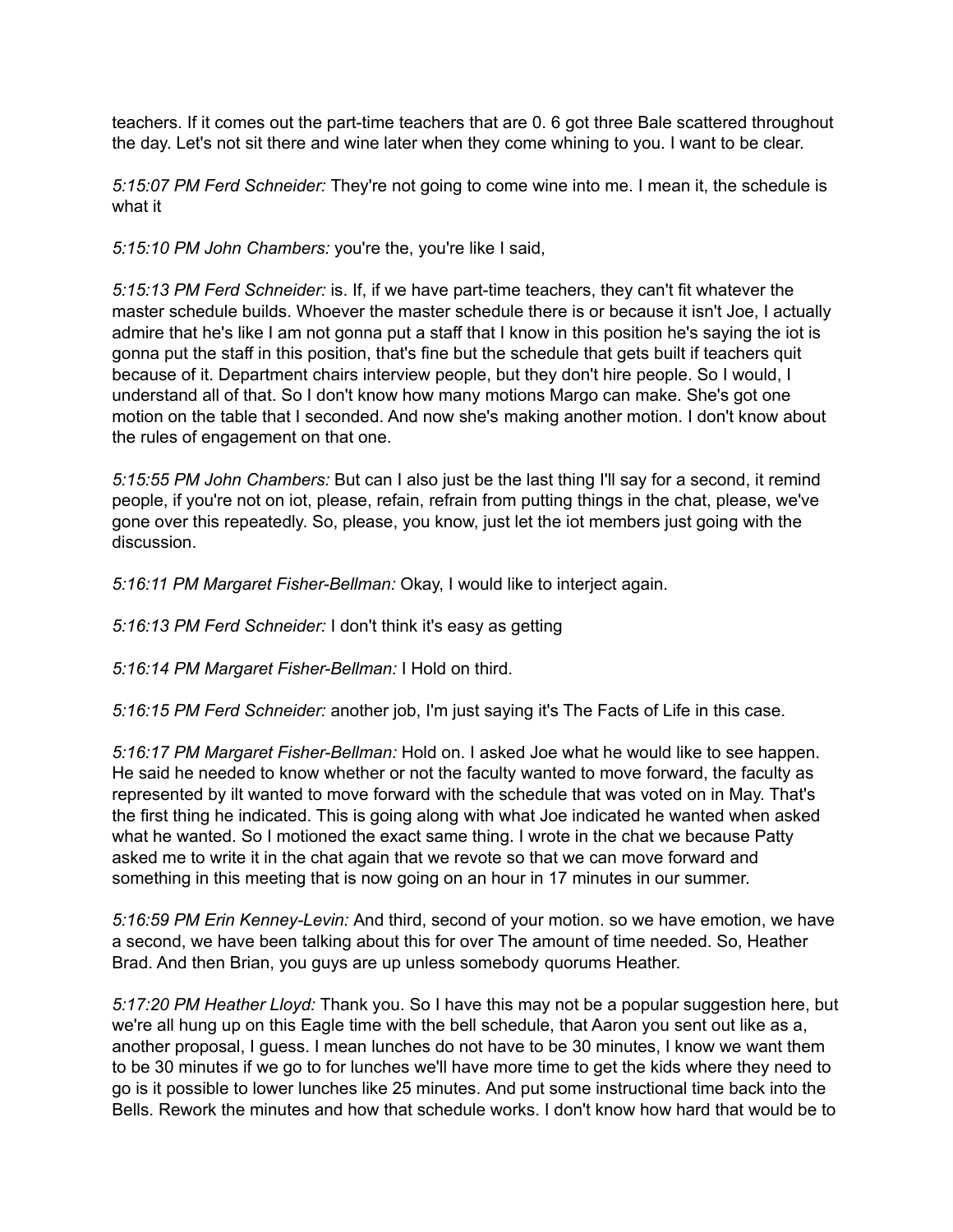teachers. If it comes out the part-time teachers that are 0. 6 got three Bale scattered throughout the day. Let's not sit there and wine later when they come whining to you. I want to be clear.

*5:15:07 PM Ferd Schneider:* They're not going to come wine into me. I mean it, the schedule is what it

*5:15:10 PM John Chambers:* you're the, you're like I said,

*5:15:13 PM Ferd Schneider:* is. If, if we have part-time teachers, they can't fit whatever the master schedule builds. Whoever the master schedule there is or because it isn't Joe, I actually admire that he's like I am not gonna put a staff that I know in this position he's saying the iot is gonna put the staff in this position, that's fine but the schedule that gets built if teachers quit because of it. Department chairs interview people, but they don't hire people. So I would, I understand all of that. So I don't know how many motions Margo can make. She's got one motion on the table that I seconded. And now she's making another motion. I don't know about the rules of engagement on that one.

*5:15:55 PM John Chambers:* But can I also just be the last thing I'll say for a second, it remind people, if you're not on iot, please, refain, refrain from putting things in the chat, please, we've gone over this repeatedly. So, please, you know, just let the iot members just going with the discussion.

*5:16:11 PM Margaret Fisher-Bellman:* Okay, I would like to interject again.

*5:16:13 PM Ferd Schneider:* I don't think it's easy as getting

*5:16:14 PM Margaret Fisher-Bellman:* I Hold on third.

*5:16:15 PM Ferd Schneider:* another job, I'm just saying it's The Facts of Life in this case.

*5:16:17 PM Margaret Fisher-Bellman:* Hold on. I asked Joe what he would like to see happen. He said he needed to know whether or not the faculty wanted to move forward, the faculty as represented by ilt wanted to move forward with the schedule that was voted on in May. That's the first thing he indicated. This is going along with what Joe indicated he wanted when asked what he wanted. So I motioned the exact same thing. I wrote in the chat we because Patty asked me to write it in the chat again that we revote so that we can move forward and something in this meeting that is now going on an hour in 17 minutes in our summer.

*5:16:59 PM Erin Kenney-Levin:* And third, second of your motion. so we have emotion, we have a second, we have been talking about this for over The amount of time needed. So, Heather Brad. And then Brian, you guys are up unless somebody quorums Heather.

*5:17:20 PM Heather Lloyd:* Thank you. So I have this may not be a popular suggestion here, but we're all hung up on this Eagle time with the bell schedule, that Aaron you sent out like as a, another proposal, I guess. I mean lunches do not have to be 30 minutes, I know we want them to be 30 minutes if we go to for lunches we'll have more time to get the kids where they need to go is it possible to lower lunches like 25 minutes. And put some instructional time back into the Bells. Rework the minutes and how that schedule works. I don't know how hard that would be to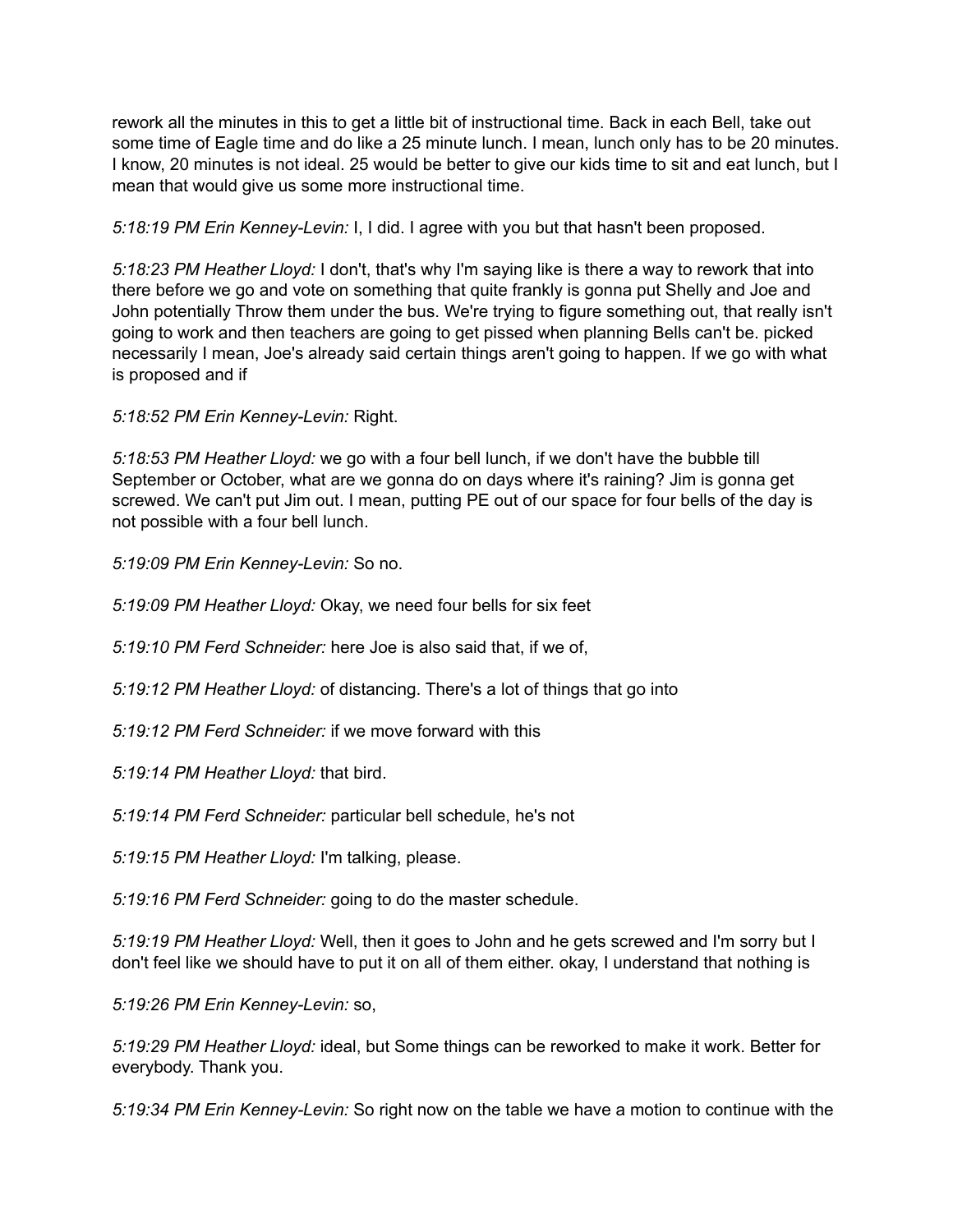rework all the minutes in this to get a little bit of instructional time. Back in each Bell, take out some time of Eagle time and do like a 25 minute lunch. I mean, lunch only has to be 20 minutes. I know, 20 minutes is not ideal. 25 would be better to give our kids time to sit and eat lunch, but I mean that would give us some more instructional time.

*5:18:19 PM Erin Kenney-Levin:* I, I did. I agree with you but that hasn't been proposed.

*5:18:23 PM Heather Lloyd:* I don't, that's why I'm saying like is there a way to rework that into there before we go and vote on something that quite frankly is gonna put Shelly and Joe and John potentially Throw them under the bus. We're trying to figure something out, that really isn't going to work and then teachers are going to get pissed when planning Bells can't be. picked necessarily I mean, Joe's already said certain things aren't going to happen. If we go with what is proposed and if

*5:18:52 PM Erin Kenney-Levin:* Right.

*5:18:53 PM Heather Lloyd:* we go with a four bell lunch, if we don't have the bubble till September or October, what are we gonna do on days where it's raining? Jim is gonna get screwed. We can't put Jim out. I mean, putting PE out of our space for four bells of the day is not possible with a four bell lunch.

*5:19:09 PM Erin Kenney-Levin:* So no.

*5:19:09 PM Heather Lloyd:* Okay, we need four bells for six feet

*5:19:10 PM Ferd Schneider:* here Joe is also said that, if we of,

*5:19:12 PM Heather Lloyd:* of distancing. There's a lot of things that go into

*5:19:12 PM Ferd Schneider:* if we move forward with this

*5:19:14 PM Heather Lloyd:* that bird.

*5:19:14 PM Ferd Schneider:* particular bell schedule, he's not

*5:19:15 PM Heather Lloyd:* I'm talking, please.

*5:19:16 PM Ferd Schneider:* going to do the master schedule.

*5:19:19 PM Heather Lloyd:* Well, then it goes to John and he gets screwed and I'm sorry but I don't feel like we should have to put it on all of them either. okay, I understand that nothing is

*5:19:26 PM Erin Kenney-Levin:* so,

*5:19:29 PM Heather Lloyd:* ideal, but Some things can be reworked to make it work. Better for everybody. Thank you.

*5:19:34 PM Erin Kenney-Levin:* So right now on the table we have a motion to continue with the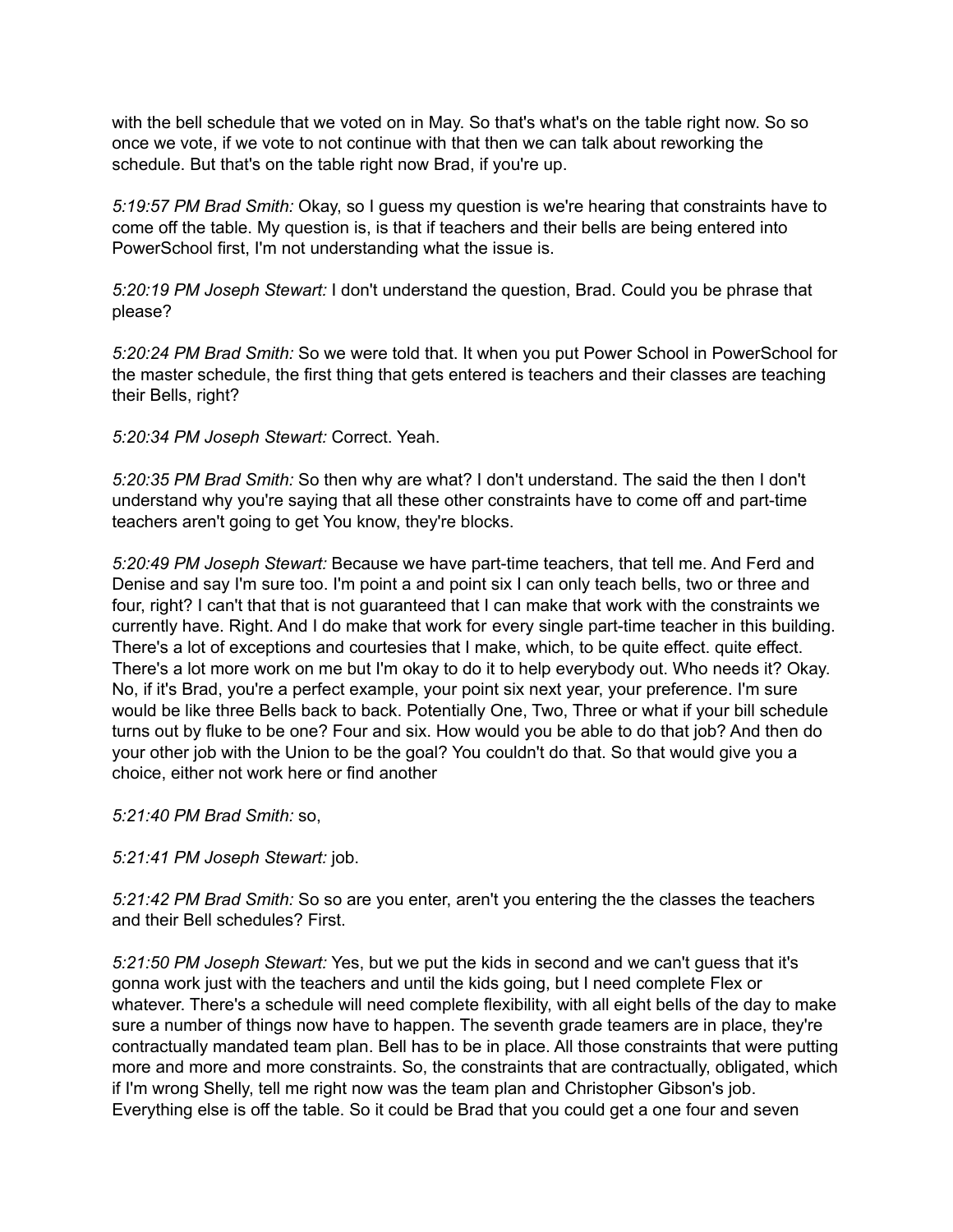with the bell schedule that we voted on in May. So that's what's on the table right now. So so once we vote, if we vote to not continue with that then we can talk about reworking the schedule. But that's on the table right now Brad, if you're up.

*5:19:57 PM Brad Smith:* Okay, so I guess my question is we're hearing that constraints have to come off the table. My question is, is that if teachers and their bells are being entered into PowerSchool first, I'm not understanding what the issue is.

*5:20:19 PM Joseph Stewart:* I don't understand the question, Brad. Could you be phrase that please?

*5:20:24 PM Brad Smith:* So we were told that. It when you put Power School in PowerSchool for the master schedule, the first thing that gets entered is teachers and their classes are teaching their Bells, right?

*5:20:34 PM Joseph Stewart:* Correct. Yeah.

*5:20:35 PM Brad Smith:* So then why are what? I don't understand. The said the then I don't understand why you're saying that all these other constraints have to come off and part-time teachers aren't going to get You know, they're blocks.

*5:20:49 PM Joseph Stewart:* Because we have part-time teachers, that tell me. And Ferd and Denise and say I'm sure too. I'm point a and point six I can only teach bells, two or three and four, right? I can't that that is not guaranteed that I can make that work with the constraints we currently have. Right. And I do make that work for every single part-time teacher in this building. There's a lot of exceptions and courtesies that I make, which, to be quite effect. quite effect. There's a lot more work on me but I'm okay to do it to help everybody out. Who needs it? Okay. No, if it's Brad, you're a perfect example, your point six next year, your preference. I'm sure would be like three Bells back to back. Potentially One, Two, Three or what if your bill schedule turns out by fluke to be one? Four and six. How would you be able to do that job? And then do your other job with the Union to be the goal? You couldn't do that. So that would give you a choice, either not work here or find another

*5:21:40 PM Brad Smith:* so,

*5:21:41 PM Joseph Stewart:* job.

*5:21:42 PM Brad Smith:* So so are you enter, aren't you entering the the classes the teachers and their Bell schedules? First.

*5:21:50 PM Joseph Stewart:* Yes, but we put the kids in second and we can't guess that it's gonna work just with the teachers and until the kids going, but I need complete Flex or whatever. There's a schedule will need complete flexibility, with all eight bells of the day to make sure a number of things now have to happen. The seventh grade teamers are in place, they're contractually mandated team plan. Bell has to be in place. All those constraints that were putting more and more and more constraints. So, the constraints that are contractually, obligated, which if I'm wrong Shelly, tell me right now was the team plan and Christopher Gibson's job. Everything else is off the table. So it could be Brad that you could get a one four and seven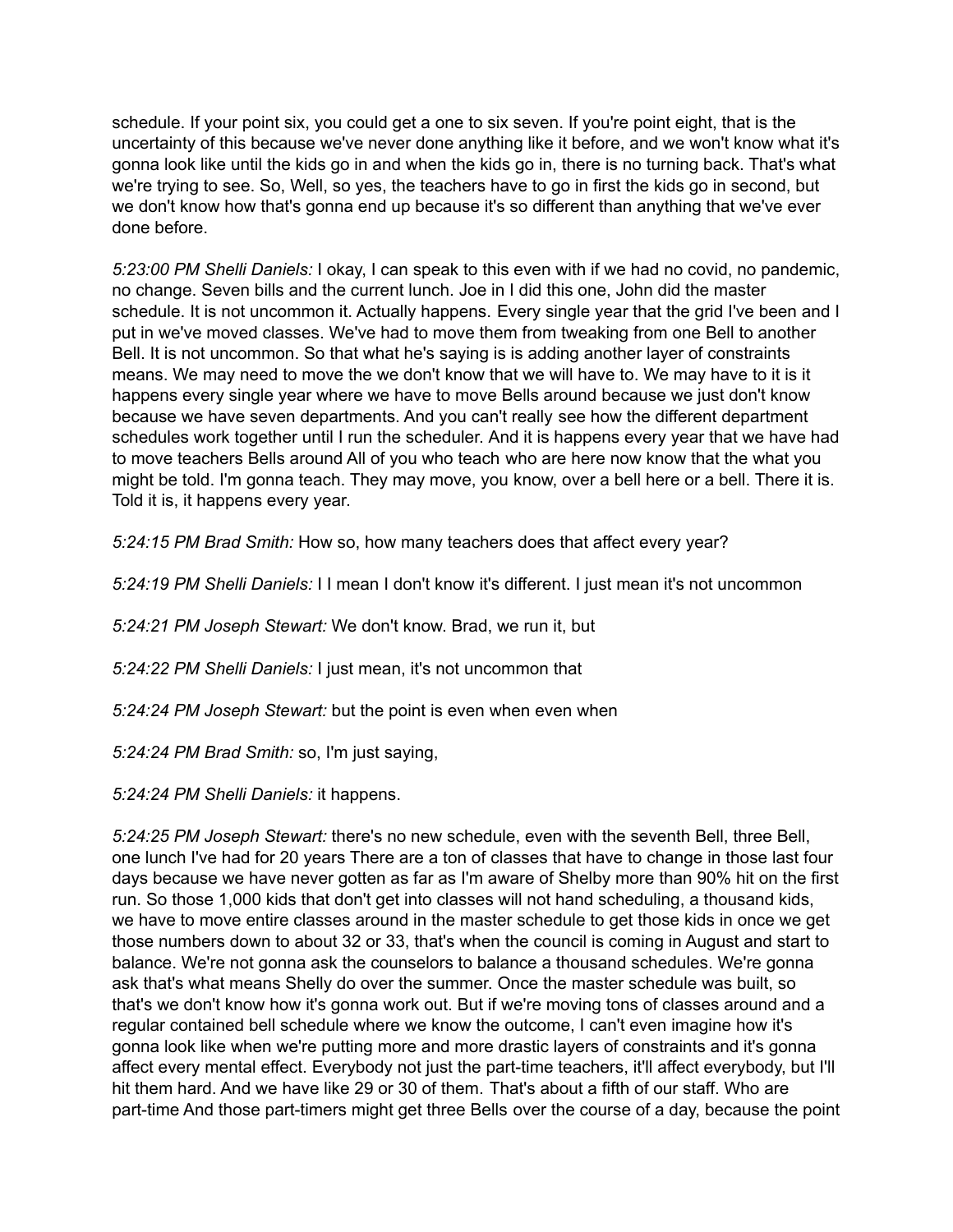schedule. If your point six, you could get a one to six seven. If you're point eight, that is the uncertainty of this because we've never done anything like it before, and we won't know what it's gonna look like until the kids go in and when the kids go in, there is no turning back. That's what we're trying to see. So, Well, so yes, the teachers have to go in first the kids go in second, but we don't know how that's gonna end up because it's so different than anything that we've ever done before.

*5:23:00 PM Shelli Daniels:* I okay, I can speak to this even with if we had no covid, no pandemic, no change. Seven bills and the current lunch. Joe in I did this one, John did the master schedule. It is not uncommon it. Actually happens. Every single year that the grid I've been and I put in we've moved classes. We've had to move them from tweaking from one Bell to another Bell. It is not uncommon. So that what he's saying is is adding another layer of constraints means. We may need to move the we don't know that we will have to. We may have to it is it happens every single year where we have to move Bells around because we just don't know because we have seven departments. And you can't really see how the different department schedules work together until I run the scheduler. And it is happens every year that we have had to move teachers Bells around All of you who teach who are here now know that the what you might be told. I'm gonna teach. They may move, you know, over a bell here or a bell. There it is. Told it is, it happens every year.

*5:24:15 PM Brad Smith:* How so, how many teachers does that affect every year?

*5:24:19 PM Shelli Daniels:* I I mean I don't know it's different. I just mean it's not uncommon

*5:24:21 PM Joseph Stewart:* We don't know. Brad, we run it, but

*5:24:22 PM Shelli Daniels:* I just mean, it's not uncommon that

*5:24:24 PM Joseph Stewart:* but the point is even when even when

*5:24:24 PM Brad Smith:* so, I'm just saying,

*5:24:24 PM Shelli Daniels:* it happens.

*5:24:25 PM Joseph Stewart:* there's no new schedule, even with the seventh Bell, three Bell, one lunch I've had for 20 years There are a ton of classes that have to change in those last four days because we have never gotten as far as I'm aware of Shelby more than 90% hit on the first run. So those 1,000 kids that don't get into classes will not hand scheduling, a thousand kids, we have to move entire classes around in the master schedule to get those kids in once we get those numbers down to about 32 or 33, that's when the council is coming in August and start to balance. We're not gonna ask the counselors to balance a thousand schedules. We're gonna ask that's what means Shelly do over the summer. Once the master schedule was built, so that's we don't know how it's gonna work out. But if we're moving tons of classes around and a regular contained bell schedule where we know the outcome, I can't even imagine how it's gonna look like when we're putting more and more drastic layers of constraints and it's gonna affect every mental effect. Everybody not just the part-time teachers, it'll affect everybody, but I'll hit them hard. And we have like 29 or 30 of them. That's about a fifth of our staff. Who are part-time And those part-timers might get three Bells over the course of a day, because the point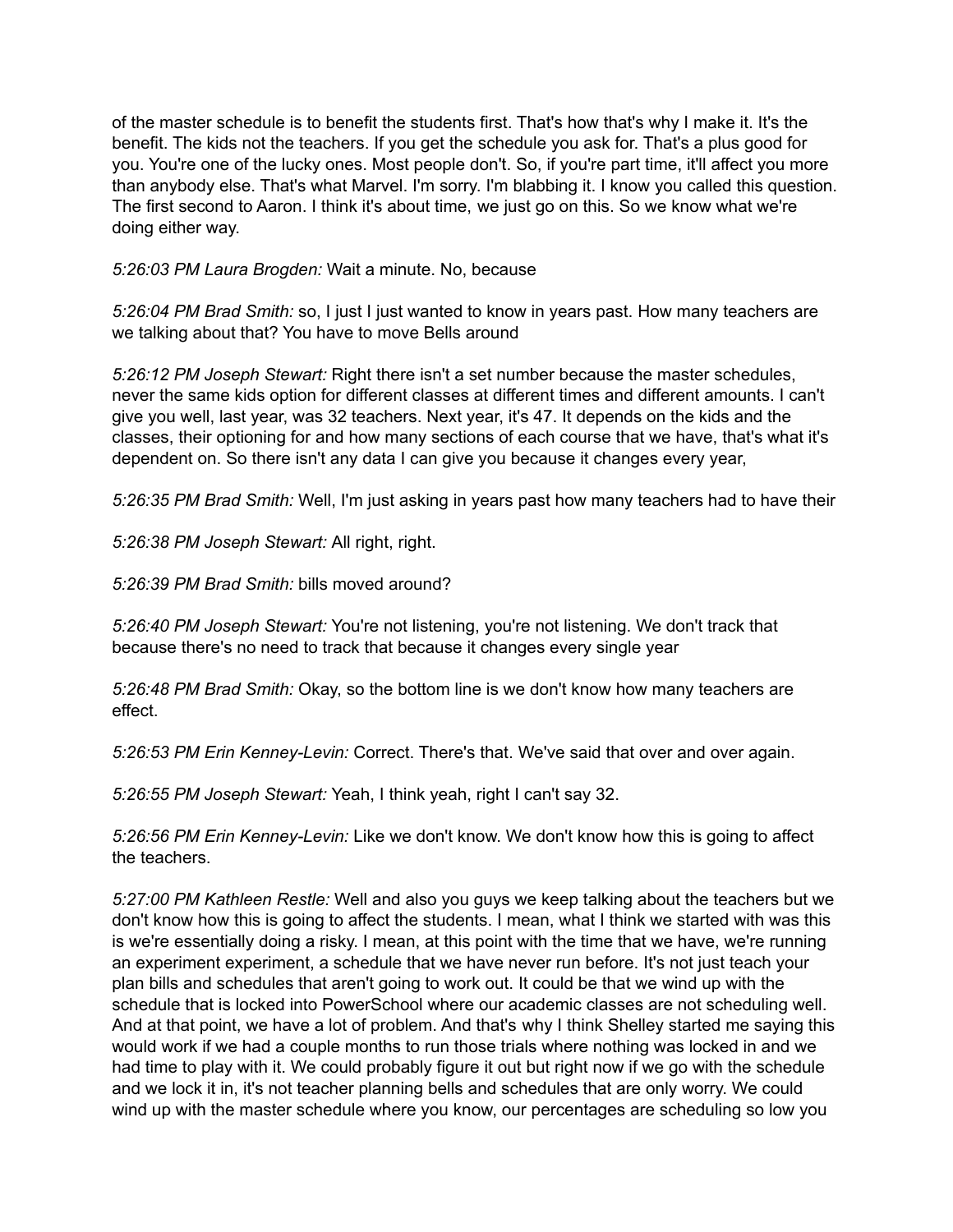of the master schedule is to benefit the students first. That's how that's why I make it. It's the benefit. The kids not the teachers. If you get the schedule you ask for. That's a plus good for you. You're one of the lucky ones. Most people don't. So, if you're part time, it'll affect you more than anybody else. That's what Marvel. I'm sorry. I'm blabbing it. I know you called this question. The first second to Aaron. I think it's about time, we just go on this. So we know what we're doing either way.

*5:26:03 PM Laura Brogden:* Wait a minute. No, because

*5:26:04 PM Brad Smith:* so, I just I just wanted to know in years past. How many teachers are we talking about that? You have to move Bells around

*5:26:12 PM Joseph Stewart:* Right there isn't a set number because the master schedules, never the same kids option for different classes at different times and different amounts. I can't give you well, last year, was 32 teachers. Next year, it's 47. It depends on the kids and the classes, their optioning for and how many sections of each course that we have, that's what it's dependent on. So there isn't any data I can give you because it changes every year,

*5:26:35 PM Brad Smith:* Well, I'm just asking in years past how many teachers had to have their

*5:26:38 PM Joseph Stewart:* All right, right.

*5:26:39 PM Brad Smith:* bills moved around?

*5:26:40 PM Joseph Stewart:* You're not listening, you're not listening. We don't track that because there's no need to track that because it changes every single year

*5:26:48 PM Brad Smith:* Okay, so the bottom line is we don't know how many teachers are effect.

*5:26:53 PM Erin Kenney-Levin:* Correct. There's that. We've said that over and over again.

*5:26:55 PM Joseph Stewart:* Yeah, I think yeah, right I can't say 32.

*5:26:56 PM Erin Kenney-Levin:* Like we don't know. We don't know how this is going to affect the teachers.

*5:27:00 PM Kathleen Restle:* Well and also you guys we keep talking about the teachers but we don't know how this is going to affect the students. I mean, what I think we started with was this is we're essentially doing a risky. I mean, at this point with the time that we have, we're running an experiment experiment, a schedule that we have never run before. It's not just teach your plan bills and schedules that aren't going to work out. It could be that we wind up with the schedule that is locked into PowerSchool where our academic classes are not scheduling well. And at that point, we have a lot of problem. And that's why I think Shelley started me saying this would work if we had a couple months to run those trials where nothing was locked in and we had time to play with it. We could probably figure it out but right now if we go with the schedule and we lock it in, it's not teacher planning bells and schedules that are only worry. We could wind up with the master schedule where you know, our percentages are scheduling so low you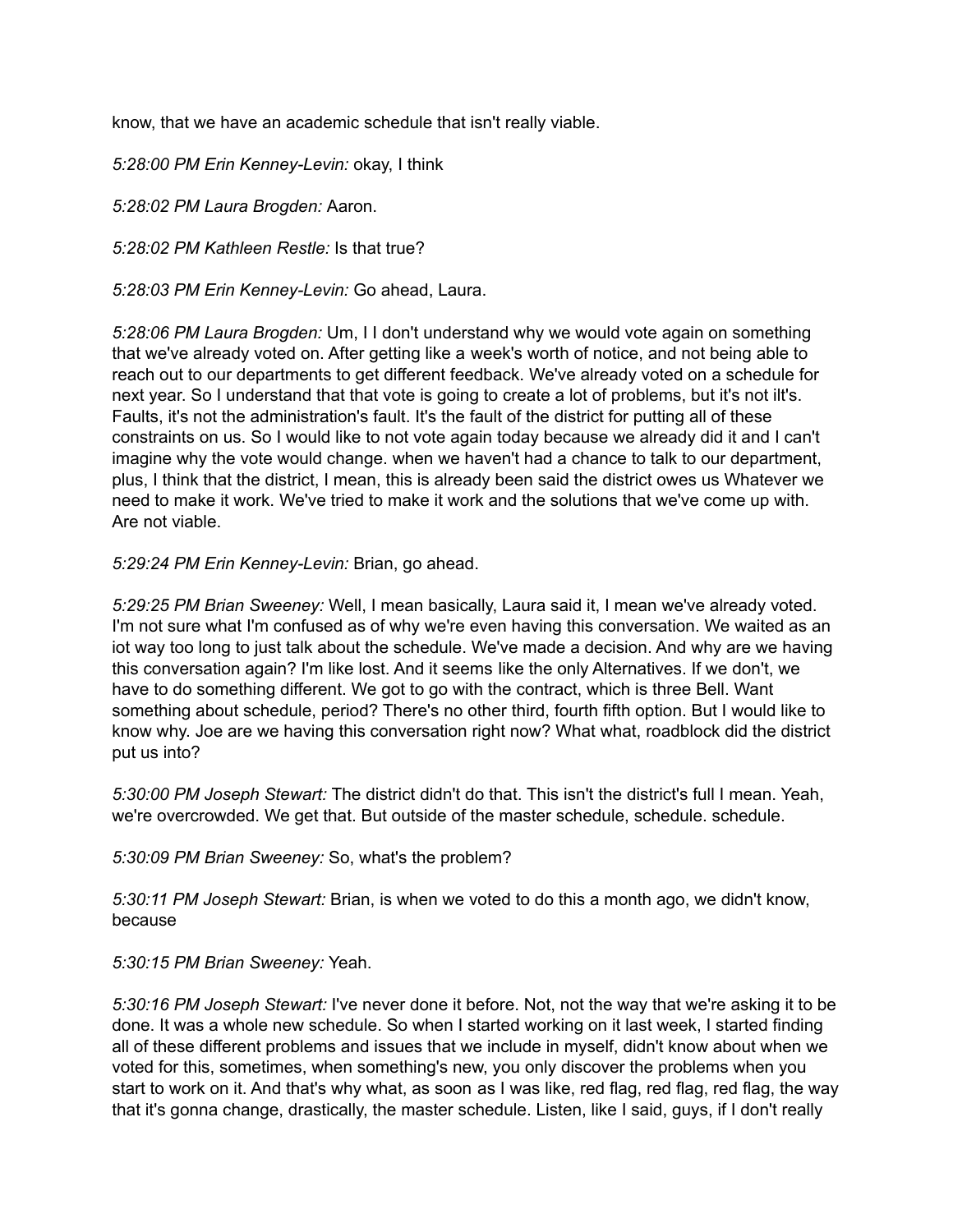know, that we have an academic schedule that isn't really viable.

*5:28:00 PM Erin Kenney-Levin:* okay, I think

*5:28:02 PM Laura Brogden:* Aaron.

*5:28:02 PM Kathleen Restle:* Is that true?

*5:28:03 PM Erin Kenney-Levin:* Go ahead, Laura.

*5:28:06 PM Laura Brogden:* Um, I I don't understand why we would vote again on something that we've already voted on. After getting like a week's worth of notice, and not being able to reach out to our departments to get different feedback. We've already voted on a schedule for next year. So I understand that that vote is going to create a lot of problems, but it's not ilt's. Faults, it's not the administration's fault. It's the fault of the district for putting all of these constraints on us. So I would like to not vote again today because we already did it and I can't imagine why the vote would change. when we haven't had a chance to talk to our department, plus, I think that the district, I mean, this is already been said the district owes us Whatever we need to make it work. We've tried to make it work and the solutions that we've come up with. Are not viable.

*5:29:24 PM Erin Kenney-Levin:* Brian, go ahead.

*5:29:25 PM Brian Sweeney:* Well, I mean basically, Laura said it, I mean we've already voted. I'm not sure what I'm confused as of why we're even having this conversation. We waited as an iot way too long to just talk about the schedule. We've made a decision. And why are we having this conversation again? I'm like lost. And it seems like the only Alternatives. If we don't, we have to do something different. We got to go with the contract, which is three Bell. Want something about schedule, period? There's no other third, fourth fifth option. But I would like to know why. Joe are we having this conversation right now? What what, roadblock did the district put us into?

*5:30:00 PM Joseph Stewart:* The district didn't do that. This isn't the district's full I mean. Yeah, we're overcrowded. We get that. But outside of the master schedule, schedule. schedule.

*5:30:09 PM Brian Sweeney:* So, what's the problem?

*5:30:11 PM Joseph Stewart:* Brian, is when we voted to do this a month ago, we didn't know, because

*5:30:15 PM Brian Sweeney:* Yeah.

*5:30:16 PM Joseph Stewart:* I've never done it before. Not, not the way that we're asking it to be done. It was a whole new schedule. So when I started working on it last week, I started finding all of these different problems and issues that we include in myself, didn't know about when we voted for this, sometimes, when something's new, you only discover the problems when you start to work on it. And that's why what, as soon as I was like, red flag, red flag, red flag, the way that it's gonna change, drastically, the master schedule. Listen, like I said, guys, if I don't really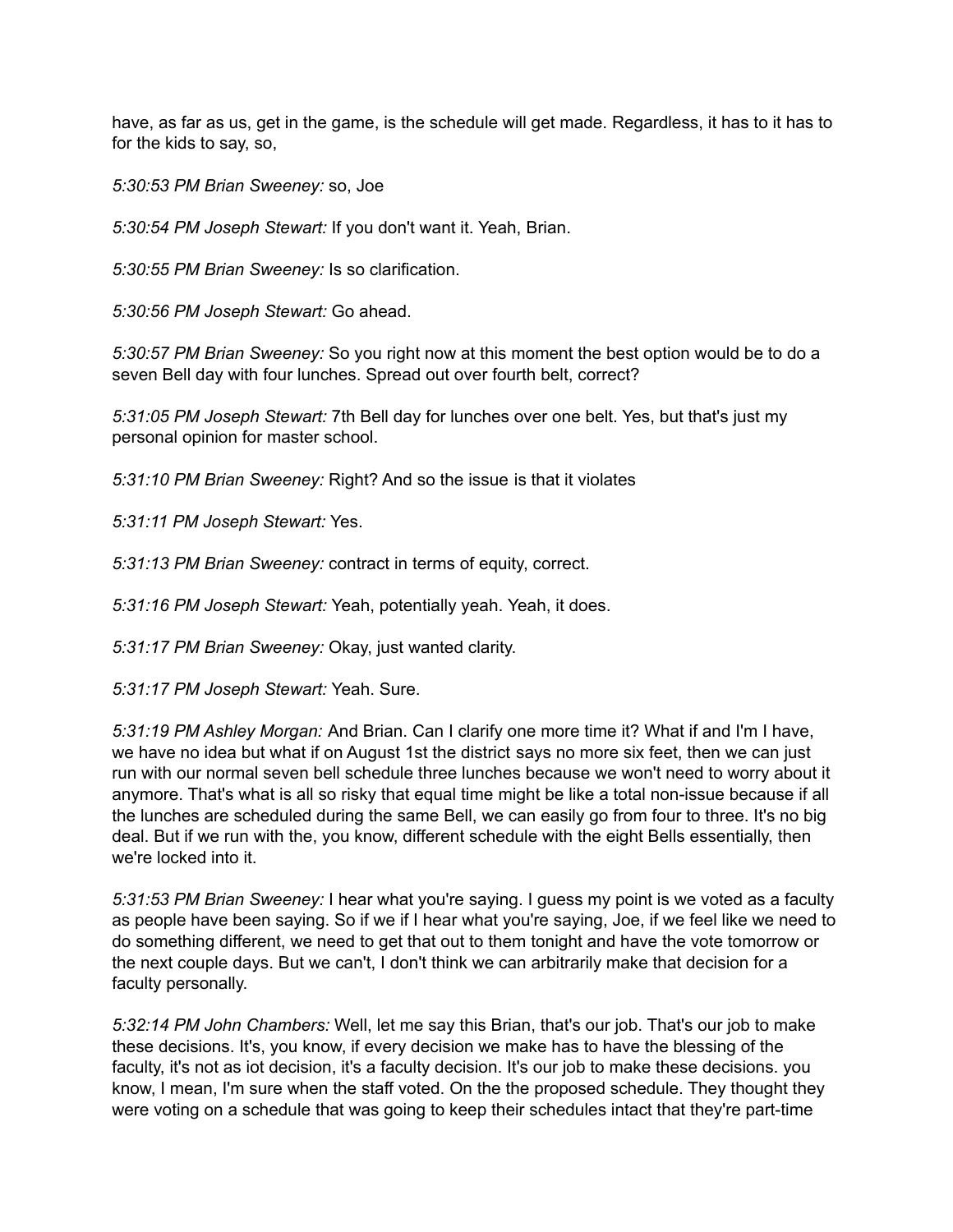have, as far as us, get in the game, is the schedule will get made. Regardless, it has to it has to for the kids to say, so,

*5:30:53 PM Brian Sweeney:* so, Joe

*5:30:54 PM Joseph Stewart:* If you don't want it. Yeah, Brian.

*5:30:55 PM Brian Sweeney:* Is so clarification.

*5:30:56 PM Joseph Stewart:* Go ahead.

*5:30:57 PM Brian Sweeney:* So you right now at this moment the best option would be to do a seven Bell day with four lunches. Spread out over fourth belt, correct?

*5:31:05 PM Joseph Stewart:* 7th Bell day for lunches over one belt. Yes, but that's just my personal opinion for master school.

*5:31:10 PM Brian Sweeney:* Right? And so the issue is that it violates

*5:31:11 PM Joseph Stewart:* Yes.

*5:31:13 PM Brian Sweeney:* contract in terms of equity, correct.

*5:31:16 PM Joseph Stewart:* Yeah, potentially yeah. Yeah, it does.

*5:31:17 PM Brian Sweeney:* Okay, just wanted clarity.

*5:31:17 PM Joseph Stewart:* Yeah. Sure.

*5:31:19 PM Ashley Morgan:* And Brian. Can I clarify one more time it? What if and I'm I have, we have no idea but what if on August 1st the district says no more six feet, then we can just run with our normal seven bell schedule three lunches because we won't need to worry about it anymore. That's what is all so risky that equal time might be like a total non-issue because if all the lunches are scheduled during the same Bell, we can easily go from four to three. It's no big deal. But if we run with the, you know, different schedule with the eight Bells essentially, then we're locked into it.

*5:31:53 PM Brian Sweeney:* I hear what you're saying. I guess my point is we voted as a faculty as people have been saying. So if we if I hear what you're saying, Joe, if we feel like we need to do something different, we need to get that out to them tonight and have the vote tomorrow or the next couple days. But we can't, I don't think we can arbitrarily make that decision for a faculty personally.

*5:32:14 PM John Chambers:* Well, let me say this Brian, that's our job. That's our job to make these decisions. It's, you know, if every decision we make has to have the blessing of the faculty, it's not as iot decision, it's a faculty decision. It's our job to make these decisions. you know, I mean, I'm sure when the staff voted. On the the proposed schedule. They thought they were voting on a schedule that was going to keep their schedules intact that they're part-time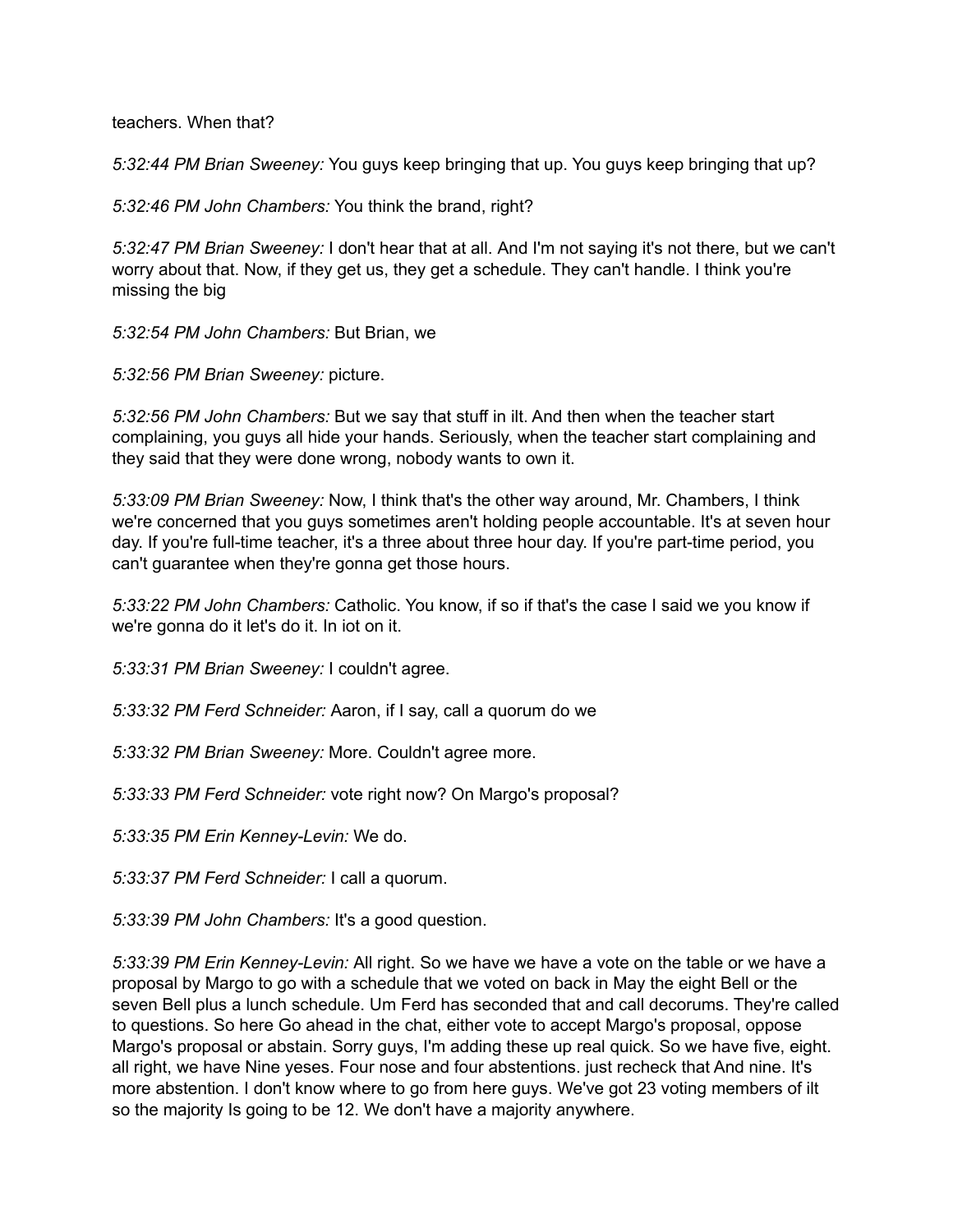teachers. When that?

*5:32:44 PM Brian Sweeney:* You guys keep bringing that up. You guys keep bringing that up?

*5:32:46 PM John Chambers:* You think the brand, right?

*5:32:47 PM Brian Sweeney:* I don't hear that at all. And I'm not saying it's not there, but we can't worry about that. Now, if they get us, they get a schedule. They can't handle. I think you're missing the big

*5:32:54 PM John Chambers:* But Brian, we

*5:32:56 PM Brian Sweeney:* picture.

*5:32:56 PM John Chambers:* But we say that stuff in ilt. And then when the teacher start complaining, you guys all hide your hands. Seriously, when the teacher start complaining and they said that they were done wrong, nobody wants to own it.

*5:33:09 PM Brian Sweeney:* Now, I think that's the other way around, Mr. Chambers, I think we're concerned that you guys sometimes aren't holding people accountable. It's at seven hour day. If you're full-time teacher, it's a three about three hour day. If you're part-time period, you can't guarantee when they're gonna get those hours.

*5:33:22 PM John Chambers:* Catholic. You know, if so if that's the case I said we you know if we're gonna do it let's do it. In iot on it.

*5:33:31 PM Brian Sweeney:* I couldn't agree.

*5:33:32 PM Ferd Schneider:* Aaron, if I say, call a quorum do we

*5:33:32 PM Brian Sweeney:* More. Couldn't agree more.

*5:33:33 PM Ferd Schneider:* vote right now? On Margo's proposal?

*5:33:35 PM Erin Kenney-Levin:* We do.

*5:33:37 PM Ferd Schneider:* I call a quorum.

*5:33:39 PM John Chambers:* It's a good question.

*5:33:39 PM Erin Kenney-Levin:* All right. So we have we have a vote on the table or we have a proposal by Margo to go with a schedule that we voted on back in May the eight Bell or the seven Bell plus a lunch schedule. Um Ferd has seconded that and call decorums. They're called to questions. So here Go ahead in the chat, either vote to accept Margo's proposal, oppose Margo's proposal or abstain. Sorry guys, I'm adding these up real quick. So we have five, eight. all right, we have Nine yeses. Four nose and four abstentions. just recheck that And nine. It's more abstention. I don't know where to go from here guys. We've got 23 voting members of ilt so the majority Is going to be 12. We don't have a majority anywhere.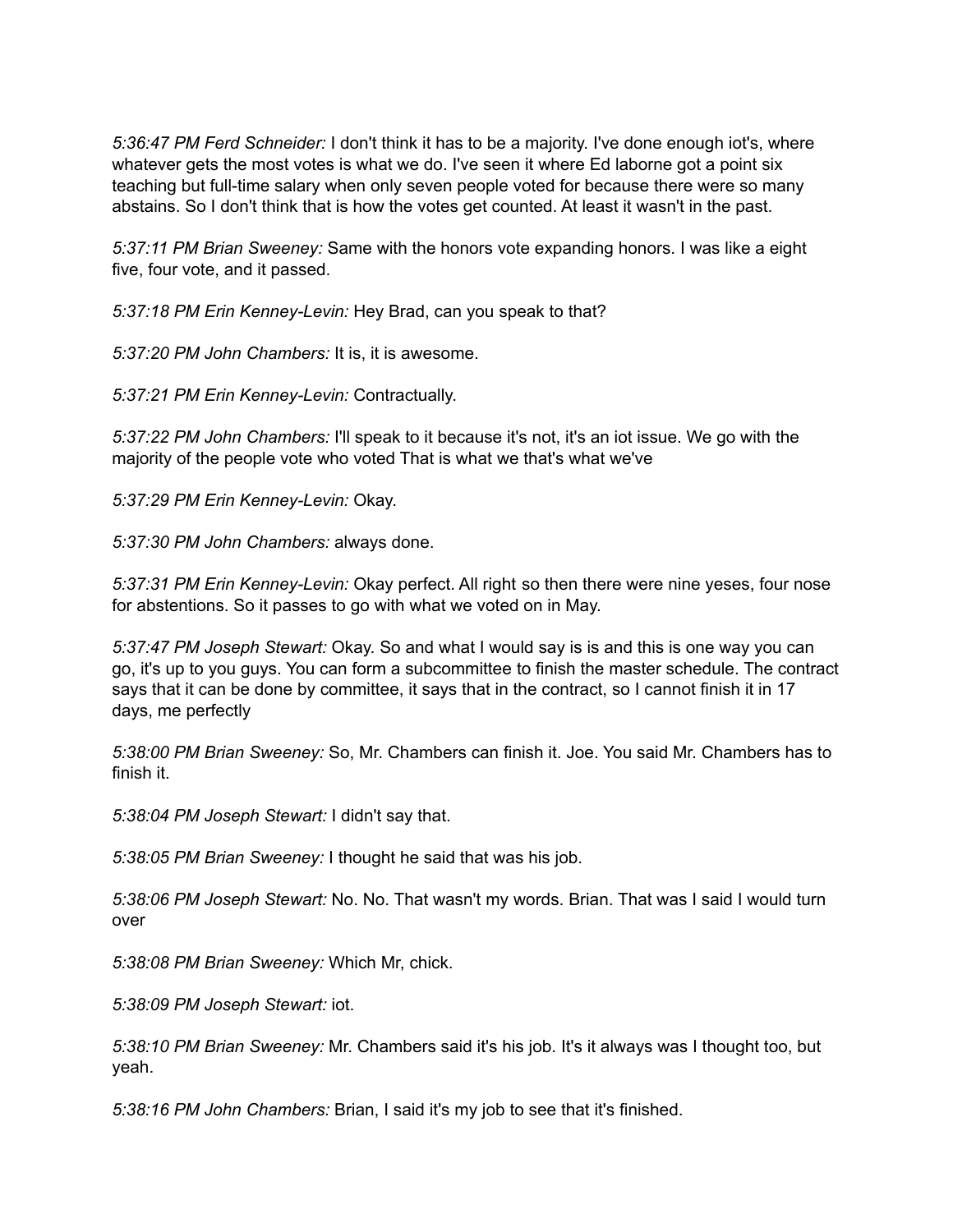*5:36:47 PM Ferd Schneider:* I don't think it has to be a majority. I've done enough iot's, where whatever gets the most votes is what we do. I've seen it where Ed laborne got a point six teaching but full-time salary when only seven people voted for because there were so many abstains. So I don't think that is how the votes get counted. At least it wasn't in the past.

*5:37:11 PM Brian Sweeney:* Same with the honors vote expanding honors. I was like a eight five, four vote, and it passed.

*5:37:18 PM Erin Kenney-Levin:* Hey Brad, can you speak to that?

*5:37:20 PM John Chambers:* It is, it is awesome.

*5:37:21 PM Erin Kenney-Levin:* Contractually.

*5:37:22 PM John Chambers:* I'll speak to it because it's not, it's an iot issue. We go with the majority of the people vote who voted That is what we that's what we've

*5:37:29 PM Erin Kenney-Levin:* Okay.

*5:37:30 PM John Chambers:* always done.

*5:37:31 PM Erin Kenney-Levin:* Okay perfect. All right so then there were nine yeses, four nose for abstentions. So it passes to go with what we voted on in May.

*5:37:47 PM Joseph Stewart:* Okay. So and what I would say is is and this is one way you can go, it's up to you guys. You can form a subcommittee to finish the master schedule. The contract says that it can be done by committee, it says that in the contract, so I cannot finish it in 17 days, me perfectly

*5:38:00 PM Brian Sweeney:* So, Mr. Chambers can finish it. Joe. You said Mr. Chambers has to finish it.

*5:38:04 PM Joseph Stewart:* I didn't say that.

*5:38:05 PM Brian Sweeney:* I thought he said that was his job.

*5:38:06 PM Joseph Stewart:* No. No. That wasn't my words. Brian. That was I said I would turn over

*5:38:08 PM Brian Sweeney:* Which Mr, chick.

*5:38:09 PM Joseph Stewart:* iot.

*5:38:10 PM Brian Sweeney:* Mr. Chambers said it's his job. It's it always was I thought too, but yeah.

*5:38:16 PM John Chambers:* Brian, I said it's my job to see that it's finished.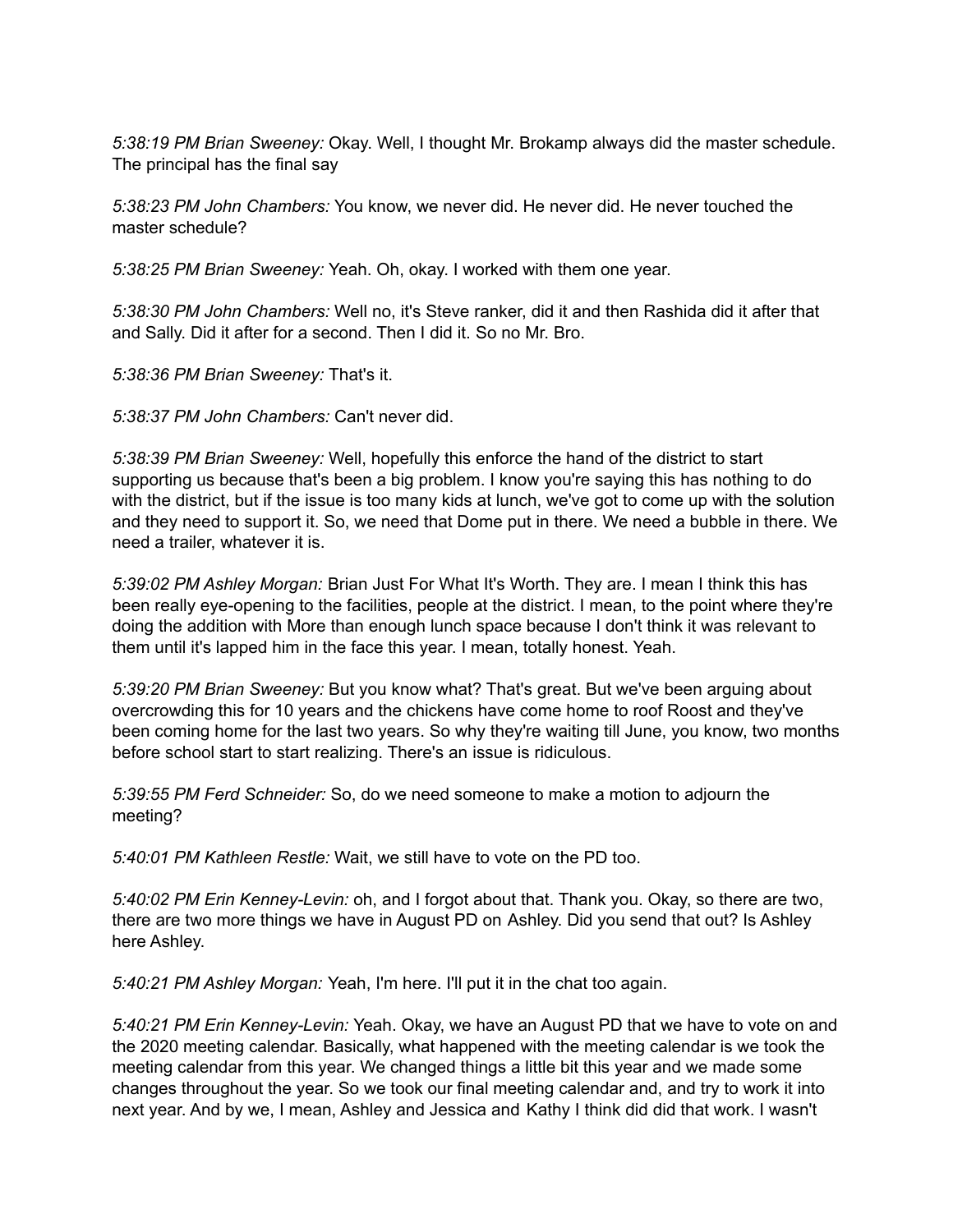*5:38:19 PM Brian Sweeney:* Okay. Well, I thought Mr. Brokamp always did the master schedule. The principal has the final say

*5:38:23 PM John Chambers:* You know, we never did. He never did. He never touched the master schedule?

*5:38:25 PM Brian Sweeney:* Yeah. Oh, okay. I worked with them one year.

*5:38:30 PM John Chambers:* Well no, it's Steve ranker, did it and then Rashida did it after that and Sally. Did it after for a second. Then I did it. So no Mr. Bro.

*5:38:36 PM Brian Sweeney:* That's it.

*5:38:37 PM John Chambers:* Can't never did.

*5:38:39 PM Brian Sweeney:* Well, hopefully this enforce the hand of the district to start supporting us because that's been a big problem. I know you're saying this has nothing to do with the district, but if the issue is too many kids at lunch, we've got to come up with the solution and they need to support it. So, we need that Dome put in there. We need a bubble in there. We need a trailer, whatever it is.

*5:39:02 PM Ashley Morgan:* Brian Just For What It's Worth. They are. I mean I think this has been really eye-opening to the facilities, people at the district. I mean, to the point where they're doing the addition with More than enough lunch space because I don't think it was relevant to them until it's lapped him in the face this year. I mean, totally honest. Yeah.

*5:39:20 PM Brian Sweeney:* But you know what? That's great. But we've been arguing about overcrowding this for 10 years and the chickens have come home to roof Roost and they've been coming home for the last two years. So why they're waiting till June, you know, two months before school start to start realizing. There's an issue is ridiculous.

*5:39:55 PM Ferd Schneider:* So, do we need someone to make a motion to adjourn the meeting?

*5:40:01 PM Kathleen Restle:* Wait, we still have to vote on the PD too.

*5:40:02 PM Erin Kenney-Levin:* oh, and I forgot about that. Thank you. Okay, so there are two, there are two more things we have in August PD on Ashley. Did you send that out? Is Ashley here Ashley.

*5:40:21 PM Ashley Morgan:* Yeah, I'm here. I'll put it in the chat too again.

*5:40:21 PM Erin Kenney-Levin:* Yeah. Okay, we have an August PD that we have to vote on and the 2020 meeting calendar. Basically, what happened with the meeting calendar is we took the meeting calendar from this year. We changed things a little bit this year and we made some changes throughout the year. So we took our final meeting calendar and, and try to work it into next year. And by we, I mean, Ashley and Jessica and Kathy I think did did that work. I wasn't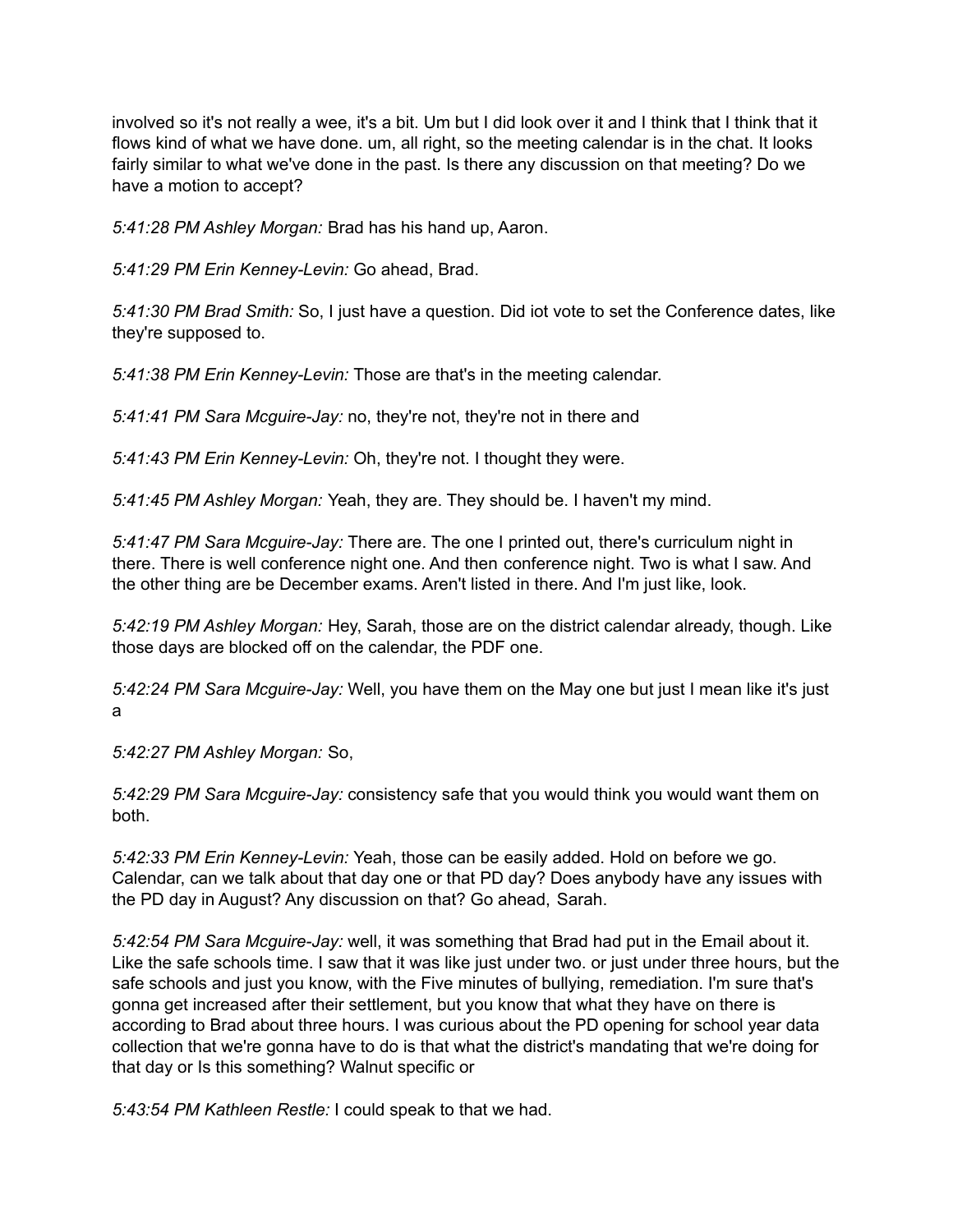involved so it's not really a wee, it's a bit. Um but I did look over it and I think that I think that it flows kind of what we have done. um, all right, so the meeting calendar is in the chat. It looks fairly similar to what we've done in the past. Is there any discussion on that meeting? Do we have a motion to accept?

*5:41:28 PM Ashley Morgan:* Brad has his hand up, Aaron.

*5:41:29 PM Erin Kenney-Levin:* Go ahead, Brad.

*5:41:30 PM Brad Smith:* So, I just have a question. Did iot vote to set the Conference dates, like they're supposed to.

*5:41:38 PM Erin Kenney-Levin:* Those are that's in the meeting calendar.

*5:41:41 PM Sara Mcguire-Jay:* no, they're not, they're not in there and

*5:41:43 PM Erin Kenney-Levin:* Oh, they're not. I thought they were.

*5:41:45 PM Ashley Morgan:* Yeah, they are. They should be. I haven't my mind.

*5:41:47 PM Sara Mcguire-Jay:* There are. The one I printed out, there's curriculum night in there. There is well conference night one. And then conference night. Two is what I saw. And the other thing are be December exams. Aren't listed in there. And I'm just like, look.

*5:42:19 PM Ashley Morgan:* Hey, Sarah, those are on the district calendar already, though. Like those days are blocked off on the calendar, the PDF one.

*5:42:24 PM Sara Mcguire-Jay:* Well, you have them on the May one but just I mean like it's just a

*5:42:27 PM Ashley Morgan:* So,

*5:42:29 PM Sara Mcguire-Jay:* consistency safe that you would think you would want them on both.

*5:42:33 PM Erin Kenney-Levin:* Yeah, those can be easily added. Hold on before we go. Calendar, can we talk about that day one or that PD day? Does anybody have any issues with the PD day in August? Any discussion on that? Go ahead, Sarah.

*5:42:54 PM Sara Mcguire-Jay:* well, it was something that Brad had put in the Email about it. Like the safe schools time. I saw that it was like just under two. or just under three hours, but the safe schools and just you know, with the Five minutes of bullying, remediation. I'm sure that's gonna get increased after their settlement, but you know that what they have on there is according to Brad about three hours. I was curious about the PD opening for school year data collection that we're gonna have to do is that what the district's mandating that we're doing for that day or Is this something? Walnut specific or

*5:43:54 PM Kathleen Restle:* I could speak to that we had.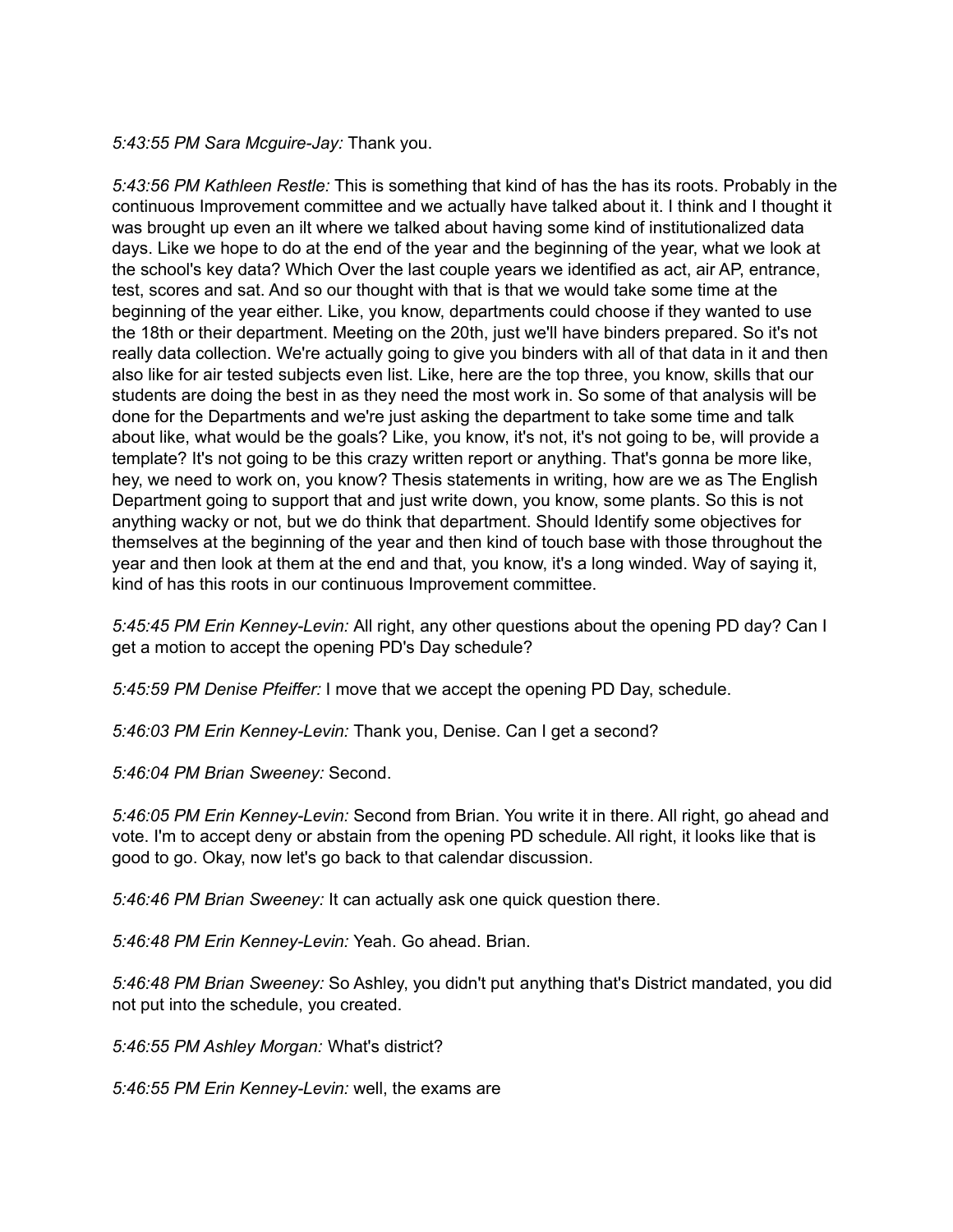*5:43:55 PM Sara Mcguire-Jay:* Thank you.

*5:43:56 PM Kathleen Restle:* This is something that kind of has the has its roots. Probably in the continuous Improvement committee and we actually have talked about it. I think and I thought it was brought up even an ilt where we talked about having some kind of institutionalized data days. Like we hope to do at the end of the year and the beginning of the year, what we look at the school's key data? Which Over the last couple years we identified as act, air AP, entrance, test, scores and sat. And so our thought with that is that we would take some time at the beginning of the year either. Like, you know, departments could choose if they wanted to use the 18th or their department. Meeting on the 20th, just we'll have binders prepared. So it's not really data collection. We're actually going to give you binders with all of that data in it and then also like for air tested subjects even list. Like, here are the top three, you know, skills that our students are doing the best in as they need the most work in. So some of that analysis will be done for the Departments and we're just asking the department to take some time and talk about like, what would be the goals? Like, you know, it's not, it's not going to be, will provide a template? It's not going to be this crazy written report or anything. That's gonna be more like, hey, we need to work on, you know? Thesis statements in writing, how are we as The English Department going to support that and just write down, you know, some plants. So this is not anything wacky or not, but we do think that department. Should Identify some objectives for themselves at the beginning of the year and then kind of touch base with those throughout the year and then look at them at the end and that, you know, it's a long winded. Way of saying it, kind of has this roots in our continuous Improvement committee.

*5:45:45 PM Erin Kenney-Levin:* All right, any other questions about the opening PD day? Can I get a motion to accept the opening PD's Day schedule?

*5:45:59 PM Denise Pfeiffer:* I move that we accept the opening PD Day, schedule.

*5:46:03 PM Erin Kenney-Levin:* Thank you, Denise. Can I get a second?

*5:46:04 PM Brian Sweeney:* Second.

*5:46:05 PM Erin Kenney-Levin:* Second from Brian. You write it in there. All right, go ahead and vote. I'm to accept deny or abstain from the opening PD schedule. All right, it looks like that is good to go. Okay, now let's go back to that calendar discussion.

*5:46:46 PM Brian Sweeney:* It can actually ask one quick question there.

*5:46:48 PM Erin Kenney-Levin:* Yeah. Go ahead. Brian.

*5:46:48 PM Brian Sweeney:* So Ashley, you didn't put anything that's District mandated, you did not put into the schedule, you created.

*5:46:55 PM Ashley Morgan:* What's district?

*5:46:55 PM Erin Kenney-Levin:* well, the exams are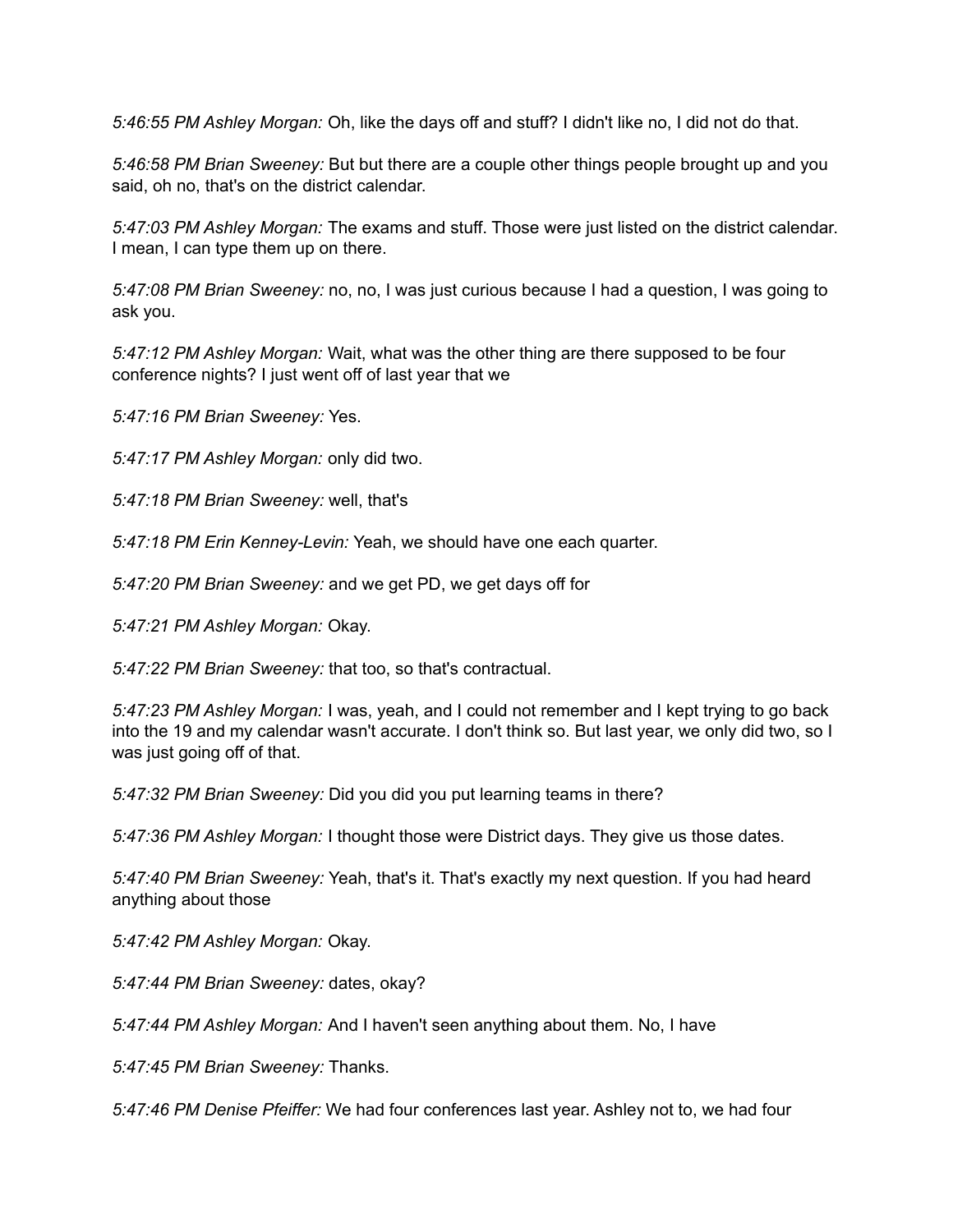*5:46:55 PM Ashley Morgan:* Oh, like the days off and stuff? I didn't like no, I did not do that.

*5:46:58 PM Brian Sweeney:* But but there are a couple other things people brought up and you said, oh no, that's on the district calendar.

*5:47:03 PM Ashley Morgan:* The exams and stuff. Those were just listed on the district calendar. I mean, I can type them up on there.

*5:47:08 PM Brian Sweeney:* no, no, I was just curious because I had a question, I was going to ask you.

*5:47:12 PM Ashley Morgan:* Wait, what was the other thing are there supposed to be four conference nights? I just went off of last year that we

*5:47:16 PM Brian Sweeney:* Yes.

*5:47:17 PM Ashley Morgan:* only did two.

*5:47:18 PM Brian Sweeney:* well, that's

*5:47:18 PM Erin Kenney-Levin:* Yeah, we should have one each quarter.

*5:47:20 PM Brian Sweeney:* and we get PD, we get days off for

*5:47:21 PM Ashley Morgan:* Okay.

*5:47:22 PM Brian Sweeney:* that too, so that's contractual.

*5:47:23 PM Ashley Morgan:* I was, yeah, and I could not remember and I kept trying to go back into the 19 and my calendar wasn't accurate. I don't think so. But last year, we only did two, so I was just going off of that.

*5:47:32 PM Brian Sweeney:* Did you did you put learning teams in there?

*5:47:36 PM Ashley Morgan:* I thought those were District days. They give us those dates.

*5:47:40 PM Brian Sweeney:* Yeah, that's it. That's exactly my next question. If you had heard anything about those

*5:47:42 PM Ashley Morgan:* Okay.

*5:47:44 PM Brian Sweeney:* dates, okay?

*5:47:44 PM Ashley Morgan:* And I haven't seen anything about them. No, I have

*5:47:45 PM Brian Sweeney:* Thanks.

*5:47:46 PM Denise Pfeiffer:* We had four conferences last year. Ashley not to, we had four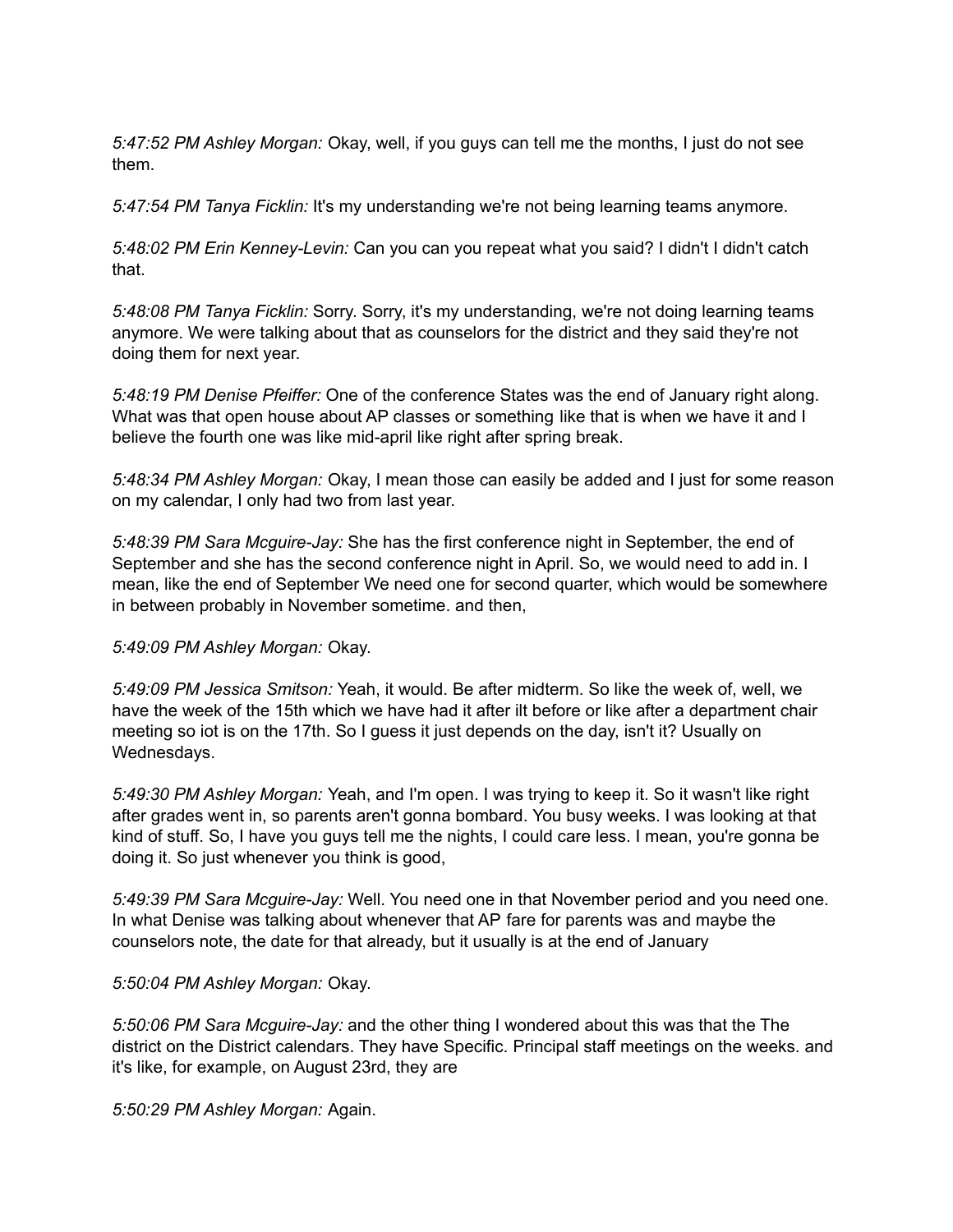*5:47:52 PM Ashley Morgan:* Okay, well, if you guys can tell me the months, I just do not see them.

*5:47:54 PM Tanya Ficklin:* It's my understanding we're not being learning teams anymore.

*5:48:02 PM Erin Kenney-Levin:* Can you can you repeat what you said? I didn't I didn't catch that.

*5:48:08 PM Tanya Ficklin:* Sorry. Sorry, it's my understanding, we're not doing learning teams anymore. We were talking about that as counselors for the district and they said they're not doing them for next year.

*5:48:19 PM Denise Pfeiffer:* One of the conference States was the end of January right along. What was that open house about AP classes or something like that is when we have it and I believe the fourth one was like mid-april like right after spring break.

*5:48:34 PM Ashley Morgan:* Okay, I mean those can easily be added and I just for some reason on my calendar, I only had two from last year.

*5:48:39 PM Sara Mcguire-Jay:* She has the first conference night in September, the end of September and she has the second conference night in April. So, we would need to add in. I mean, like the end of September We need one for second quarter, which would be somewhere in between probably in November sometime. and then,

## *5:49:09 PM Ashley Morgan:* Okay.

*5:49:09 PM Jessica Smitson:* Yeah, it would. Be after midterm. So like the week of, well, we have the week of the 15th which we have had it after ilt before or like after a department chair meeting so iot is on the 17th. So I guess it just depends on the day, isn't it? Usually on Wednesdays.

*5:49:30 PM Ashley Morgan:* Yeah, and I'm open. I was trying to keep it. So it wasn't like right after grades went in, so parents aren't gonna bombard. You busy weeks. I was looking at that kind of stuff. So, I have you guys tell me the nights, I could care less. I mean, you're gonna be doing it. So just whenever you think is good,

*5:49:39 PM Sara Mcguire-Jay:* Well. You need one in that November period and you need one. In what Denise was talking about whenever that AP fare for parents was and maybe the counselors note, the date for that already, but it usually is at the end of January

#### *5:50:04 PM Ashley Morgan:* Okay.

*5:50:06 PM Sara Mcguire-Jay:* and the other thing I wondered about this was that the The district on the District calendars. They have Specific. Principal staff meetings on the weeks. and it's like, for example, on August 23rd, they are

*5:50:29 PM Ashley Morgan:* Again.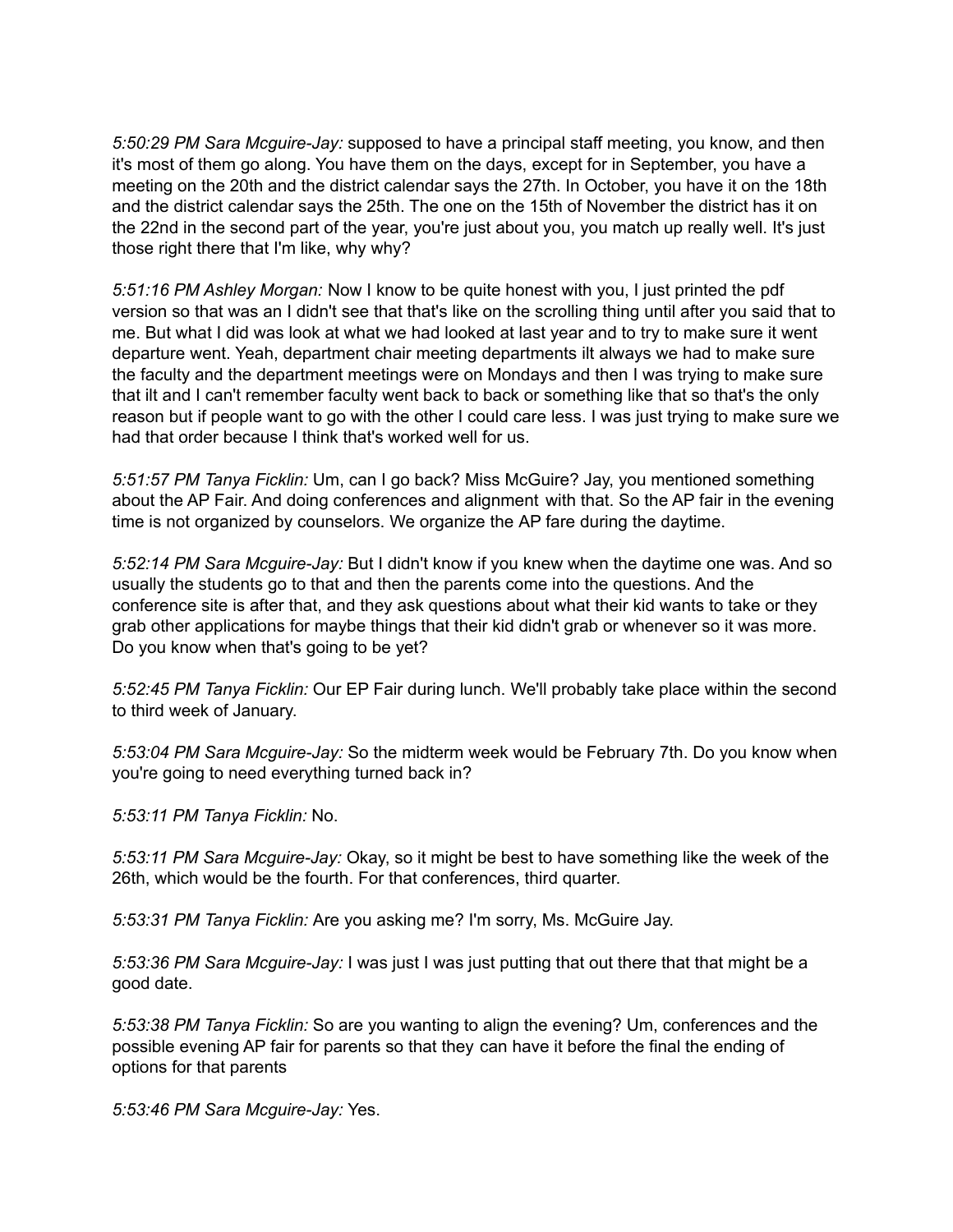*5:50:29 PM Sara Mcguire-Jay:* supposed to have a principal staff meeting, you know, and then it's most of them go along. You have them on the days, except for in September, you have a meeting on the 20th and the district calendar says the 27th. In October, you have it on the 18th and the district calendar says the 25th. The one on the 15th of November the district has it on the 22nd in the second part of the year, you're just about you, you match up really well. It's just those right there that I'm like, why why?

*5:51:16 PM Ashley Morgan:* Now I know to be quite honest with you, I just printed the pdf version so that was an I didn't see that that's like on the scrolling thing until after you said that to me. But what I did was look at what we had looked at last year and to try to make sure it went departure went. Yeah, department chair meeting departments ilt always we had to make sure the faculty and the department meetings were on Mondays and then I was trying to make sure that ilt and I can't remember faculty went back to back or something like that so that's the only reason but if people want to go with the other I could care less. I was just trying to make sure we had that order because I think that's worked well for us.

*5:51:57 PM Tanya Ficklin:* Um, can I go back? Miss McGuire? Jay, you mentioned something about the AP Fair. And doing conferences and alignment with that. So the AP fair in the evening time is not organized by counselors. We organize the AP fare during the daytime.

*5:52:14 PM Sara Mcguire-Jay:* But I didn't know if you knew when the daytime one was. And so usually the students go to that and then the parents come into the questions. And the conference site is after that, and they ask questions about what their kid wants to take or they grab other applications for maybe things that their kid didn't grab or whenever so it was more. Do you know when that's going to be yet?

*5:52:45 PM Tanya Ficklin:* Our EP Fair during lunch. We'll probably take place within the second to third week of January.

*5:53:04 PM Sara Mcguire-Jay:* So the midterm week would be February 7th. Do you know when you're going to need everything turned back in?

*5:53:11 PM Tanya Ficklin:* No.

*5:53:11 PM Sara Mcguire-Jay:* Okay, so it might be best to have something like the week of the 26th, which would be the fourth. For that conferences, third quarter.

*5:53:31 PM Tanya Ficklin:* Are you asking me? I'm sorry, Ms. McGuire Jay.

*5:53:36 PM Sara Mcguire-Jay:* I was just I was just putting that out there that that might be a good date.

*5:53:38 PM Tanya Ficklin:* So are you wanting to align the evening? Um, conferences and the possible evening AP fair for parents so that they can have it before the final the ending of options for that parents

*5:53:46 PM Sara Mcguire-Jay:* Yes.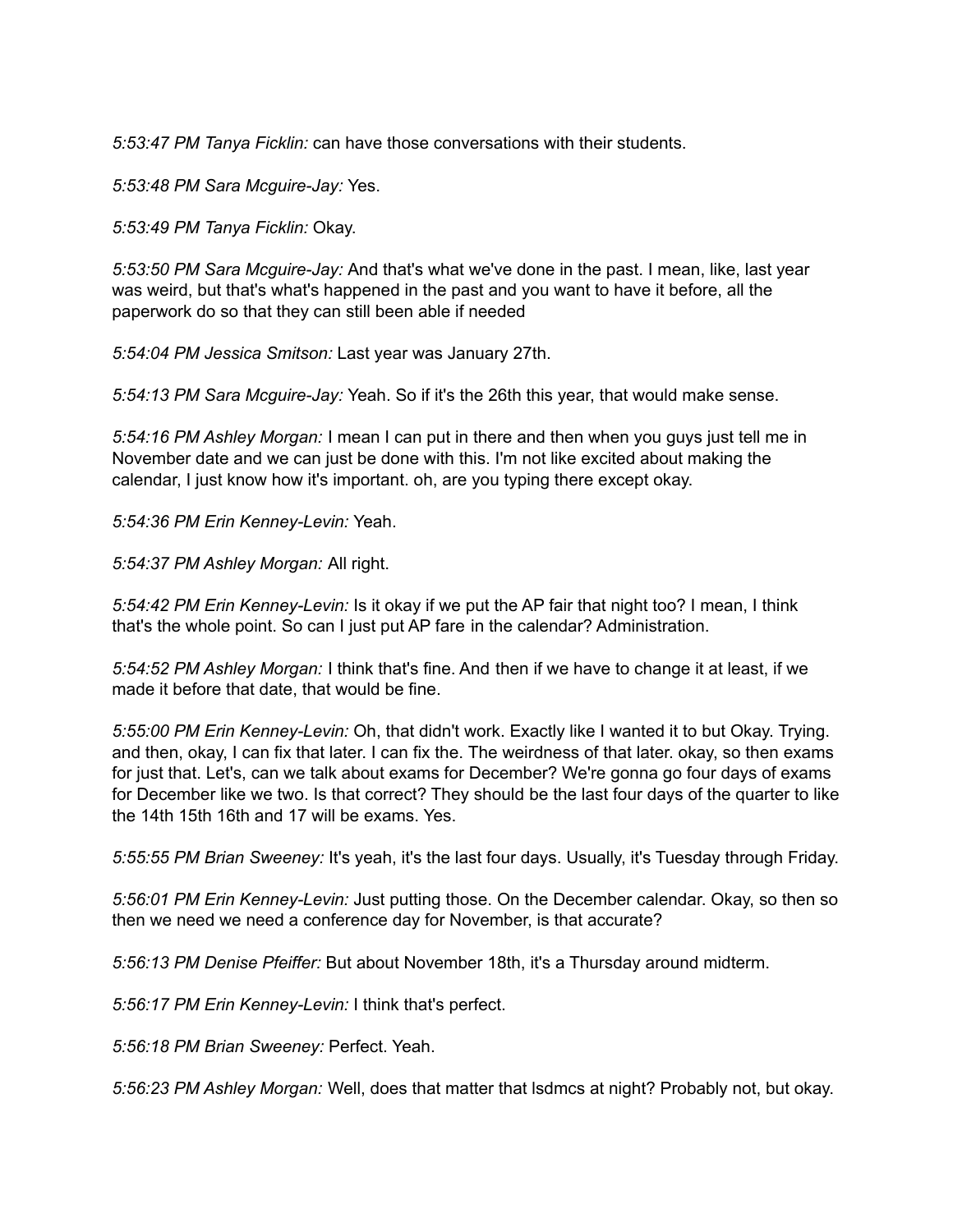*5:53:47 PM Tanya Ficklin:* can have those conversations with their students.

*5:53:48 PM Sara Mcguire-Jay:* Yes.

*5:53:49 PM Tanya Ficklin:* Okay.

*5:53:50 PM Sara Mcguire-Jay:* And that's what we've done in the past. I mean, like, last year was weird, but that's what's happened in the past and you want to have it before, all the paperwork do so that they can still been able if needed

*5:54:04 PM Jessica Smitson:* Last year was January 27th.

*5:54:13 PM Sara Mcguire-Jay:* Yeah. So if it's the 26th this year, that would make sense.

*5:54:16 PM Ashley Morgan:* I mean I can put in there and then when you guys just tell me in November date and we can just be done with this. I'm not like excited about making the calendar, I just know how it's important. oh, are you typing there except okay.

*5:54:36 PM Erin Kenney-Levin:* Yeah.

*5:54:37 PM Ashley Morgan:* All right.

*5:54:42 PM Erin Kenney-Levin:* Is it okay if we put the AP fair that night too? I mean, I think that's the whole point. So can I just put AP fare in the calendar? Administration.

*5:54:52 PM Ashley Morgan:* I think that's fine. And then if we have to change it at least, if we made it before that date, that would be fine.

*5:55:00 PM Erin Kenney-Levin:* Oh, that didn't work. Exactly like I wanted it to but Okay. Trying. and then, okay, I can fix that later. I can fix the. The weirdness of that later. okay, so then exams for just that. Let's, can we talk about exams for December? We're gonna go four days of exams for December like we two. Is that correct? They should be the last four days of the quarter to like the 14th 15th 16th and 17 will be exams. Yes.

*5:55:55 PM Brian Sweeney:* It's yeah, it's the last four days. Usually, it's Tuesday through Friday.

*5:56:01 PM Erin Kenney-Levin:* Just putting those. On the December calendar. Okay, so then so then we need we need a conference day for November, is that accurate?

*5:56:13 PM Denise Pfeiffer:* But about November 18th, it's a Thursday around midterm.

*5:56:17 PM Erin Kenney-Levin:* I think that's perfect.

*5:56:18 PM Brian Sweeney:* Perfect. Yeah.

*5:56:23 PM Ashley Morgan:* Well, does that matter that lsdmcs at night? Probably not, but okay.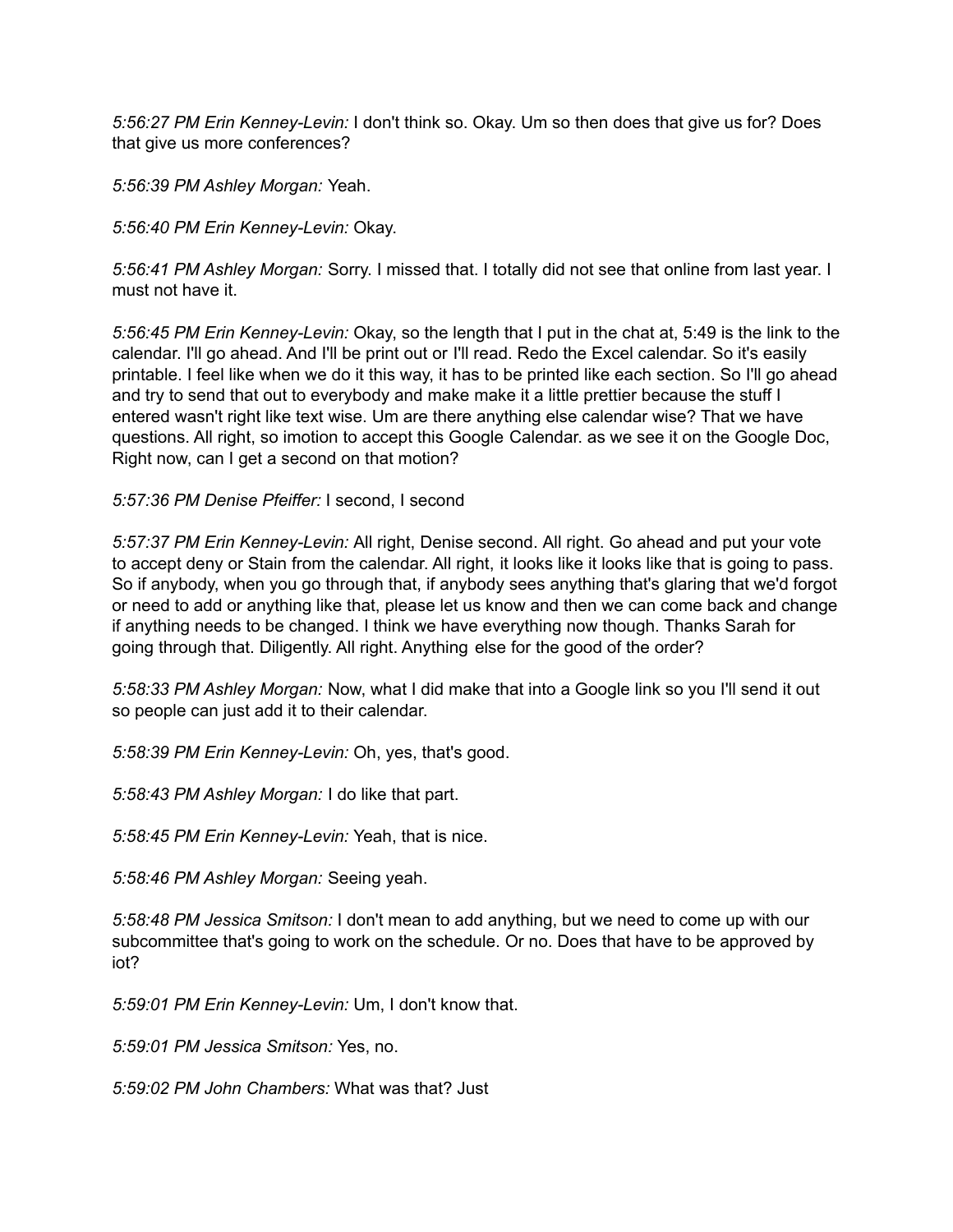*5:56:27 PM Erin Kenney-Levin:* I don't think so. Okay. Um so then does that give us for? Does that give us more conferences?

*5:56:39 PM Ashley Morgan:* Yeah.

*5:56:40 PM Erin Kenney-Levin:* Okay.

*5:56:41 PM Ashley Morgan:* Sorry. I missed that. I totally did not see that online from last year. I must not have it.

*5:56:45 PM Erin Kenney-Levin:* Okay, so the length that I put in the chat at, 5:49 is the link to the calendar. I'll go ahead. And I'll be print out or I'll read. Redo the Excel calendar. So it's easily printable. I feel like when we do it this way, it has to be printed like each section. So I'll go ahead and try to send that out to everybody and make make it a little prettier because the stuff I entered wasn't right like text wise. Um are there anything else calendar wise? That we have questions. All right, so imotion to accept this Google Calendar. as we see it on the Google Doc, Right now, can I get a second on that motion?

*5:57:36 PM Denise Pfeiffer:* I second, I second

*5:57:37 PM Erin Kenney-Levin:* All right, Denise second. All right. Go ahead and put your vote to accept deny or Stain from the calendar. All right, it looks like it looks like that is going to pass. So if anybody, when you go through that, if anybody sees anything that's glaring that we'd forgot or need to add or anything like that, please let us know and then we can come back and change if anything needs to be changed. I think we have everything now though. Thanks Sarah for going through that. Diligently. All right. Anything else for the good of the order?

*5:58:33 PM Ashley Morgan:* Now, what I did make that into a Google link so you I'll send it out so people can just add it to their calendar.

*5:58:39 PM Erin Kenney-Levin:* Oh, yes, that's good.

*5:58:43 PM Ashley Morgan:* I do like that part.

*5:58:45 PM Erin Kenney-Levin:* Yeah, that is nice.

*5:58:46 PM Ashley Morgan:* Seeing yeah.

*5:58:48 PM Jessica Smitson:* I don't mean to add anything, but we need to come up with our subcommittee that's going to work on the schedule. Or no. Does that have to be approved by iot?

*5:59:01 PM Erin Kenney-Levin:* Um, I don't know that.

*5:59:01 PM Jessica Smitson:* Yes, no.

*5:59:02 PM John Chambers:* What was that? Just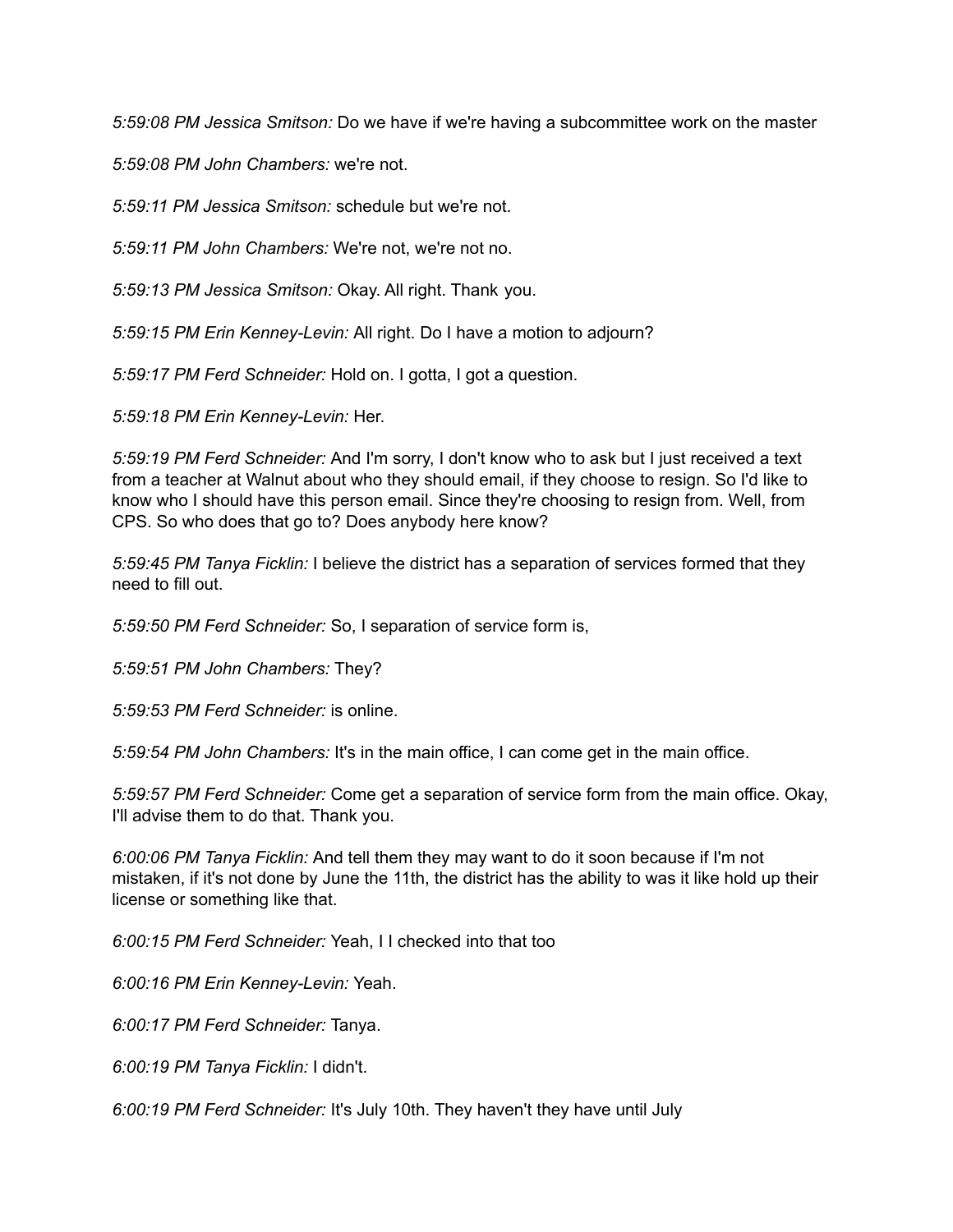*5:59:08 PM Jessica Smitson:* Do we have if we're having a subcommittee work on the master

*5:59:08 PM John Chambers:* we're not.

*5:59:11 PM Jessica Smitson:* schedule but we're not.

*5:59:11 PM John Chambers:* We're not, we're not no.

*5:59:13 PM Jessica Smitson:* Okay. All right. Thank you.

*5:59:15 PM Erin Kenney-Levin:* All right. Do I have a motion to adjourn?

*5:59:17 PM Ferd Schneider:* Hold on. I gotta, I got a question.

*5:59:18 PM Erin Kenney-Levin:* Her.

*5:59:19 PM Ferd Schneider:* And I'm sorry, I don't know who to ask but I just received a text from a teacher at Walnut about who they should email, if they choose to resign. So I'd like to know who I should have this person email. Since they're choosing to resign from. Well, from CPS. So who does that go to? Does anybody here know?

*5:59:45 PM Tanya Ficklin:* I believe the district has a separation of services formed that they need to fill out.

*5:59:50 PM Ferd Schneider:* So, I separation of service form is,

*5:59:51 PM John Chambers:* They?

*5:59:53 PM Ferd Schneider:* is online.

*5:59:54 PM John Chambers:* It's in the main office, I can come get in the main office.

*5:59:57 PM Ferd Schneider:* Come get a separation of service form from the main office. Okay, I'll advise them to do that. Thank you.

*6:00:06 PM Tanya Ficklin:* And tell them they may want to do it soon because if I'm not mistaken, if it's not done by June the 11th, the district has the ability to was it like hold up their license or something like that.

*6:00:15 PM Ferd Schneider:* Yeah, I I checked into that too

*6:00:16 PM Erin Kenney-Levin:* Yeah.

*6:00:17 PM Ferd Schneider:* Tanya.

*6:00:19 PM Tanya Ficklin:* I didn't.

*6:00:19 PM Ferd Schneider:* It's July 10th. They haven't they have until July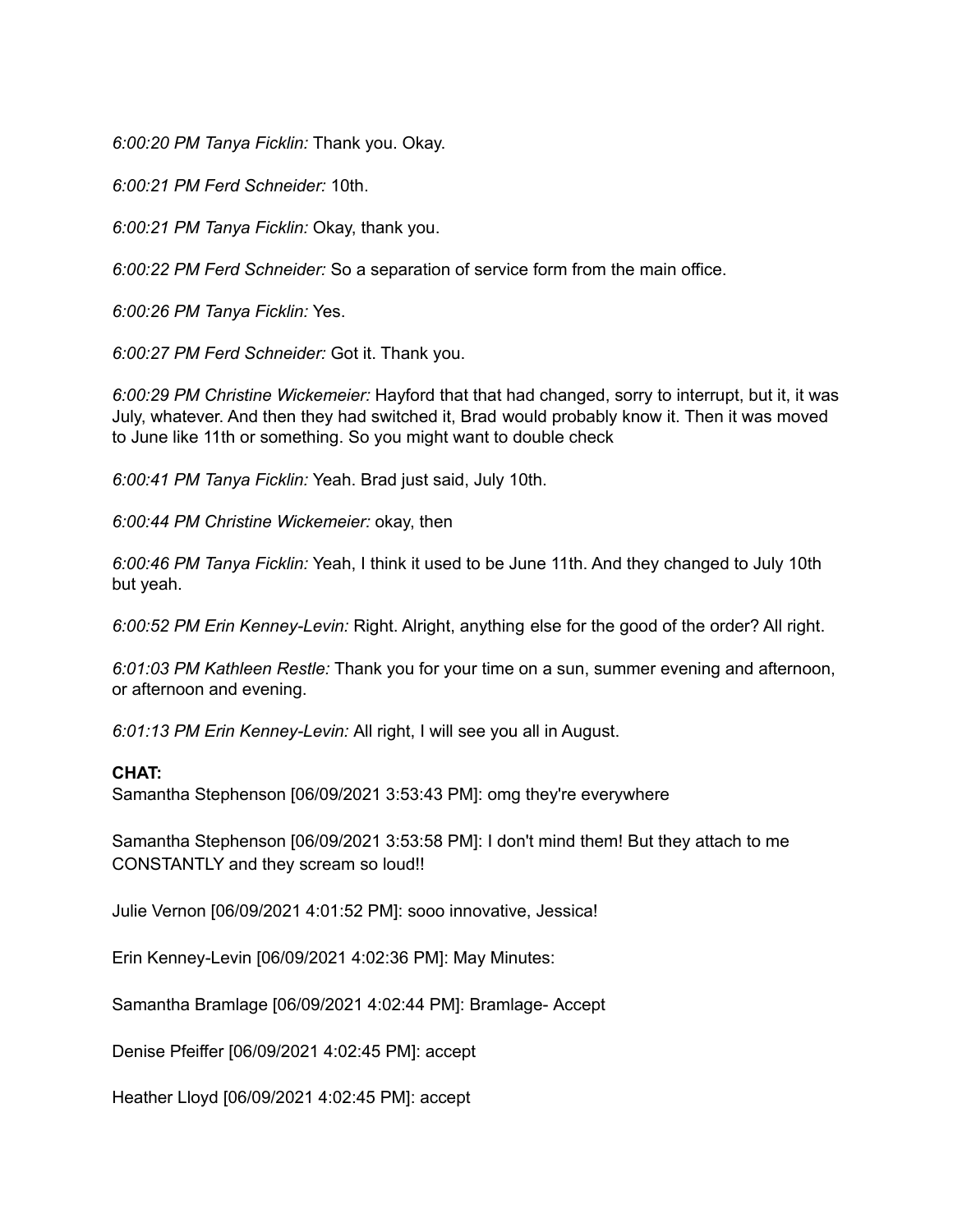*6:00:20 PM Tanya Ficklin:* Thank you. Okay.

*6:00:21 PM Ferd Schneider:* 10th.

*6:00:21 PM Tanya Ficklin:* Okay, thank you.

*6:00:22 PM Ferd Schneider:* So a separation of service form from the main office.

*6:00:26 PM Tanya Ficklin:* Yes.

*6:00:27 PM Ferd Schneider:* Got it. Thank you.

*6:00:29 PM Christine Wickemeier:* Hayford that that had changed, sorry to interrupt, but it, it was July, whatever. And then they had switched it, Brad would probably know it. Then it was moved to June like 11th or something. So you might want to double check

*6:00:41 PM Tanya Ficklin:* Yeah. Brad just said, July 10th.

*6:00:44 PM Christine Wickemeier:* okay, then

*6:00:46 PM Tanya Ficklin:* Yeah, I think it used to be June 11th. And they changed to July 10th but yeah.

*6:00:52 PM Erin Kenney-Levin:* Right. Alright, anything else for the good of the order? All right.

*6:01:03 PM Kathleen Restle:* Thank you for your time on a sun, summer evening and afternoon, or afternoon and evening.

*6:01:13 PM Erin Kenney-Levin:* All right, I will see you all in August.

## **CHAT:**

Samantha Stephenson [06/09/2021 3:53:43 PM]: omg they're everywhere

Samantha Stephenson [06/09/2021 3:53:58 PM]: I don't mind them! But they attach to me CONSTANTLY and they scream so loud!!

Julie Vernon [06/09/2021 4:01:52 PM]: sooo innovative, Jessica!

Erin Kenney-Levin [06/09/2021 4:02:36 PM]: May Minutes:

Samantha Bramlage [06/09/2021 4:02:44 PM]: Bramlage- Accept

Denise Pfeiffer [06/09/2021 4:02:45 PM]: accept

Heather Lloyd [06/09/2021 4:02:45 PM]: accept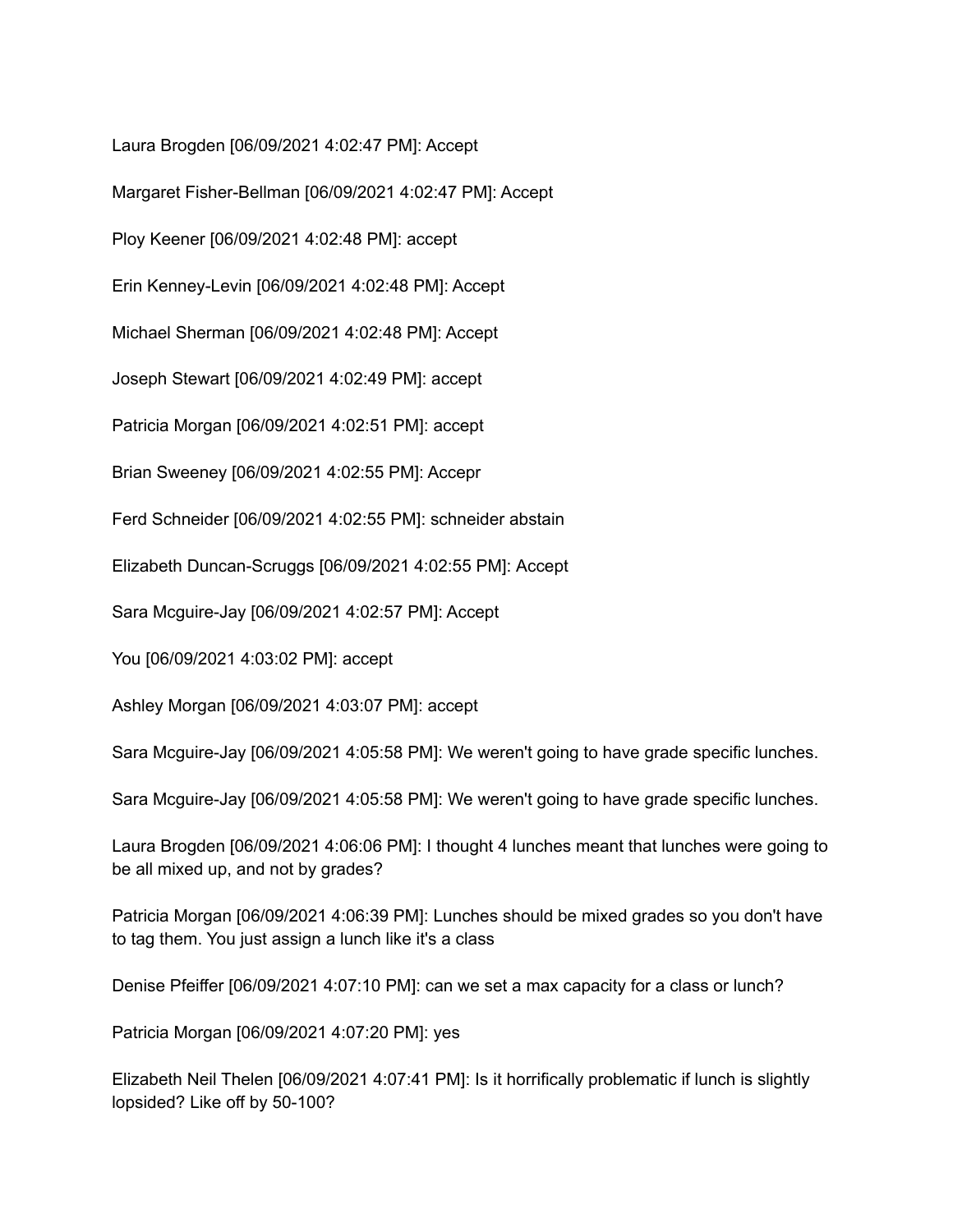Laura Brogden [06/09/2021 4:02:47 PM]: Accept

Margaret Fisher-Bellman [06/09/2021 4:02:47 PM]: Accept

Ploy Keener [06/09/2021 4:02:48 PM]: accept

Erin Kenney-Levin [06/09/2021 4:02:48 PM]: Accept

Michael Sherman [06/09/2021 4:02:48 PM]: Accept

Joseph Stewart [06/09/2021 4:02:49 PM]: accept

Patricia Morgan [06/09/2021 4:02:51 PM]: accept

Brian Sweeney [06/09/2021 4:02:55 PM]: Accepr

Ferd Schneider [06/09/2021 4:02:55 PM]: schneider abstain

Elizabeth Duncan-Scruggs [06/09/2021 4:02:55 PM]: Accept

Sara Mcguire-Jay [06/09/2021 4:02:57 PM]: Accept

You [06/09/2021 4:03:02 PM]: accept

Ashley Morgan [06/09/2021 4:03:07 PM]: accept

Sara Mcguire-Jay [06/09/2021 4:05:58 PM]: We weren't going to have grade specific lunches.

Sara Mcguire-Jay [06/09/2021 4:05:58 PM]: We weren't going to have grade specific lunches.

Laura Brogden [06/09/2021 4:06:06 PM]: I thought 4 lunches meant that lunches were going to be all mixed up, and not by grades?

Patricia Morgan [06/09/2021 4:06:39 PM]: Lunches should be mixed grades so you don't have to tag them. You just assign a lunch like it's a class

Denise Pfeiffer [06/09/2021 4:07:10 PM]: can we set a max capacity for a class or lunch?

Patricia Morgan [06/09/2021 4:07:20 PM]: yes

Elizabeth Neil Thelen [06/09/2021 4:07:41 PM]: Is it horrifically problematic if lunch is slightly lopsided? Like off by 50-100?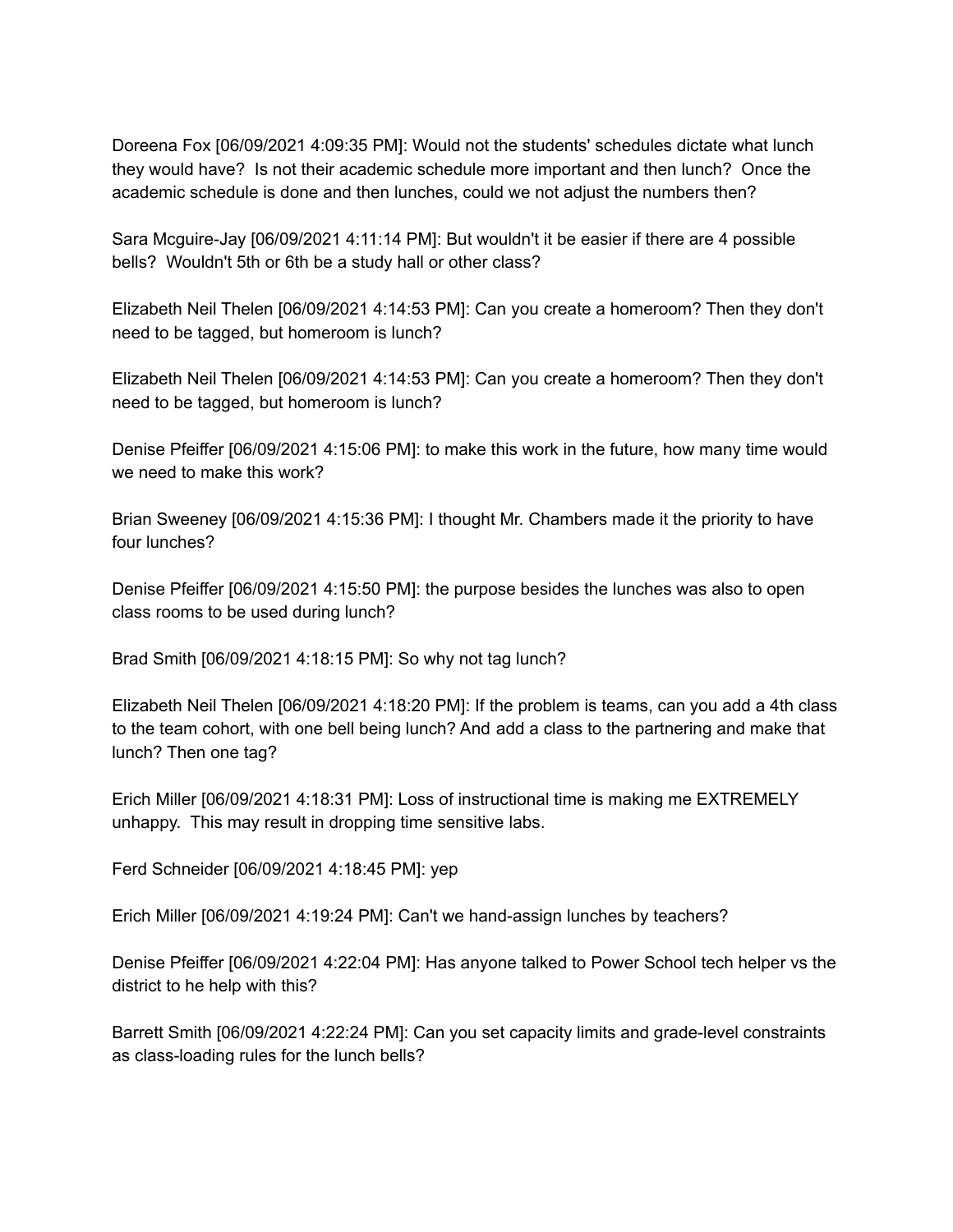Doreena Fox [06/09/2021 4:09:35 PM]: Would not the students' schedules dictate what lunch they would have? Is not their academic schedule more important and then lunch? Once the academic schedule is done and then lunches, could we not adjust the numbers then?

Sara Mcguire-Jay [06/09/2021 4:11:14 PM]: But wouldn't it be easier if there are 4 possible bells? Wouldn't 5th or 6th be a study hall or other class?

Elizabeth Neil Thelen [06/09/2021 4:14:53 PM]: Can you create a homeroom? Then they don't need to be tagged, but homeroom is lunch?

Elizabeth Neil Thelen [06/09/2021 4:14:53 PM]: Can you create a homeroom? Then they don't need to be tagged, but homeroom is lunch?

Denise Pfeiffer [06/09/2021 4:15:06 PM]: to make this work in the future, how many time would we need to make this work?

Brian Sweeney [06/09/2021 4:15:36 PM]: I thought Mr. Chambers made it the priority to have four lunches?

Denise Pfeiffer [06/09/2021 4:15:50 PM]: the purpose besides the lunches was also to open class rooms to be used during lunch?

Brad Smith [06/09/2021 4:18:15 PM]: So why not tag lunch?

Elizabeth Neil Thelen [06/09/2021 4:18:20 PM]: If the problem is teams, can you add a 4th class to the team cohort, with one bell being lunch? And add a class to the partnering and make that lunch? Then one tag?

Erich Miller [06/09/2021 4:18:31 PM]: Loss of instructional time is making me EXTREMELY unhappy. This may result in dropping time sensitive labs.

Ferd Schneider [06/09/2021 4:18:45 PM]: yep

Erich Miller [06/09/2021 4:19:24 PM]: Can't we hand-assign lunches by teachers?

Denise Pfeiffer [06/09/2021 4:22:04 PM]: Has anyone talked to Power School tech helper vs the district to he help with this?

Barrett Smith [06/09/2021 4:22:24 PM]: Can you set capacity limits and grade-level constraints as class-loading rules for the lunch bells?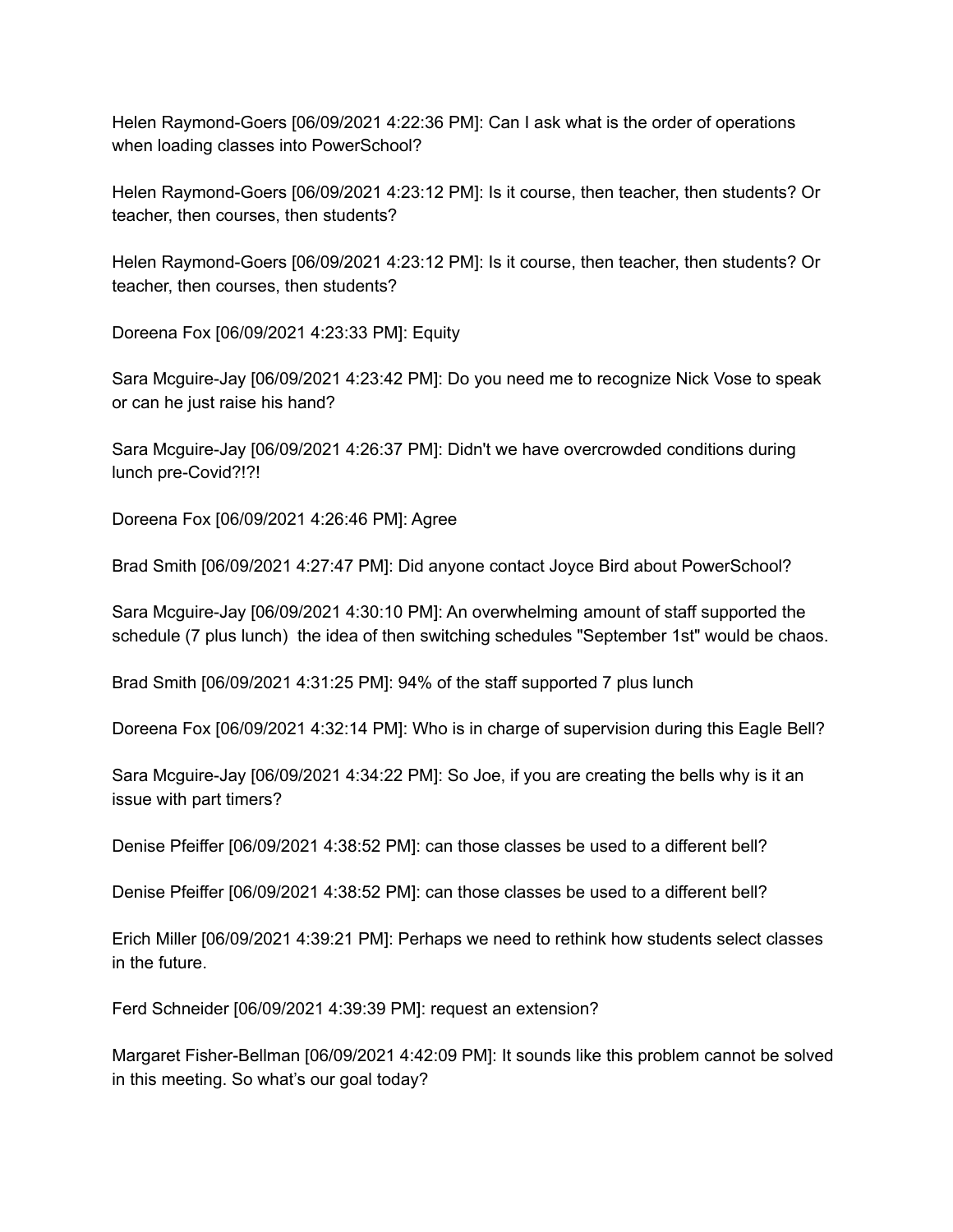Helen Raymond-Goers [06/09/2021 4:22:36 PM]: Can I ask what is the order of operations when loading classes into PowerSchool?

Helen Raymond-Goers [06/09/2021 4:23:12 PM]: Is it course, then teacher, then students? Or teacher, then courses, then students?

Helen Raymond-Goers [06/09/2021 4:23:12 PM]: Is it course, then teacher, then students? Or teacher, then courses, then students?

Doreena Fox [06/09/2021 4:23:33 PM]: Equity

Sara Mcguire-Jay [06/09/2021 4:23:42 PM]: Do you need me to recognize Nick Vose to speak or can he just raise his hand?

Sara Mcguire-Jay [06/09/2021 4:26:37 PM]: Didn't we have overcrowded conditions during lunch pre-Covid?!?!

Doreena Fox [06/09/2021 4:26:46 PM]: Agree

Brad Smith [06/09/2021 4:27:47 PM]: Did anyone contact Joyce Bird about PowerSchool?

Sara Mcguire-Jay [06/09/2021 4:30:10 PM]: An overwhelming amount of staff supported the schedule (7 plus lunch) the idea of then switching schedules "September 1st" would be chaos.

Brad Smith [06/09/2021 4:31:25 PM]: 94% of the staff supported 7 plus lunch

Doreena Fox [06/09/2021 4:32:14 PM]: Who is in charge of supervision during this Eagle Bell?

Sara Mcguire-Jay [06/09/2021 4:34:22 PM]: So Joe, if you are creating the bells why is it an issue with part timers?

Denise Pfeiffer [06/09/2021 4:38:52 PM]: can those classes be used to a different bell?

Denise Pfeiffer [06/09/2021 4:38:52 PM]: can those classes be used to a different bell?

Erich Miller [06/09/2021 4:39:21 PM]: Perhaps we need to rethink how students select classes in the future.

Ferd Schneider [06/09/2021 4:39:39 PM]: request an extension?

Margaret Fisher-Bellman [06/09/2021 4:42:09 PM]: It sounds like this problem cannot be solved in this meeting. So what's our goal today?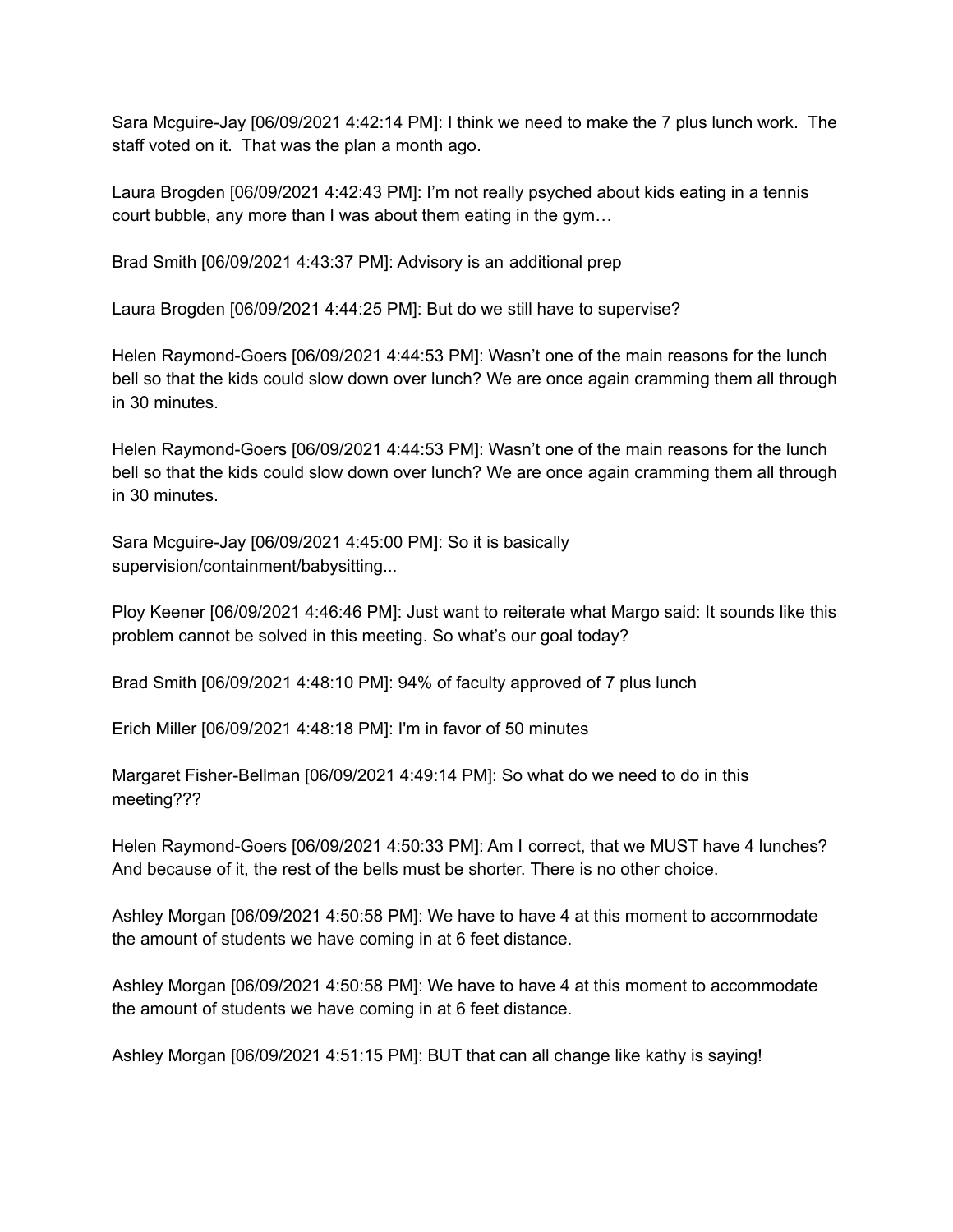Sara Mcguire-Jay [06/09/2021 4:42:14 PM]: I think we need to make the 7 plus lunch work. The staff voted on it. That was the plan a month ago.

Laura Brogden [06/09/2021 4:42:43 PM]: I'm not really psyched about kids eating in a tennis court bubble, any more than I was about them eating in the gym…

Brad Smith [06/09/2021 4:43:37 PM]: Advisory is an additional prep

Laura Brogden [06/09/2021 4:44:25 PM]: But do we still have to supervise?

Helen Raymond-Goers [06/09/2021 4:44:53 PM]: Wasn't one of the main reasons for the lunch bell so that the kids could slow down over lunch? We are once again cramming them all through in 30 minutes.

Helen Raymond-Goers [06/09/2021 4:44:53 PM]: Wasn't one of the main reasons for the lunch bell so that the kids could slow down over lunch? We are once again cramming them all through in 30 minutes.

Sara Mcguire-Jay [06/09/2021 4:45:00 PM]: So it is basically supervision/containment/babysitting...

Ploy Keener [06/09/2021 4:46:46 PM]: Just want to reiterate what Margo said: It sounds like this problem cannot be solved in this meeting. So what's our goal today?

Brad Smith [06/09/2021 4:48:10 PM]: 94% of faculty approved of 7 plus lunch

Erich Miller [06/09/2021 4:48:18 PM]: I'm in favor of 50 minutes

Margaret Fisher-Bellman [06/09/2021 4:49:14 PM]: So what do we need to do in this meeting???

Helen Raymond-Goers [06/09/2021 4:50:33 PM]: Am I correct, that we MUST have 4 lunches? And because of it, the rest of the bells must be shorter. There is no other choice.

Ashley Morgan [06/09/2021 4:50:58 PM]: We have to have 4 at this moment to accommodate the amount of students we have coming in at 6 feet distance.

Ashley Morgan [06/09/2021 4:50:58 PM]: We have to have 4 at this moment to accommodate the amount of students we have coming in at 6 feet distance.

Ashley Morgan [06/09/2021 4:51:15 PM]: BUT that can all change like kathy is saying!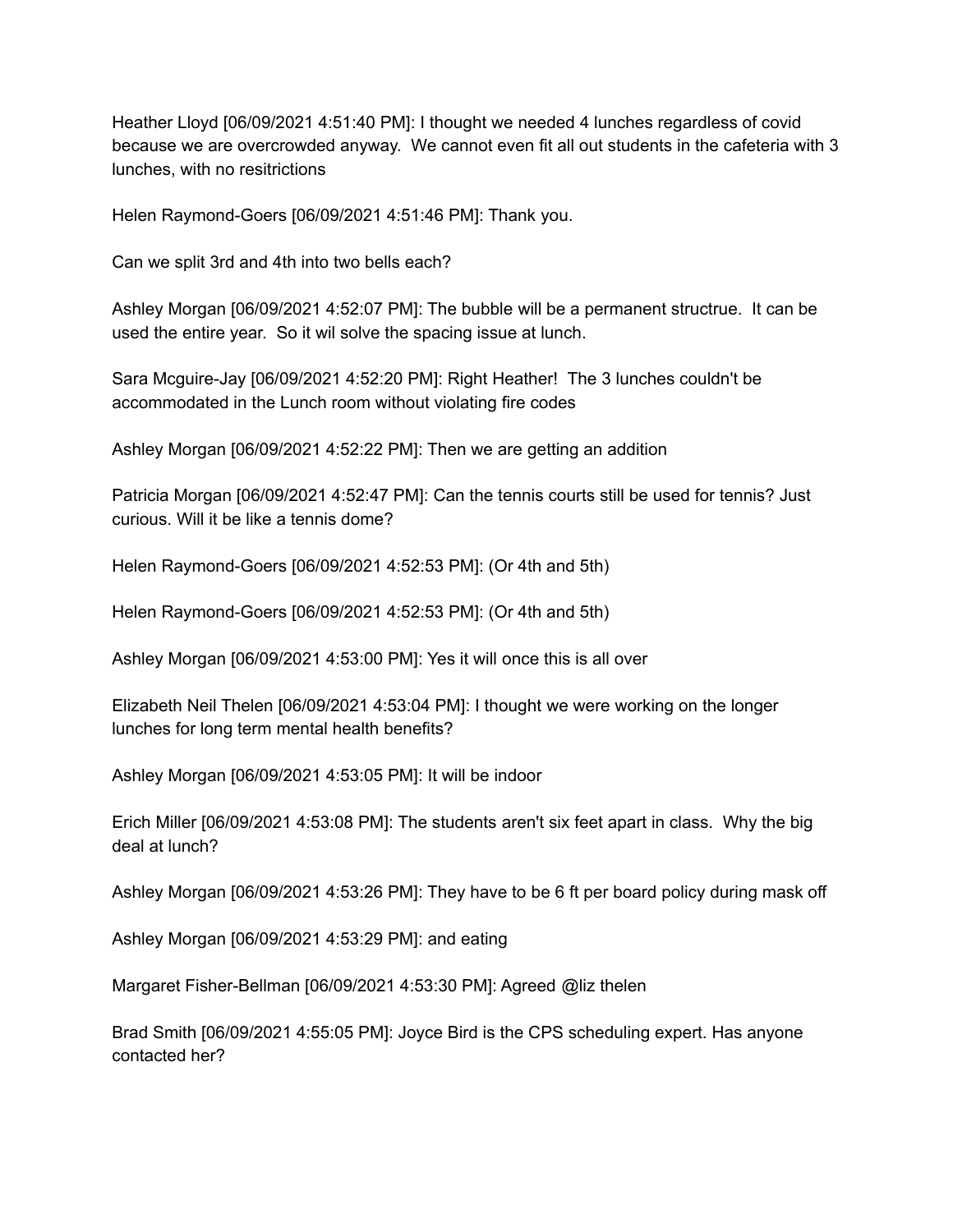Heather Lloyd [06/09/2021 4:51:40 PM]: I thought we needed 4 lunches regardless of covid because we are overcrowded anyway. We cannot even fit all out students in the cafeteria with 3 lunches, with no resitrictions

Helen Raymond-Goers [06/09/2021 4:51:46 PM]: Thank you.

Can we split 3rd and 4th into two bells each?

Ashley Morgan [06/09/2021 4:52:07 PM]: The bubble will be a permanent structrue. It can be used the entire year. So it wil solve the spacing issue at lunch.

Sara Mcguire-Jay [06/09/2021 4:52:20 PM]: Right Heather! The 3 lunches couldn't be accommodated in the Lunch room without violating fire codes

Ashley Morgan [06/09/2021 4:52:22 PM]: Then we are getting an addition

Patricia Morgan [06/09/2021 4:52:47 PM]: Can the tennis courts still be used for tennis? Just curious. Will it be like a tennis dome?

Helen Raymond-Goers [06/09/2021 4:52:53 PM]: (Or 4th and 5th)

Helen Raymond-Goers [06/09/2021 4:52:53 PM]: (Or 4th and 5th)

Ashley Morgan [06/09/2021 4:53:00 PM]: Yes it will once this is all over

Elizabeth Neil Thelen [06/09/2021 4:53:04 PM]: I thought we were working on the longer lunches for long term mental health benefits?

Ashley Morgan [06/09/2021 4:53:05 PM]: It will be indoor

Erich Miller [06/09/2021 4:53:08 PM]: The students aren't six feet apart in class. Why the big deal at lunch?

Ashley Morgan [06/09/2021 4:53:26 PM]: They have to be 6 ft per board policy during mask off

Ashley Morgan [06/09/2021 4:53:29 PM]: and eating

Margaret Fisher-Bellman [06/09/2021 4:53:30 PM]: Agreed @liz thelen

Brad Smith [06/09/2021 4:55:05 PM]: Joyce Bird is the CPS scheduling expert. Has anyone contacted her?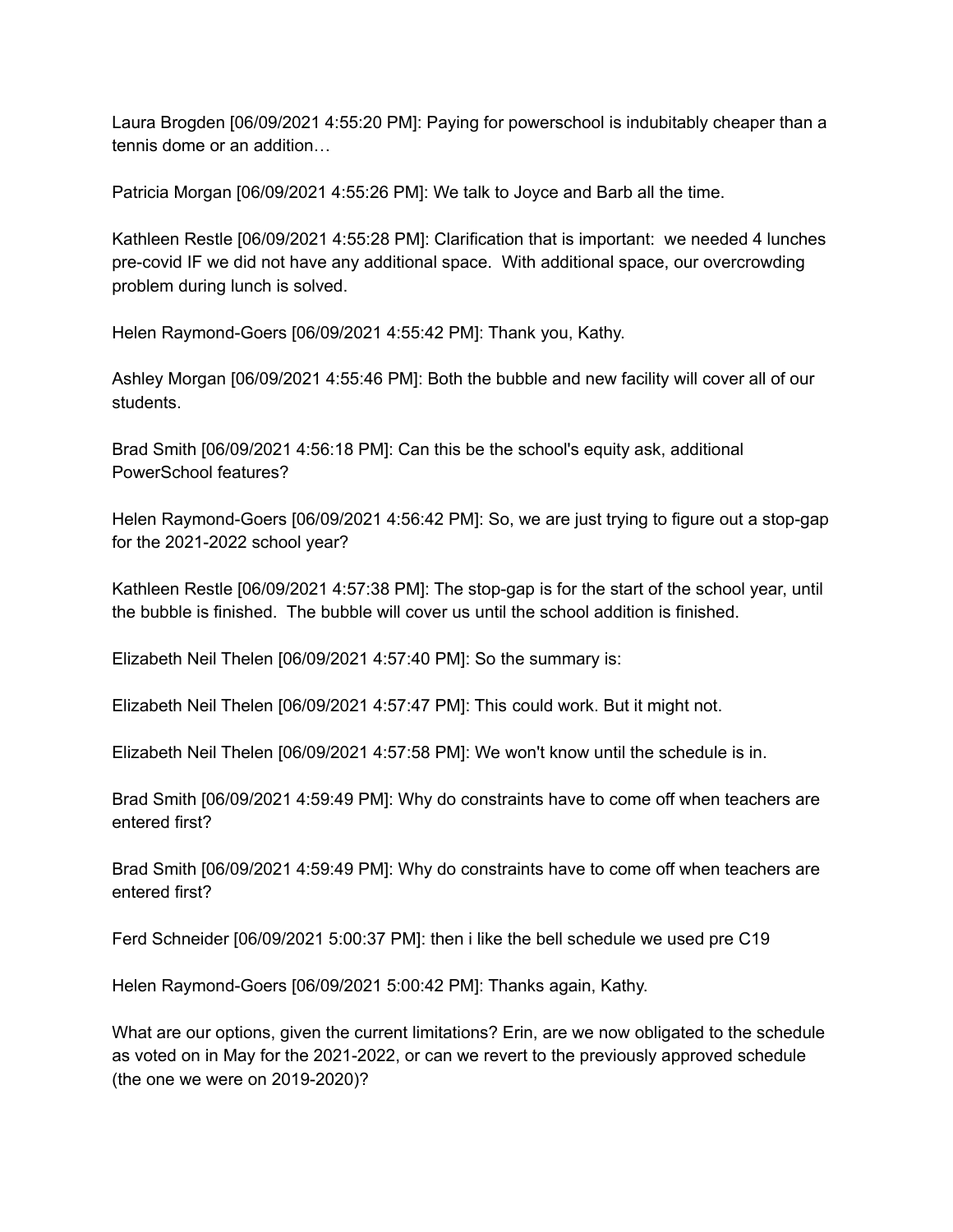Laura Brogden [06/09/2021 4:55:20 PM]: Paying for powerschool is indubitably cheaper than a tennis dome or an addition…

Patricia Morgan [06/09/2021 4:55:26 PM]: We talk to Joyce and Barb all the time.

Kathleen Restle [06/09/2021 4:55:28 PM]: Clarification that is important: we needed 4 lunches pre-covid IF we did not have any additional space. With additional space, our overcrowding problem during lunch is solved.

Helen Raymond-Goers [06/09/2021 4:55:42 PM]: Thank you, Kathy.

Ashley Morgan [06/09/2021 4:55:46 PM]: Both the bubble and new facility will cover all of our students.

Brad Smith [06/09/2021 4:56:18 PM]: Can this be the school's equity ask, additional PowerSchool features?

Helen Raymond-Goers [06/09/2021 4:56:42 PM]: So, we are just trying to figure out a stop-gap for the 2021-2022 school year?

Kathleen Restle [06/09/2021 4:57:38 PM]: The stop-gap is for the start of the school year, until the bubble is finished. The bubble will cover us until the school addition is finished.

Elizabeth Neil Thelen [06/09/2021 4:57:40 PM]: So the summary is:

Elizabeth Neil Thelen [06/09/2021 4:57:47 PM]: This could work. But it might not.

Elizabeth Neil Thelen [06/09/2021 4:57:58 PM]: We won't know until the schedule is in.

Brad Smith [06/09/2021 4:59:49 PM]: Why do constraints have to come off when teachers are entered first?

Brad Smith [06/09/2021 4:59:49 PM]: Why do constraints have to come off when teachers are entered first?

Ferd Schneider [06/09/2021 5:00:37 PM]: then i like the bell schedule we used pre C19

Helen Raymond-Goers [06/09/2021 5:00:42 PM]: Thanks again, Kathy.

What are our options, given the current limitations? Erin, are we now obligated to the schedule as voted on in May for the 2021-2022, or can we revert to the previously approved schedule (the one we were on 2019-2020)?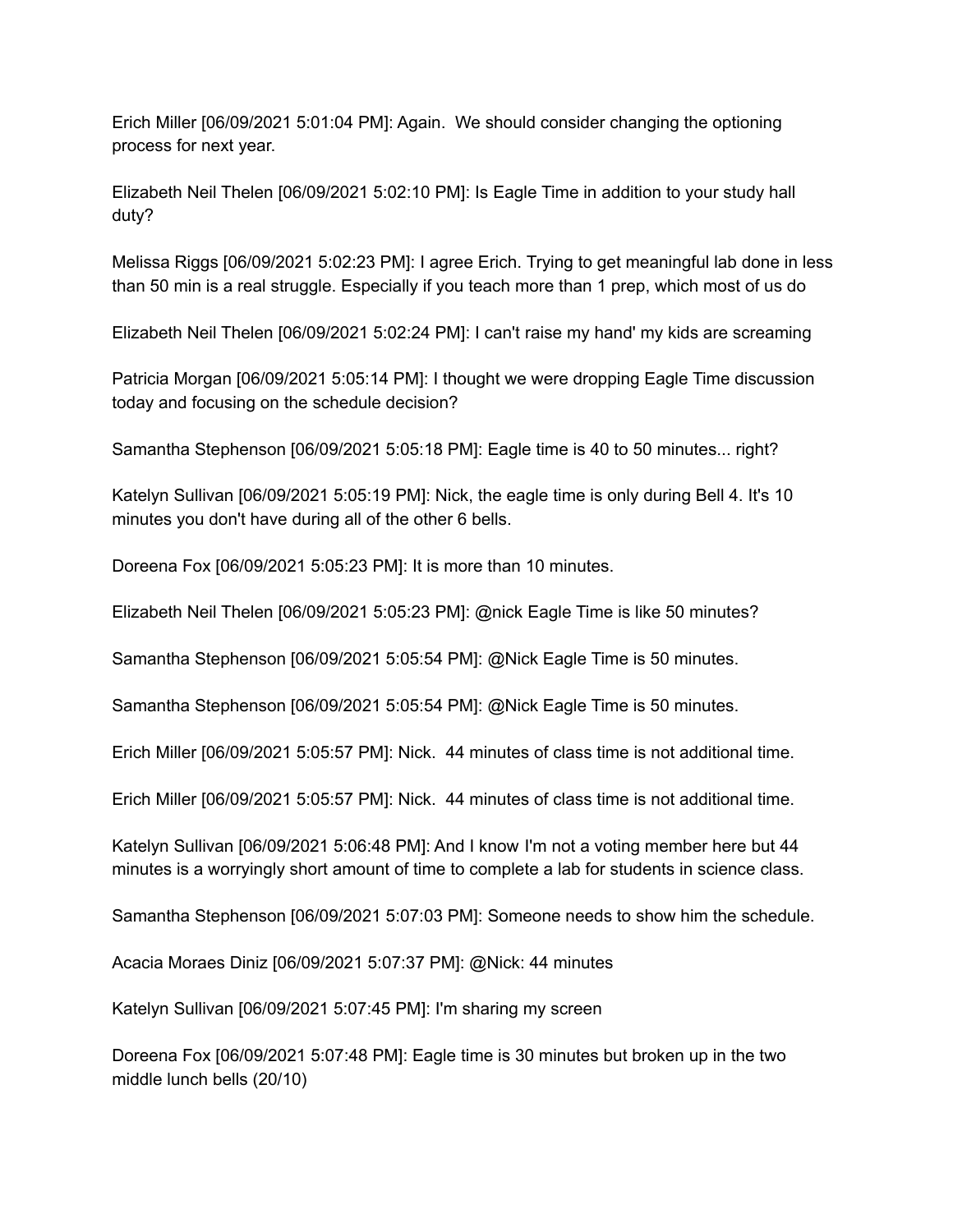Erich Miller [06/09/2021 5:01:04 PM]: Again. We should consider changing the optioning process for next year.

Elizabeth Neil Thelen [06/09/2021 5:02:10 PM]: Is Eagle Time in addition to your study hall duty?

Melissa Riggs [06/09/2021 5:02:23 PM]: I agree Erich. Trying to get meaningful lab done in less than 50 min is a real struggle. Especially if you teach more than 1 prep, which most of us do

Elizabeth Neil Thelen [06/09/2021 5:02:24 PM]: I can't raise my hand' my kids are screaming

Patricia Morgan [06/09/2021 5:05:14 PM]: I thought we were dropping Eagle Time discussion today and focusing on the schedule decision?

Samantha Stephenson [06/09/2021 5:05:18 PM]: Eagle time is 40 to 50 minutes... right?

Katelyn Sullivan [06/09/2021 5:05:19 PM]: Nick, the eagle time is only during Bell 4. It's 10 minutes you don't have during all of the other 6 bells.

Doreena Fox [06/09/2021 5:05:23 PM]: It is more than 10 minutes.

Elizabeth Neil Thelen [06/09/2021 5:05:23 PM]: @nick Eagle Time is like 50 minutes?

Samantha Stephenson [06/09/2021 5:05:54 PM]: @Nick Eagle Time is 50 minutes.

Samantha Stephenson [06/09/2021 5:05:54 PM]: @Nick Eagle Time is 50 minutes.

Erich Miller [06/09/2021 5:05:57 PM]: Nick. 44 minutes of class time is not additional time.

Erich Miller [06/09/2021 5:05:57 PM]: Nick. 44 minutes of class time is not additional time.

Katelyn Sullivan [06/09/2021 5:06:48 PM]: And I know I'm not a voting member here but 44 minutes is a worryingly short amount of time to complete a lab for students in science class.

Samantha Stephenson [06/09/2021 5:07:03 PM]: Someone needs to show him the schedule.

Acacia Moraes Diniz [06/09/2021 5:07:37 PM]: @Nick: 44 minutes

Katelyn Sullivan [06/09/2021 5:07:45 PM]: I'm sharing my screen

Doreena Fox [06/09/2021 5:07:48 PM]: Eagle time is 30 minutes but broken up in the two middle lunch bells (20/10)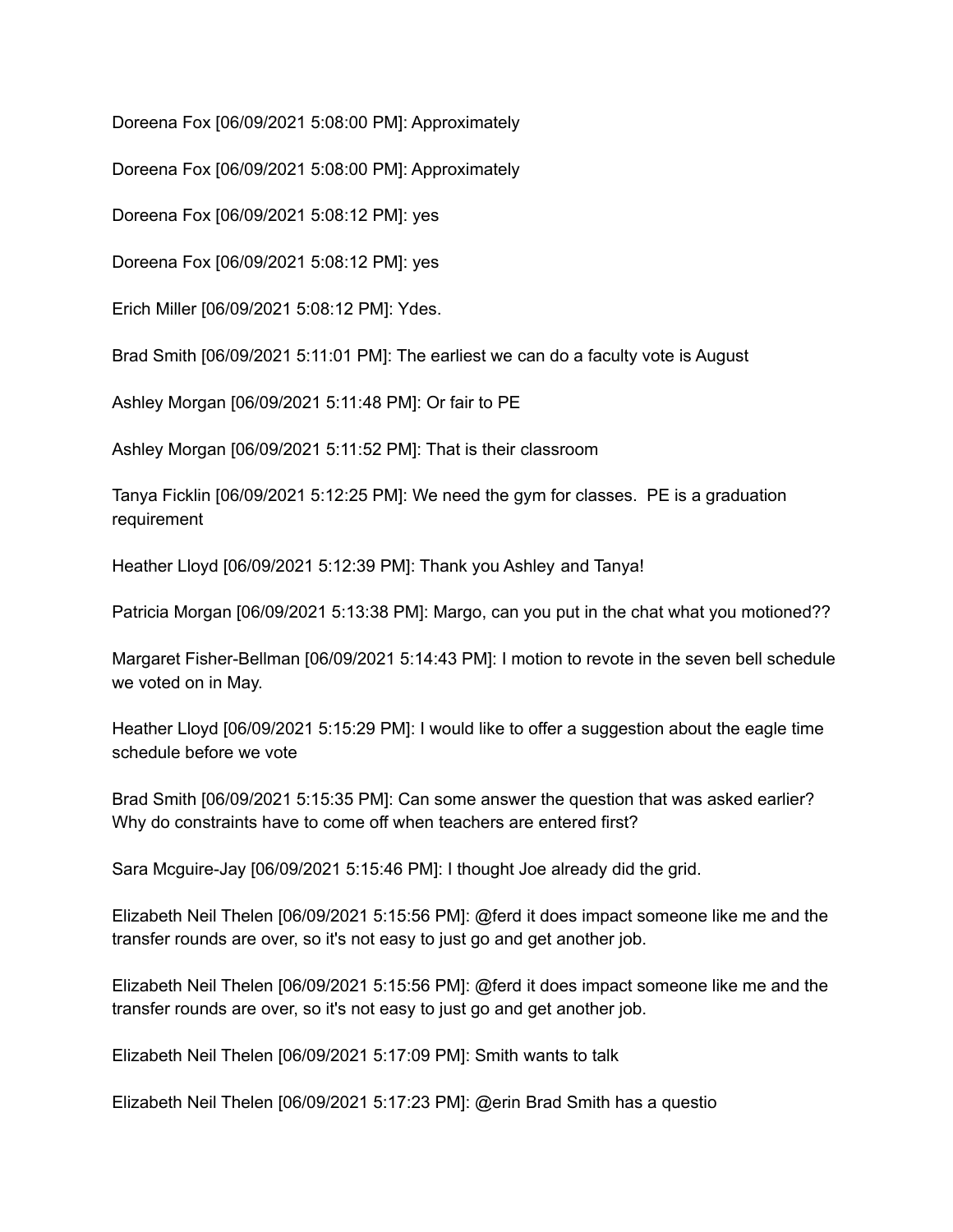Doreena Fox [06/09/2021 5:08:00 PM]: Approximately

Doreena Fox [06/09/2021 5:08:00 PM]: Approximately

Doreena Fox [06/09/2021 5:08:12 PM]: yes

Doreena Fox [06/09/2021 5:08:12 PM]: yes

Erich Miller [06/09/2021 5:08:12 PM]: Ydes.

Brad Smith [06/09/2021 5:11:01 PM]: The earliest we can do a faculty vote is August

Ashley Morgan [06/09/2021 5:11:48 PM]: Or fair to PE

Ashley Morgan [06/09/2021 5:11:52 PM]: That is their classroom

Tanya Ficklin [06/09/2021 5:12:25 PM]: We need the gym for classes. PE is a graduation requirement

Heather Lloyd [06/09/2021 5:12:39 PM]: Thank you Ashley and Tanya!

Patricia Morgan [06/09/2021 5:13:38 PM]: Margo, can you put in the chat what you motioned??

Margaret Fisher-Bellman [06/09/2021 5:14:43 PM]: I motion to revote in the seven bell schedule we voted on in May.

Heather Lloyd [06/09/2021 5:15:29 PM]: I would like to offer a suggestion about the eagle time schedule before we vote

Brad Smith [06/09/2021 5:15:35 PM]: Can some answer the question that was asked earlier? Why do constraints have to come off when teachers are entered first?

Sara Mcguire-Jay [06/09/2021 5:15:46 PM]: I thought Joe already did the grid.

Elizabeth Neil Thelen [06/09/2021 5:15:56 PM]: @ferd it does impact someone like me and the transfer rounds are over, so it's not easy to just go and get another job.

Elizabeth Neil Thelen [06/09/2021 5:15:56 PM]: @ferd it does impact someone like me and the transfer rounds are over, so it's not easy to just go and get another job.

Elizabeth Neil Thelen [06/09/2021 5:17:09 PM]: Smith wants to talk

Elizabeth Neil Thelen [06/09/2021 5:17:23 PM]: @erin Brad Smith has a questio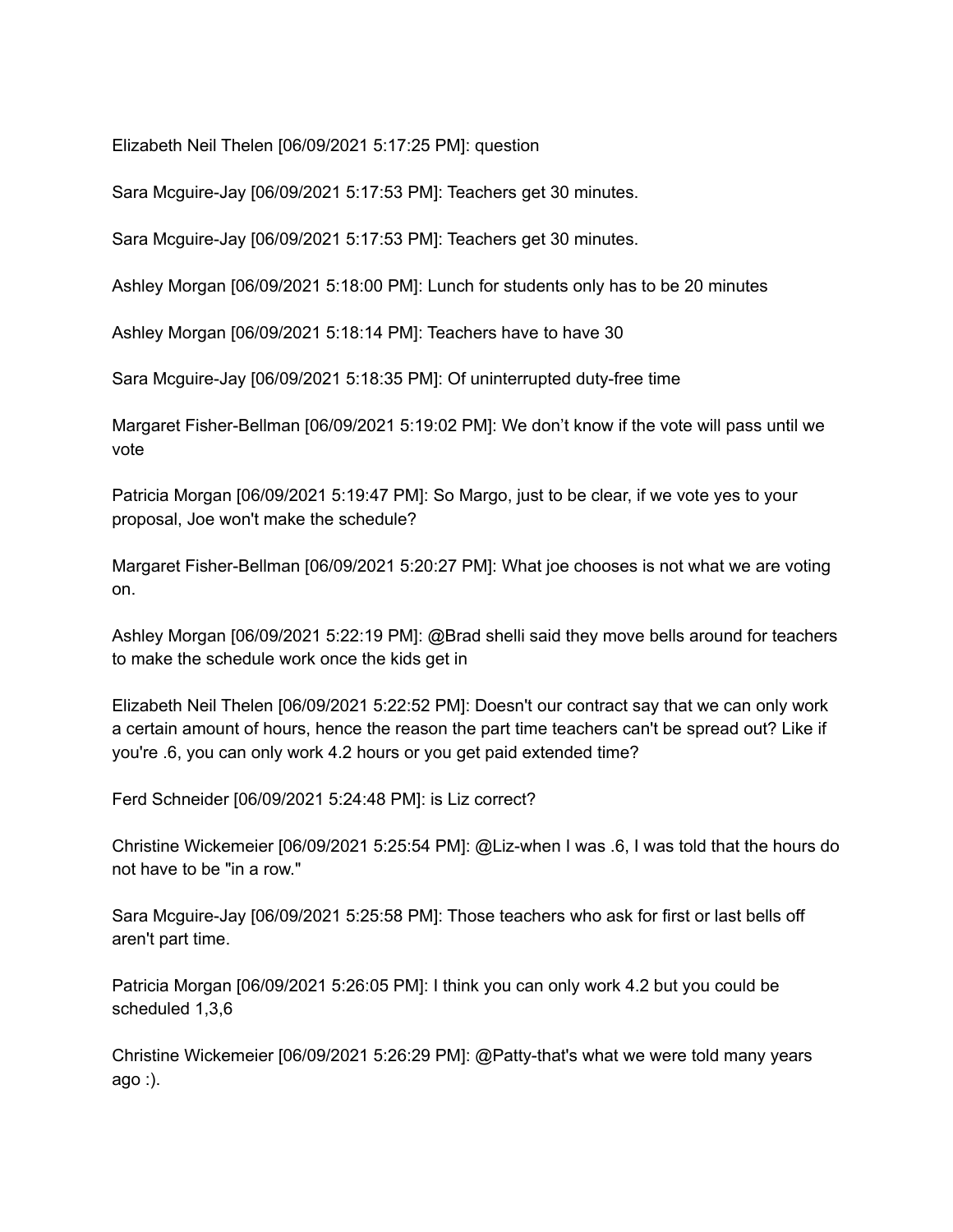Elizabeth Neil Thelen [06/09/2021 5:17:25 PM]: question

Sara Mcguire-Jay [06/09/2021 5:17:53 PM]: Teachers get 30 minutes.

Sara Mcguire-Jay [06/09/2021 5:17:53 PM]: Teachers get 30 minutes.

Ashley Morgan [06/09/2021 5:18:00 PM]: Lunch for students only has to be 20 minutes

Ashley Morgan [06/09/2021 5:18:14 PM]: Teachers have to have 30

Sara Mcguire-Jay [06/09/2021 5:18:35 PM]: Of uninterrupted duty-free time

Margaret Fisher-Bellman [06/09/2021 5:19:02 PM]: We don't know if the vote will pass until we vote

Patricia Morgan [06/09/2021 5:19:47 PM]: So Margo, just to be clear, if we vote yes to your proposal, Joe won't make the schedule?

Margaret Fisher-Bellman [06/09/2021 5:20:27 PM]: What joe chooses is not what we are voting on.

Ashley Morgan [06/09/2021 5:22:19 PM]: @Brad shelli said they move bells around for teachers to make the schedule work once the kids get in

Elizabeth Neil Thelen [06/09/2021 5:22:52 PM]: Doesn't our contract say that we can only work a certain amount of hours, hence the reason the part time teachers can't be spread out? Like if you're .6, you can only work 4.2 hours or you get paid extended time?

Ferd Schneider [06/09/2021 5:24:48 PM]: is Liz correct?

Christine Wickemeier [06/09/2021 5:25:54 PM]: @Liz-when I was .6, I was told that the hours do not have to be "in a row."

Sara Mcguire-Jay [06/09/2021 5:25:58 PM]: Those teachers who ask for first or last bells off aren't part time.

Patricia Morgan [06/09/2021 5:26:05 PM]: I think you can only work 4.2 but you could be scheduled 1,3,6

Christine Wickemeier [06/09/2021 5:26:29 PM]: @Patty-that's what we were told many years ago :).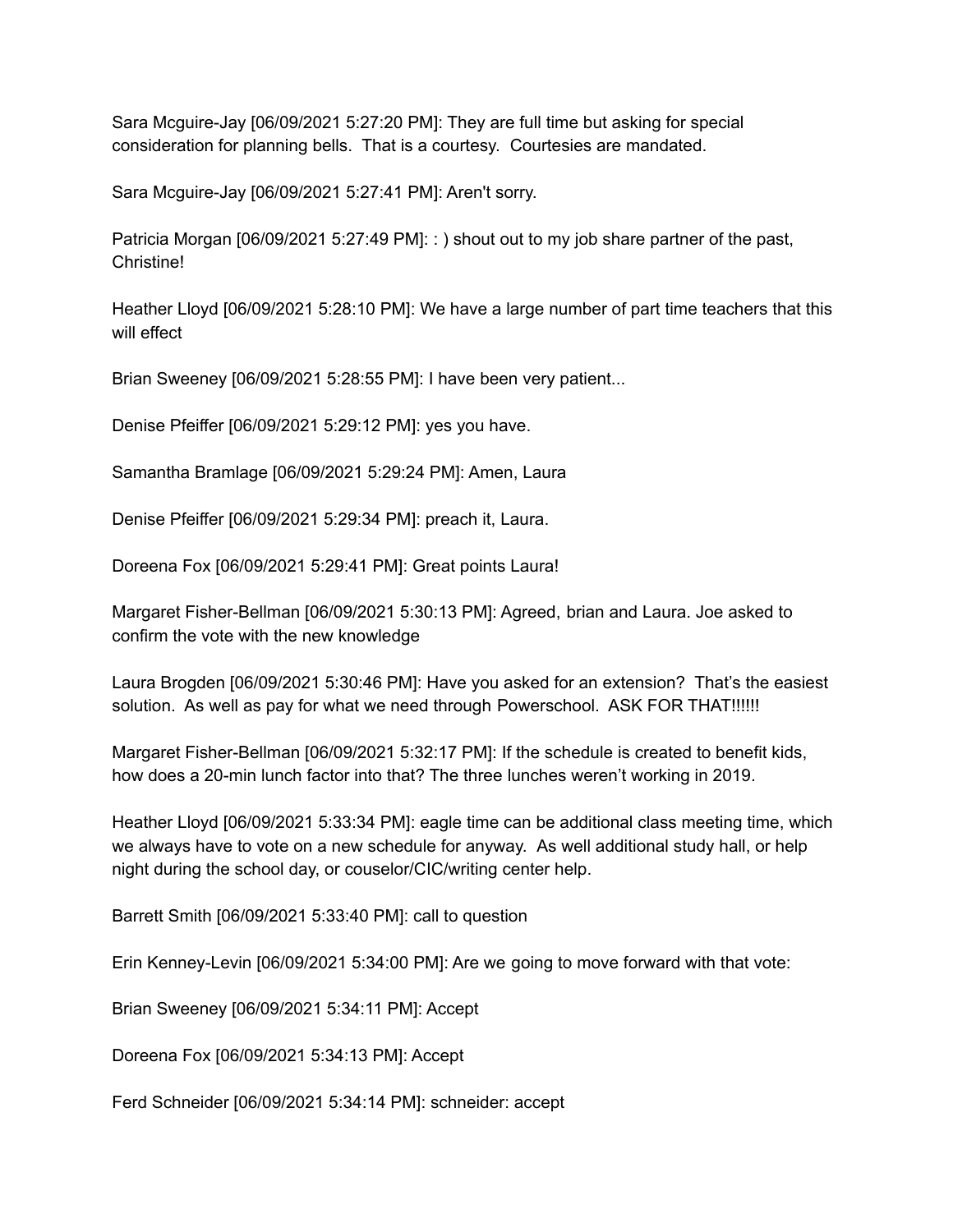Sara Mcguire-Jay [06/09/2021 5:27:20 PM]: They are full time but asking for special consideration for planning bells. That is a courtesy. Courtesies are mandated.

Sara Mcguire-Jay [06/09/2021 5:27:41 PM]: Aren't sorry.

Patricia Morgan [06/09/2021 5:27:49 PM]: : ) shout out to my job share partner of the past, Christine!

Heather Lloyd [06/09/2021 5:28:10 PM]: We have a large number of part time teachers that this will effect

Brian Sweeney [06/09/2021 5:28:55 PM]: I have been very patient...

Denise Pfeiffer [06/09/2021 5:29:12 PM]: yes you have.

Samantha Bramlage [06/09/2021 5:29:24 PM]: Amen, Laura

Denise Pfeiffer [06/09/2021 5:29:34 PM]: preach it, Laura.

Doreena Fox [06/09/2021 5:29:41 PM]: Great points Laura!

Margaret Fisher-Bellman [06/09/2021 5:30:13 PM]: Agreed, brian and Laura. Joe asked to confirm the vote with the new knowledge

Laura Brogden [06/09/2021 5:30:46 PM]: Have you asked for an extension? That's the easiest solution. As well as pay for what we need through Powerschool. ASK FOR THAT!!!!!!

Margaret Fisher-Bellman [06/09/2021 5:32:17 PM]: If the schedule is created to benefit kids, how does a 20-min lunch factor into that? The three lunches weren't working in 2019.

Heather Lloyd [06/09/2021 5:33:34 PM]: eagle time can be additional class meeting time, which we always have to vote on a new schedule for anyway. As well additional study hall, or help night during the school day, or couselor/CIC/writing center help.

Barrett Smith [06/09/2021 5:33:40 PM]: call to question

Erin Kenney-Levin [06/09/2021 5:34:00 PM]: Are we going to move forward with that vote:

Brian Sweeney [06/09/2021 5:34:11 PM]: Accept

Doreena Fox [06/09/2021 5:34:13 PM]: Accept

Ferd Schneider [06/09/2021 5:34:14 PM]: schneider: accept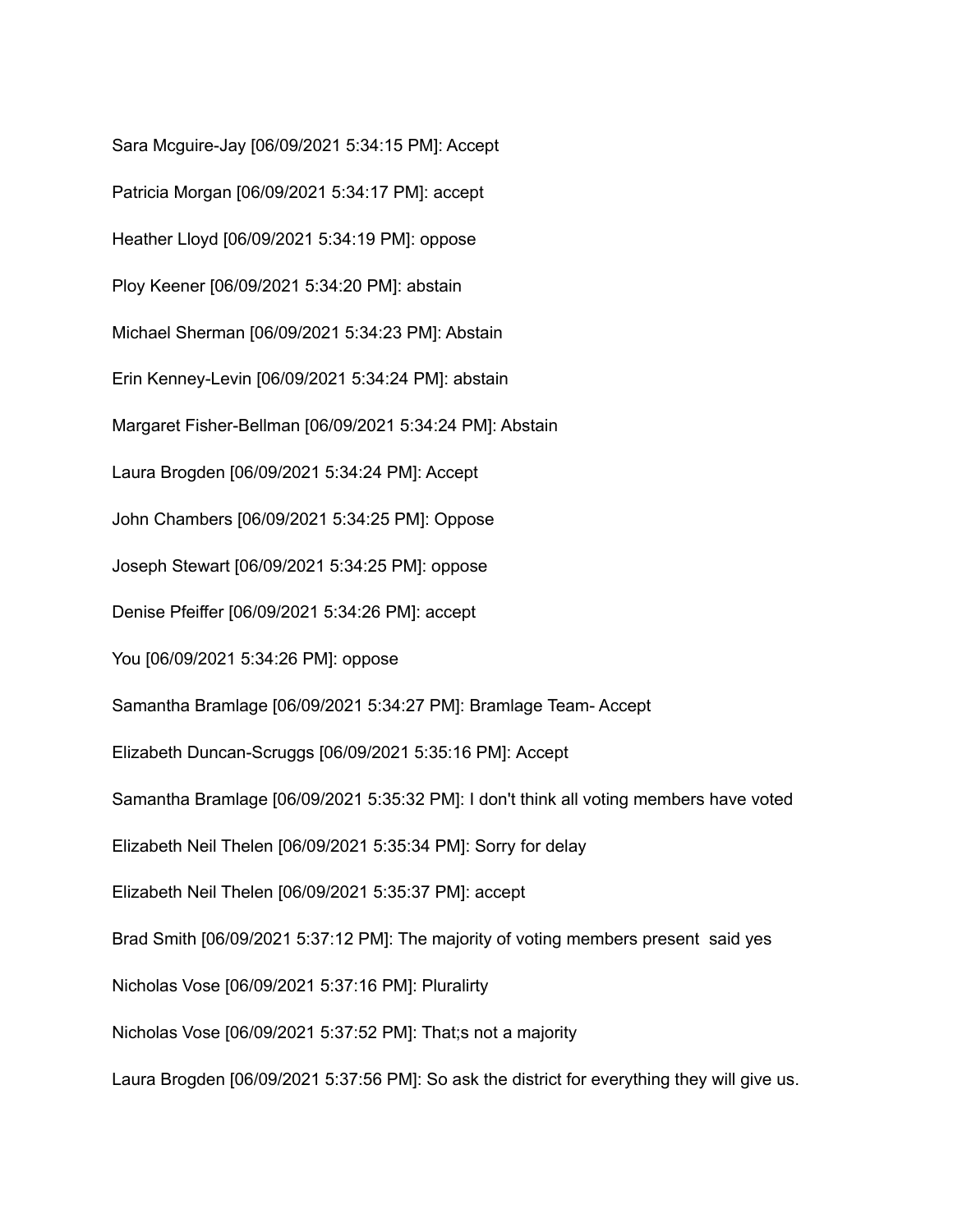Sara Mcguire-Jay [06/09/2021 5:34:15 PM]: Accept Patricia Morgan [06/09/2021 5:34:17 PM]: accept Heather Lloyd [06/09/2021 5:34:19 PM]: oppose Ploy Keener [06/09/2021 5:34:20 PM]: abstain Michael Sherman [06/09/2021 5:34:23 PM]: Abstain Erin Kenney-Levin [06/09/2021 5:34:24 PM]: abstain Margaret Fisher-Bellman [06/09/2021 5:34:24 PM]: Abstain Laura Brogden [06/09/2021 5:34:24 PM]: Accept John Chambers [06/09/2021 5:34:25 PM]: Oppose Joseph Stewart [06/09/2021 5:34:25 PM]: oppose Denise Pfeiffer [06/09/2021 5:34:26 PM]: accept You [06/09/2021 5:34:26 PM]: oppose Samantha Bramlage [06/09/2021 5:34:27 PM]: Bramlage Team- Accept Elizabeth Duncan-Scruggs [06/09/2021 5:35:16 PM]: Accept Samantha Bramlage [06/09/2021 5:35:32 PM]: I don't think all voting members have voted Elizabeth Neil Thelen [06/09/2021 5:35:34 PM]: Sorry for delay Elizabeth Neil Thelen [06/09/2021 5:35:37 PM]: accept Brad Smith [06/09/2021 5:37:12 PM]: The majority of voting members present said yes Nicholas Vose [06/09/2021 5:37:16 PM]: Pluralirty Nicholas Vose [06/09/2021 5:37:52 PM]: That;s not a majority Laura Brogden [06/09/2021 5:37:56 PM]: So ask the district for everything they will give us.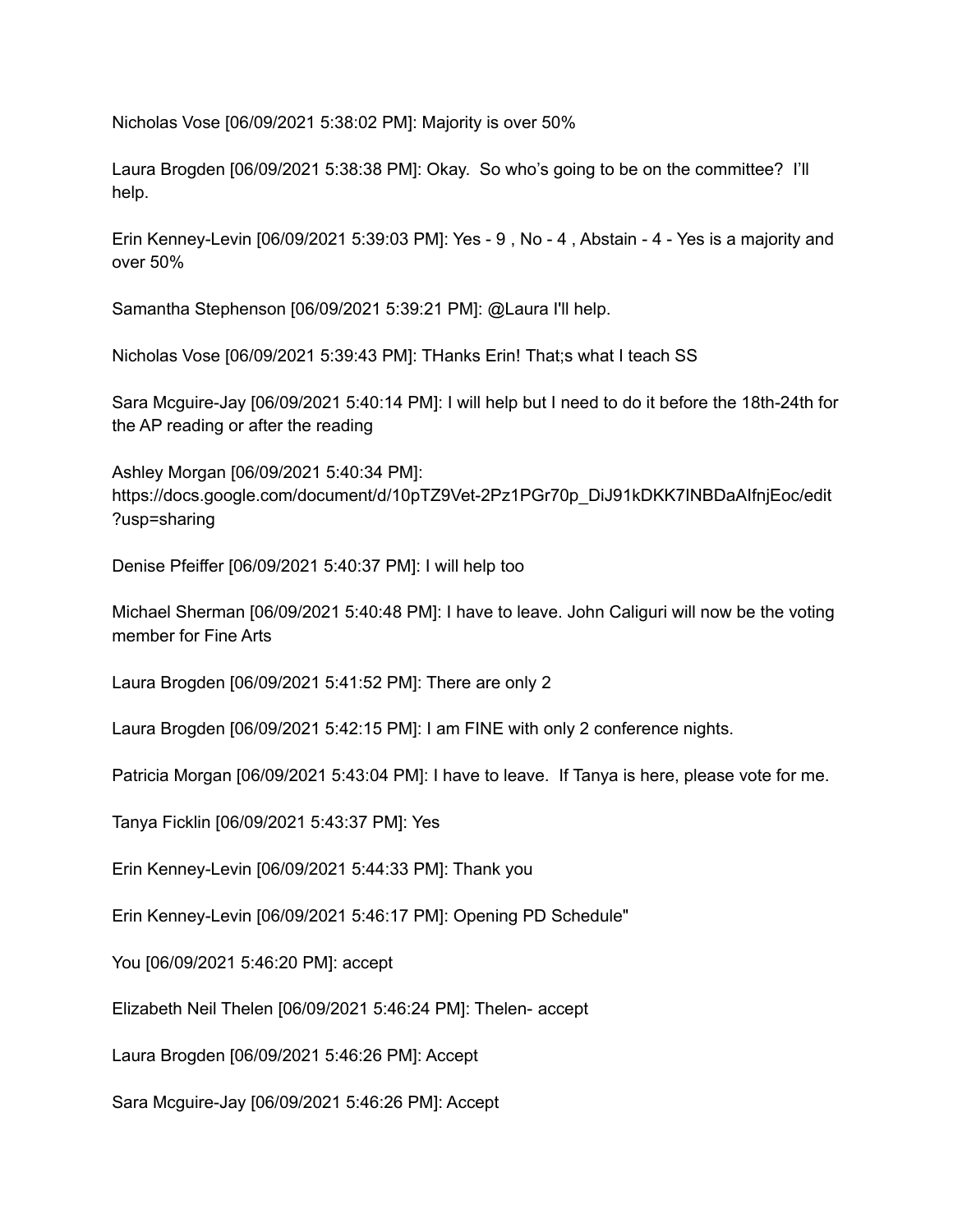Nicholas Vose [06/09/2021 5:38:02 PM]: Majority is over 50%

Laura Brogden [06/09/2021 5:38:38 PM]: Okay. So who's going to be on the committee? I'll help.

Erin Kenney-Levin [06/09/2021 5:39:03 PM]: Yes - 9 , No - 4 , Abstain - 4 - Yes is a majority and over 50%

Samantha Stephenson [06/09/2021 5:39:21 PM]: @Laura I'll help.

Nicholas Vose [06/09/2021 5:39:43 PM]: THanks Erin! That;s what I teach SS

Sara Mcguire-Jay [06/09/2021 5:40:14 PM]: I will help but I need to do it before the 18th-24th for the AP reading or after the reading

Ashley Morgan [06/09/2021 5:40:34 PM]: https://docs.google.com/document/d/10pTZ9Vet-2Pz1PGr70p\_DiJ91kDKK7INBDaAIfnjEoc/edit ?usp=sharing

Denise Pfeiffer [06/09/2021 5:40:37 PM]: I will help too

Michael Sherman [06/09/2021 5:40:48 PM]: I have to leave. John Caliguri will now be the voting member for Fine Arts

Laura Brogden [06/09/2021 5:41:52 PM]: There are only 2

Laura Brogden [06/09/2021 5:42:15 PM]: I am FINE with only 2 conference nights.

Patricia Morgan [06/09/2021 5:43:04 PM]: I have to leave. If Tanya is here, please vote for me.

Tanya Ficklin [06/09/2021 5:43:37 PM]: Yes

Erin Kenney-Levin [06/09/2021 5:44:33 PM]: Thank you

Erin Kenney-Levin [06/09/2021 5:46:17 PM]: Opening PD Schedule"

You [06/09/2021 5:46:20 PM]: accept

Elizabeth Neil Thelen [06/09/2021 5:46:24 PM]: Thelen- accept

Laura Brogden [06/09/2021 5:46:26 PM]: Accept

Sara Mcguire-Jay [06/09/2021 5:46:26 PM]: Accept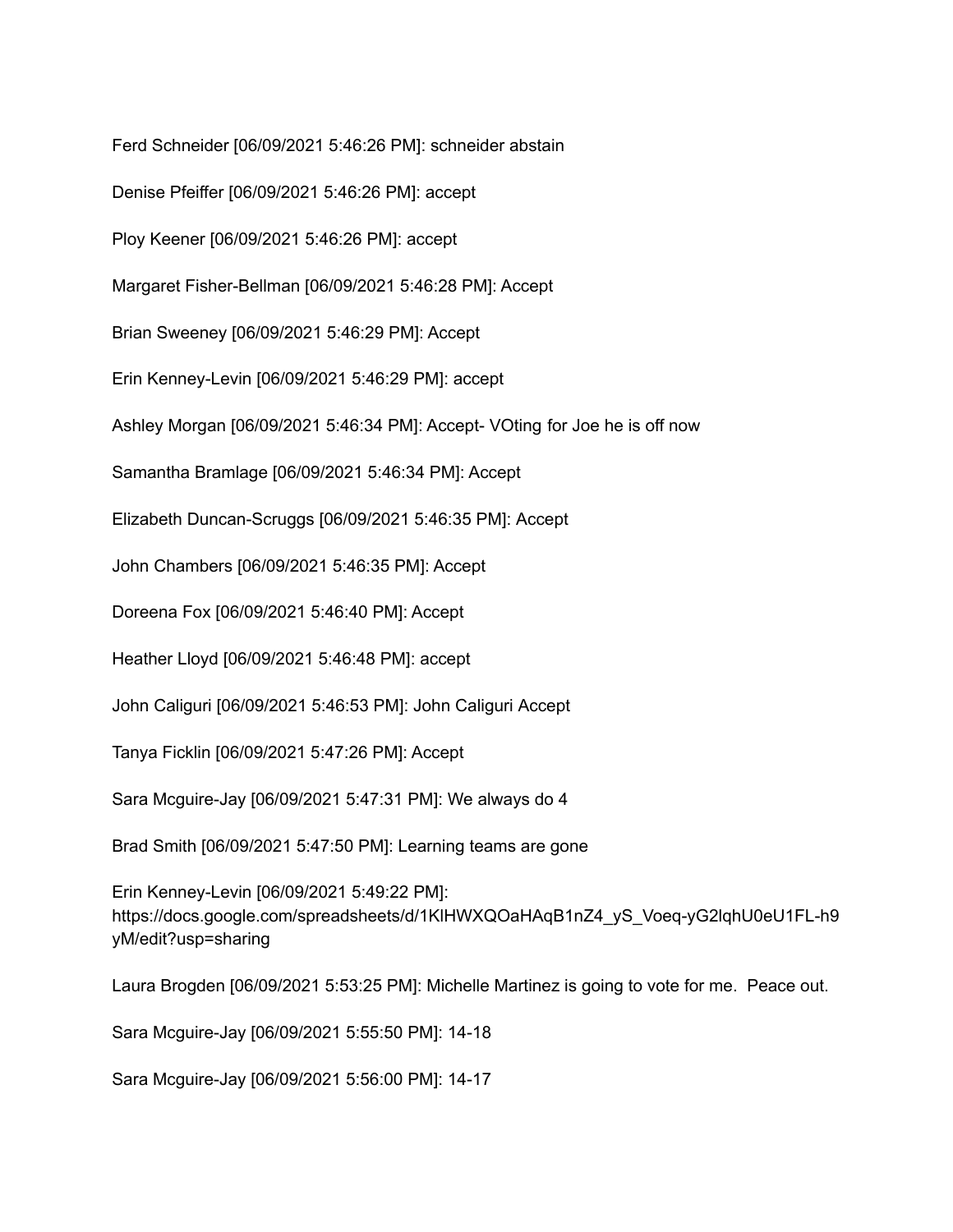Ferd Schneider [06/09/2021 5:46:26 PM]: schneider abstain

Denise Pfeiffer [06/09/2021 5:46:26 PM]: accept

Ploy Keener [06/09/2021 5:46:26 PM]: accept

Margaret Fisher-Bellman [06/09/2021 5:46:28 PM]: Accept

Brian Sweeney [06/09/2021 5:46:29 PM]: Accept

Erin Kenney-Levin [06/09/2021 5:46:29 PM]: accept

Ashley Morgan [06/09/2021 5:46:34 PM]: Accept- VOting for Joe he is off now

Samantha Bramlage [06/09/2021 5:46:34 PM]: Accept

Elizabeth Duncan-Scruggs [06/09/2021 5:46:35 PM]: Accept

John Chambers [06/09/2021 5:46:35 PM]: Accept

Doreena Fox [06/09/2021 5:46:40 PM]: Accept

Heather Lloyd [06/09/2021 5:46:48 PM]: accept

John Caliguri [06/09/2021 5:46:53 PM]: John Caliguri Accept

Tanya Ficklin [06/09/2021 5:47:26 PM]: Accept

Sara Mcguire-Jay [06/09/2021 5:47:31 PM]: We always do 4

Brad Smith [06/09/2021 5:47:50 PM]: Learning teams are gone

Erin Kenney-Levin [06/09/2021 5:49:22 PM]: https://docs.google.com/spreadsheets/d/1KlHWXQOaHAqB1nZ4\_yS\_Voeq-yG2lqhU0eU1FL-h9 yM/edit?usp=sharing

Laura Brogden [06/09/2021 5:53:25 PM]: Michelle Martinez is going to vote for me. Peace out.

Sara Mcguire-Jay [06/09/2021 5:55:50 PM]: 14-18

Sara Mcguire-Jay [06/09/2021 5:56:00 PM]: 14-17